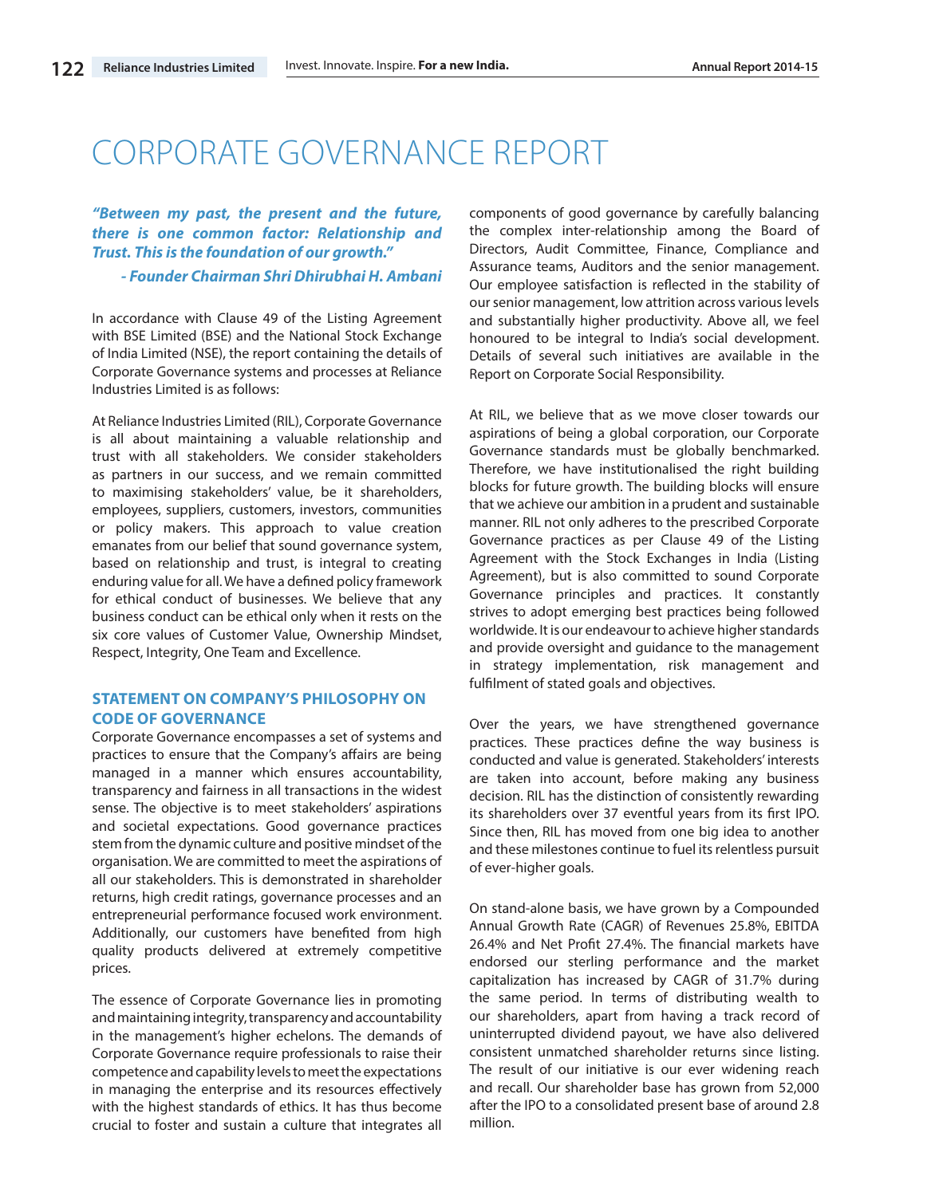# CORPORATE GOVERNANCE REPORT

*"Between my past, the present and the future, there is one common factor: Relationship and Trust. This is the foundation of our growth."*

*- Founder Chairman Shri Dhirubhai H. Ambani*

In accordance with Clause 49 of the Listing Agreement with BSE Limited (BSE) and the National Stock Exchange of India Limited (NSE), the report containing the details of Corporate Governance systems and processes at Reliance Industries Limited is as follows:

At Reliance Industries Limited (RIL), Corporate Governance is all about maintaining a valuable relationship and trust with all stakeholders. We consider stakeholders as partners in our success, and we remain committed to maximising stakeholders' value, be it shareholders, employees, suppliers, customers, investors, communities or policy makers. This approach to value creation emanates from our belief that sound governance system, based on relationship and trust, is integral to creating enduring value for all. We have a defined policy framework for ethical conduct of businesses. We believe that any business conduct can be ethical only when it rests on the six core values of Customer Value, Ownership Mindset, Respect, Integrity, One Team and Excellence.

# **STATEMENT ON COMPANY'S PHILOSOPHY ON CODE OF GOVERNANCE**

Corporate Governance encompasses a set of systems and practices to ensure that the Company's affairs are being managed in a manner which ensures accountability, transparency and fairness in all transactions in the widest sense. The objective is to meet stakeholders' aspirations and societal expectations. Good governance practices stem from the dynamic culture and positive mindset of the organisation. We are committed to meet the aspirations of all our stakeholders. This is demonstrated in shareholder returns, high credit ratings, governance processes and an entrepreneurial performance focused work environment. Additionally, our customers have benefited from high quality products delivered at extremely competitive prices.

The essence of Corporate Governance lies in promoting and maintaining integrity, transparency and accountability in the management's higher echelons. The demands of Corporate Governance require professionals to raise their competence and capability levels to meet the expectations in managing the enterprise and its resources effectively with the highest standards of ethics. It has thus become crucial to foster and sustain a culture that integrates all

components of good governance by carefully balancing the complex inter-relationship among the Board of Directors, Audit Committee, Finance, Compliance and Assurance teams, Auditors and the senior management. Our employee satisfaction is reflected in the stability of our senior management, low attrition across various levels and substantially higher productivity. Above all, we feel honoured to be integral to India's social development. Details of several such initiatives are available in the Report on Corporate Social Responsibility.

At RIL, we believe that as we move closer towards our aspirations of being a global corporation, our Corporate Governance standards must be globally benchmarked. Therefore, we have institutionalised the right building blocks for future growth. The building blocks will ensure that we achieve our ambition in a prudent and sustainable manner. RIL not only adheres to the prescribed Corporate Governance practices as per Clause 49 of the Listing Agreement with the Stock Exchanges in India (Listing Agreement), but is also committed to sound Corporate Governance principles and practices. It constantly strives to adopt emerging best practices being followed worldwide. It is our endeavour to achieve higher standards and provide oversight and guidance to the management in strategy implementation, risk management and fulfilment of stated goals and objectives.

Over the years, we have strengthened governance practices. These practices define the way business is conducted and value is generated. Stakeholders' interests are taken into account, before making any business decision. RIL has the distinction of consistently rewarding its shareholders over 37 eventful years from its first IPO. Since then, RIL has moved from one big idea to another and these milestones continue to fuel its relentless pursuit of ever-higher goals.

On stand-alone basis, we have grown by a Compounded Annual Growth Rate (CAGR) of Revenues 25.8%, EBITDA 26.4% and Net Profit 27.4%. The financial markets have endorsed our sterling performance and the market capitalization has increased by CAGR of 31.7% during the same period. In terms of distributing wealth to our shareholders, apart from having a track record of uninterrupted dividend payout, we have also delivered consistent unmatched shareholder returns since listing. The result of our initiative is our ever widening reach and recall. Our shareholder base has grown from 52,000 after the IPO to a consolidated present base of around 2.8 million.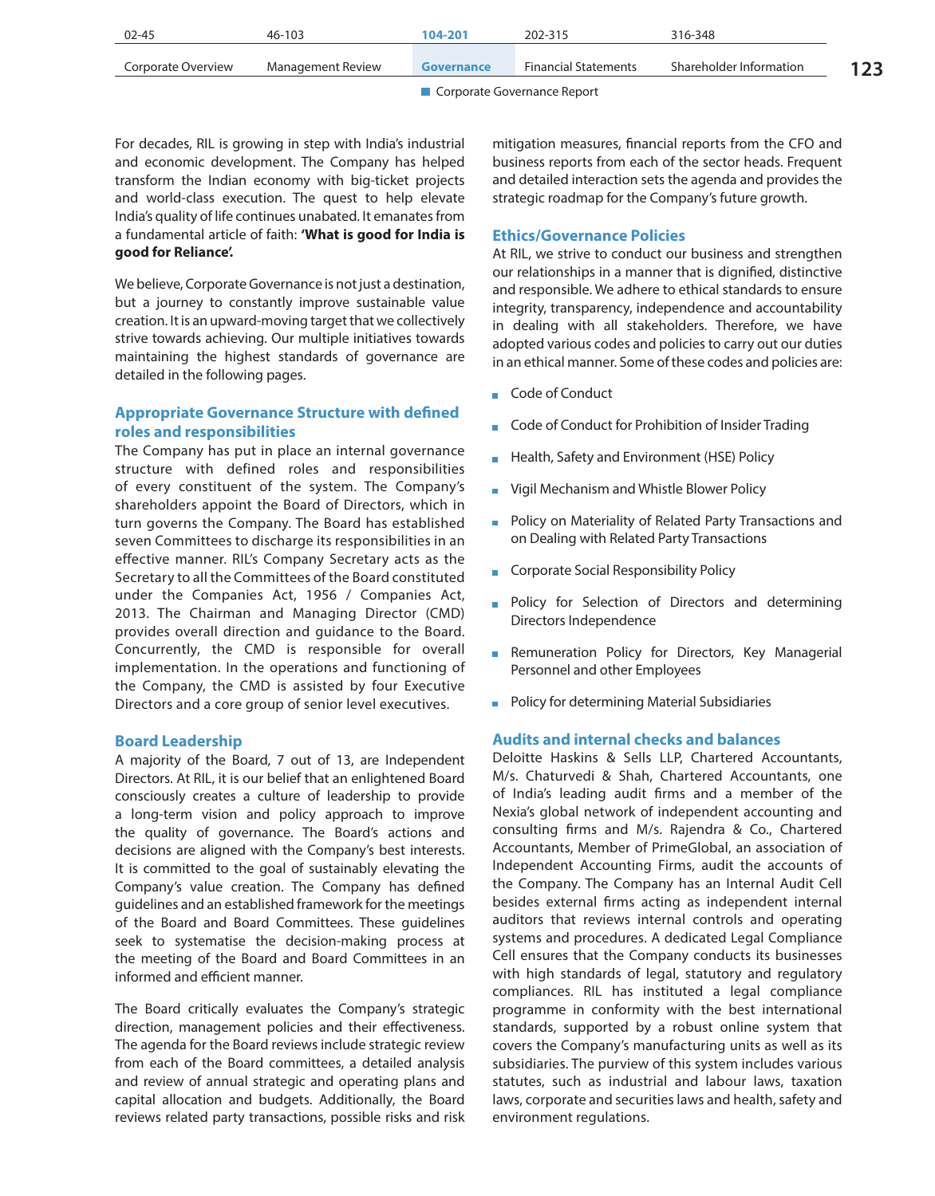| 02-45              | 46-103            | 104-201    | 202-315                     | 316-348                 |     |
|--------------------|-------------------|------------|-----------------------------|-------------------------|-----|
| Corporate Overview | Management Review | Governance | <b>Financial Statements</b> | Shareholder Information | 123 |
|                    |                   |            |                             |                         |     |

For decades, RIL is growing in step with India's industrial and economic development. The Company has helped transform the Indian economy with big-ticket projects and world-class execution. The quest to help elevate India's quality of life continues unabated. It emanates from a fundamental article of faith: **'What is good for India is good for Reliance'.**

We believe, Corporate Governance is not just a destination, but a journey to constantly improve sustainable value creation. It is an upward-moving target that we collectively strive towards achieving. Our multiple initiatives towards maintaining the highest standards of governance are detailed in the following pages.

# **Appropriate Governance Structure with defined roles and responsibilities**

The Company has put in place an internal governance structure with defined roles and responsibilities of every constituent of the system. The Company's shareholders appoint the Board of Directors, which in turn governs the Company. The Board has established seven Committees to discharge its responsibilities in an effective manner. RIL's Company Secretary acts as the Secretary to all the Committees of the Board constituted under the Companies Act, 1956 / Companies Act, 2013. The Chairman and Managing Director (CMD) provides overall direction and guidance to the Board. Concurrently, the CMD is responsible for overall implementation. In the operations and functioning of the Company, the CMD is assisted by four Executive Directors and a core group of senior level executives.

#### **Board Leadership**

A majority of the Board, 7 out of 13, are Independent Directors. At RIL, it is our belief that an enlightened Board consciously creates a culture of leadership to provide a long-term vision and policy approach to improve the quality of governance. The Board's actions and decisions are aligned with the Company's best interests. It is committed to the goal of sustainably elevating the Company's value creation. The Company has defined guidelines and an established framework for the meetings of the Board and Board Committees. These guidelines seek to systematise the decision-making process at the meeting of the Board and Board Committees in an informed and efficient manner.

The Board critically evaluates the Company's strategic direction, management policies and their effectiveness. The agenda for the Board reviews include strategic review from each of the Board committees, a detailed analysis and review of annual strategic and operating plans and capital allocation and budgets. Additionally, the Board reviews related party transactions, possible risks and risk mitigation measures, financial reports from the CFO and business reports from each of the sector heads. Frequent and detailed interaction sets the agenda and provides the strategic roadmap for the Company's future growth.

# **Ethics/Governance Policies**

At RIL, we strive to conduct our business and strengthen our relationships in a manner that is dignified, distinctive and responsible. We adhere to ethical standards to ensure integrity, transparency, independence and accountability in dealing with all stakeholders. Therefore, we have adopted various codes and policies to carry out our duties in an ethical manner. Some of these codes and policies are:

- Code of Conduct
- Code of Conduct for Prohibition of Insider Trading
- **Health, Safety and Environment (HSE) Policy**
- **UPILE:** Vigil Mechanism and Whistle Blower Policy
- **Policy on Materiality of Related Party Transactions and** on Dealing with Related Party Transactions
- **Corporate Social Responsibility Policy**
- **Policy for Selection of Directors and determining** Directors Independence
- **Remuneration Policy for Directors, Key Managerial** Personnel and other Employees
- **Policy for determining Material Subsidiaries**

# **Audits and internal checks and balances**

Deloitte Haskins & Sells LLP, Chartered Accountants, M/s. Chaturvedi & Shah, Chartered Accountants, one of India's leading audit firms and a member of the Nexia's global network of independent accounting and consulting firms and M/s. Rajendra & Co., Chartered Accountants, Member of PrimeGlobal, an association of Independent Accounting Firms, audit the accounts of the Company. The Company has an Internal Audit Cell besides external firms acting as independent internal auditors that reviews internal controls and operating systems and procedures. A dedicated Legal Compliance Cell ensures that the Company conducts its businesses with high standards of legal, statutory and regulatory compliances. RIL has instituted a legal compliance programme in conformity with the best international standards, supported by a robust online system that covers the Company's manufacturing units as well as its subsidiaries. The purview of this system includes various statutes, such as industrial and labour laws, taxation laws, corporate and securities laws and health, safety and environment regulations.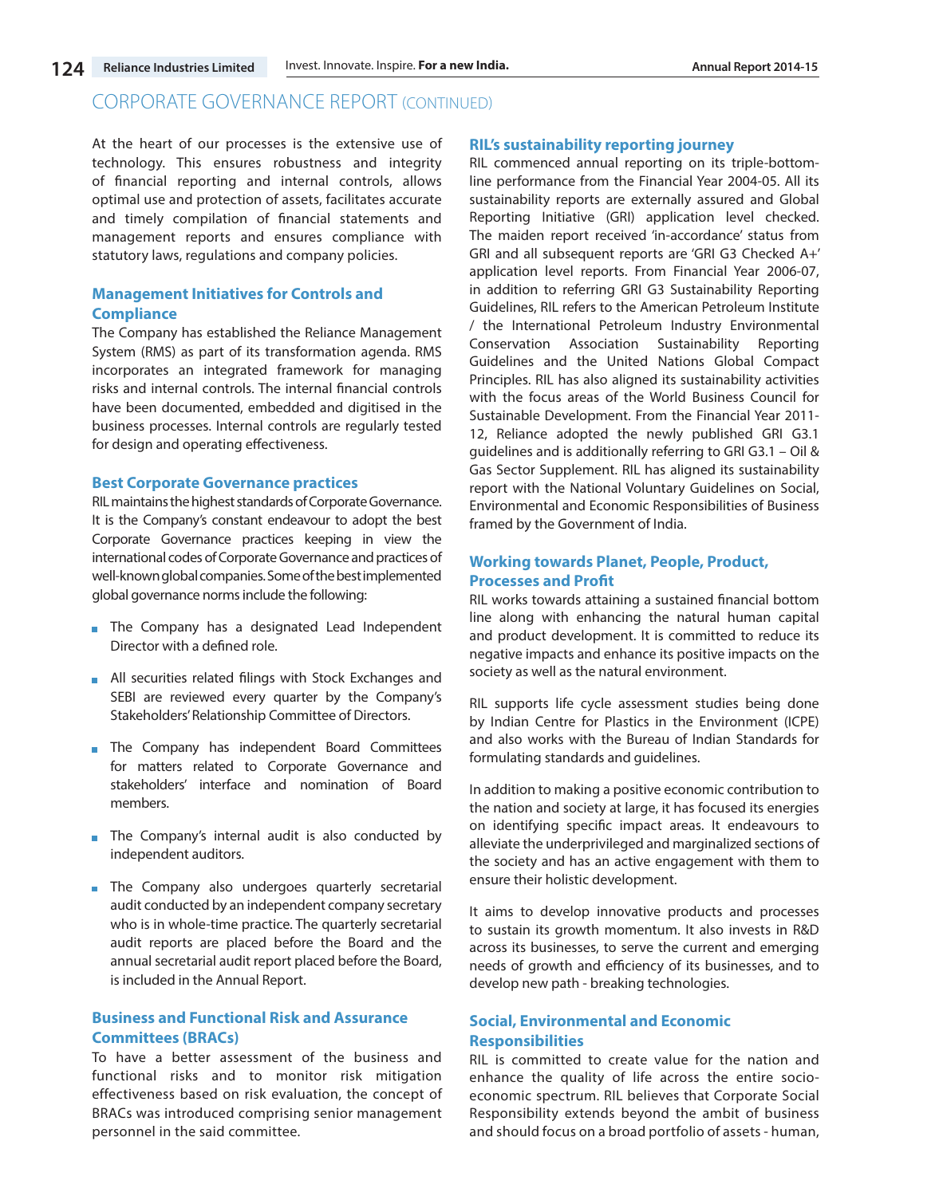At the heart of our processes is the extensive use of technology. This ensures robustness and integrity of financial reporting and internal controls, allows optimal use and protection of assets, facilitates accurate and timely compilation of financial statements and management reports and ensures compliance with statutory laws, regulations and company policies.

# **Management Initiatives for Controls and Compliance**

The Company has established the Reliance Management System (RMS) as part of its transformation agenda. RMS incorporates an integrated framework for managing risks and internal controls. The internal financial controls have been documented, embedded and digitised in the business processes. Internal controls are regularly tested for design and operating effectiveness.

#### **Best Corporate Governance practices**

RIL maintains the highest standards of Corporate Governance. It is the Company's constant endeavour to adopt the best Corporate Governance practices keeping in view the international codes of Corporate Governance and practices of well-known global companies. Some of the best implemented global governance norms include the following:

- **The Company has a designated Lead Independent** Director with a defined role.
- **All securities related filings with Stock Exchanges and** SEBI are reviewed every quarter by the Company's Stakeholders' Relationship Committee of Directors.
- **n** The Company has independent Board Committees for matters related to Corporate Governance and stakeholders' interface and nomination of Board members.
- The Company's internal audit is also conducted by independent auditors.
- **n** The Company also undergoes quarterly secretarial audit conducted by an independent company secretary who is in whole-time practice. The quarterly secretarial audit reports are placed before the Board and the annual secretarial audit report placed before the Board, is included in the Annual Report.

# **Business and Functional Risk and Assurance Committees (BRACs)**

To have a better assessment of the business and functional risks and to monitor risk mitigation effectiveness based on risk evaluation, the concept of BRACs was introduced comprising senior management personnel in the said committee.

# **RIL's sustainability reporting journey**

RIL commenced annual reporting on its triple-bottomline performance from the Financial Year 2004-05. All its sustainability reports are externally assured and Global Reporting Initiative (GRI) application level checked. The maiden report received 'in-accordance' status from GRI and all subsequent reports are 'GRI G3 Checked A+' application level reports. From Financial Year 2006-07, in addition to referring GRI G3 Sustainability Reporting Guidelines, RIL refers to the American Petroleum Institute / the International Petroleum Industry Environmental Conservation Association Sustainability Reporting Guidelines and the United Nations Global Compact Principles. RIL has also aligned its sustainability activities with the focus areas of the World Business Council for Sustainable Development. From the Financial Year 2011- 12, Reliance adopted the newly published GRI G3.1 guidelines and is additionally referring to GRI G3.1 – Oil & Gas Sector Supplement. RIL has aligned its sustainability report with the National Voluntary Guidelines on Social, Environmental and Economic Responsibilities of Business framed by the Government of India.

# **Working towards Planet, People, Product, Processes and Profit**

RIL works towards attaining a sustained financial bottom line along with enhancing the natural human capital and product development. It is committed to reduce its negative impacts and enhance its positive impacts on the society as well as the natural environment.

RIL supports life cycle assessment studies being done by Indian Centre for Plastics in the Environment (ICPE) and also works with the Bureau of Indian Standards for formulating standards and guidelines.

In addition to making a positive economic contribution to the nation and society at large, it has focused its energies on identifying specific impact areas. It endeavours to alleviate the underprivileged and marginalized sections of the society and has an active engagement with them to ensure their holistic development.

It aims to develop innovative products and processes to sustain its growth momentum. It also invests in R&D across its businesses, to serve the current and emerging needs of growth and efficiency of its businesses, and to develop new path - breaking technologies.

# **Social, Environmental and Economic Responsibilities**

RIL is committed to create value for the nation and enhance the quality of life across the entire socioeconomic spectrum. RIL believes that Corporate Social Responsibility extends beyond the ambit of business and should focus on a broad portfolio of assets - human,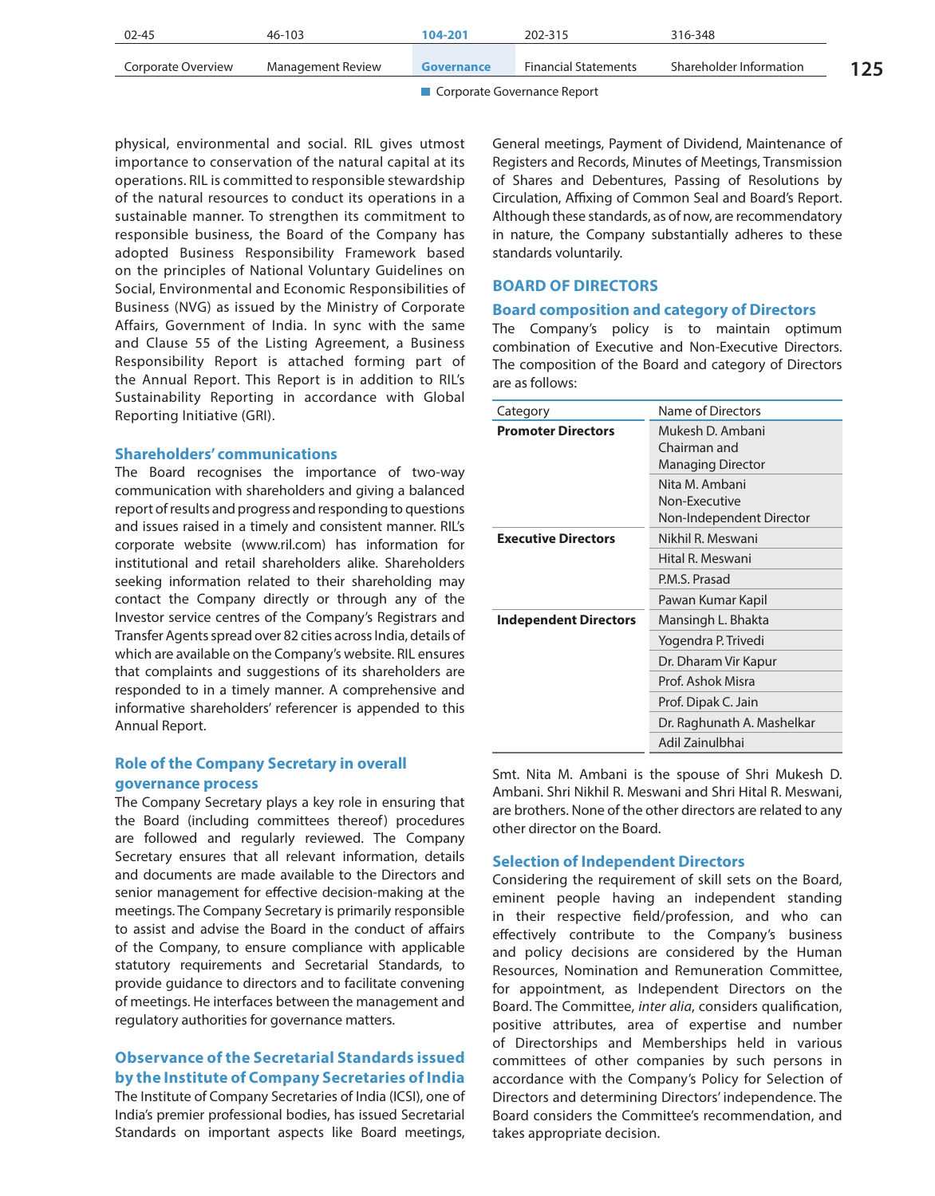|                    |                   | $\blacksquare$ Compared Forms and a Boundary |                             |                         |     |
|--------------------|-------------------|----------------------------------------------|-----------------------------|-------------------------|-----|
| Corporate Overview | Management Review | Governance                                   | <b>Financial Statements</b> | Shareholder Information | 125 |
| 02-45              | 46-103            | 104-201                                      | 202-315                     | 316-348                 |     |

physical, environmental and social. RIL gives utmost importance to conservation of the natural capital at its operations. RIL is committed to responsible stewardship of the natural resources to conduct its operations in a sustainable manner. To strengthen its commitment to responsible business, the Board of the Company has adopted Business Responsibility Framework based on the principles of National Voluntary Guidelines on Social, Environmental and Economic Responsibilities of Business (NVG) as issued by the Ministry of Corporate Affairs, Government of India. In sync with the same and Clause 55 of the Listing Agreement, a Business Responsibility Report is attached forming part of the Annual Report. This Report is in addition to RIL's Sustainability Reporting in accordance with Global Reporting Initiative (GRI).

# **Shareholders' communications**

The Board recognises the importance of two-way communication with shareholders and giving a balanced report of results and progress and responding to questions and issues raised in a timely and consistent manner. RIL's corporate website (www.ril.com) has information for institutional and retail shareholders alike. Shareholders seeking information related to their shareholding may contact the Company directly or through any of the Investor service centres of the Company's Registrars and Transfer Agents spread over 82 cities across India, details of which are available on the Company's website. RIL ensures that complaints and suggestions of its shareholders are responded to in a timely manner. A comprehensive and informative shareholders' referencer is appended to this Annual Report.

# **Role of the Company Secretary in overall governance process**

The Company Secretary plays a key role in ensuring that the Board (including committees thereof) procedures are followed and regularly reviewed. The Company Secretary ensures that all relevant information, details and documents are made available to the Directors and senior management for effective decision-making at the meetings. The Company Secretary is primarily responsible to assist and advise the Board in the conduct of affairs of the Company, to ensure compliance with applicable statutory requirements and Secretarial Standards, to provide guidance to directors and to facilitate convening of meetings. He interfaces between the management and regulatory authorities for governance matters.

# **Observance of the Secretarial Standards issued by the Institute of Company Secretaries of India**

The Institute of Company Secretaries of India (ICSI), one of India's premier professional bodies, has issued Secretarial Standards on important aspects like Board meetings, General meetings, Payment of Dividend, Maintenance of Registers and Records, Minutes of Meetings, Transmission of Shares and Debentures, Passing of Resolutions by Circulation, Affixing of Common Seal and Board's Report. Although these standards, as of now, are recommendatory in nature, the Company substantially adheres to these standards voluntarily.

# **BOARD OF DIRECTORS**

#### **Board composition and category of Directors**

The Company's policy is to maintain optimum combination of Executive and Non-Executive Directors. The composition of the Board and category of Directors are as follows:

| Category                     | Name of Directors                                            |  |
|------------------------------|--------------------------------------------------------------|--|
| <b>Promoter Directors</b>    | Mukesh D. Ambani<br>Chairman and<br><b>Managing Director</b> |  |
|                              | Nita M. Ambani<br>Non-Executive<br>Non-Independent Director  |  |
| <b>Executive Directors</b>   | Nikhil R. Meswani                                            |  |
|                              | Hital R. Meswani                                             |  |
|                              | P.M.S. Prasad                                                |  |
|                              | Pawan Kumar Kapil                                            |  |
| <b>Independent Directors</b> | Mansingh L. Bhakta                                           |  |
|                              | Yogendra P. Trivedi                                          |  |
|                              | Dr. Dharam Vir Kapur                                         |  |
|                              | Prof. Ashok Misra                                            |  |
|                              | Prof. Dipak C. Jain                                          |  |
|                              | Dr. Raghunath A. Mashelkar                                   |  |
|                              | Adil Zainulbhai                                              |  |

Smt. Nita M. Ambani is the spouse of Shri Mukesh D. Ambani. Shri Nikhil R. Meswani and Shri Hital R. Meswani, are brothers. None of the other directors are related to any other director on the Board.

### **Selection of Independent Directors**

Considering the requirement of skill sets on the Board, eminent people having an independent standing in their respective field/profession, and who can effectively contribute to the Company's business and policy decisions are considered by the Human Resources, Nomination and Remuneration Committee, for appointment, as Independent Directors on the Board. The Committee, *inter alia*, considers qualification, positive attributes, area of expertise and number of Directorships and Memberships held in various committees of other companies by such persons in accordance with the Company's Policy for Selection of Directors and determining Directors' independence. The Board considers the Committee's recommendation, and takes appropriate decision.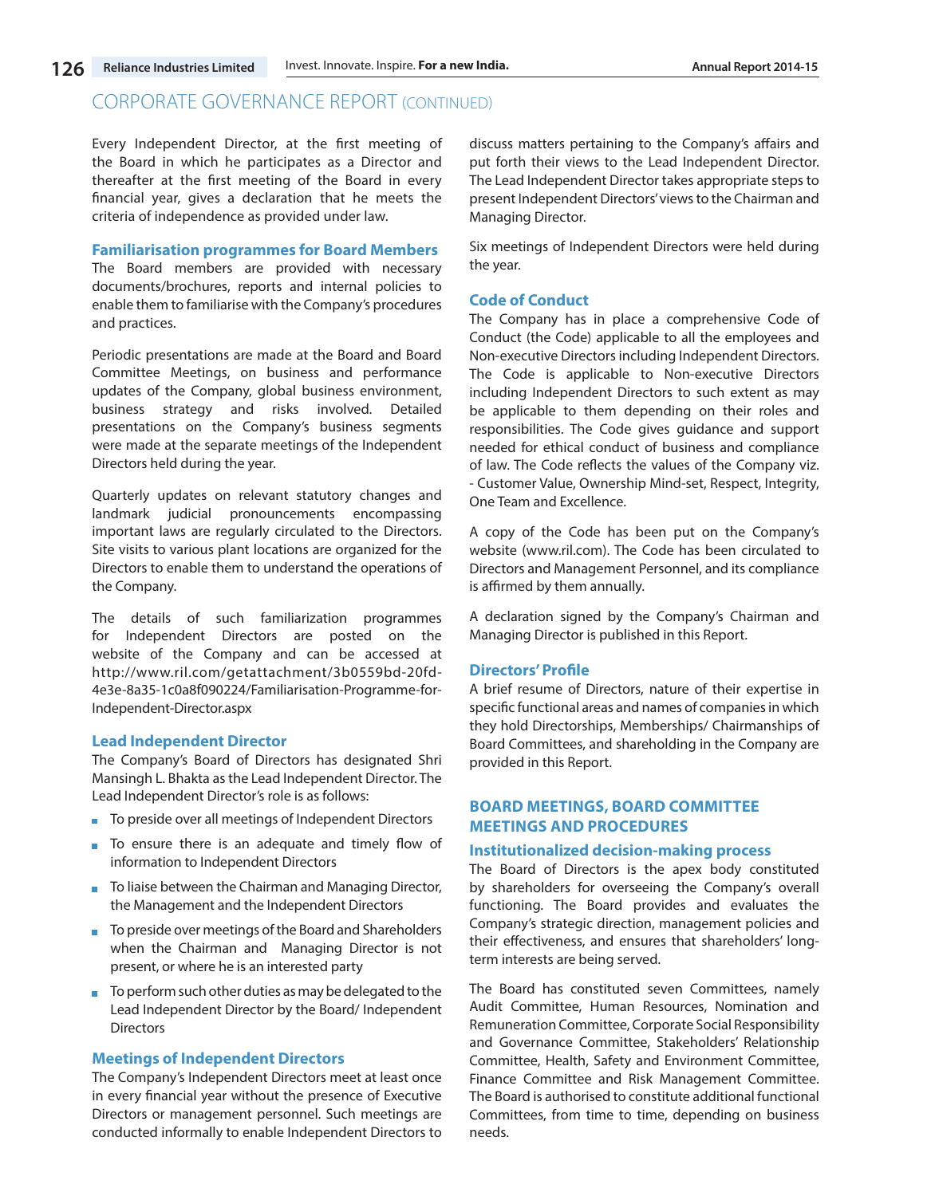Every Independent Director, at the first meeting of the Board in which he participates as a Director and thereafter at the first meeting of the Board in every financial year, gives a declaration that he meets the criteria of independence as provided under law.

#### **Familiarisation programmes for Board Members**

The Board members are provided with necessary documents/brochures, reports and internal policies to enable them to familiarise with the Company's procedures and practices.

Periodic presentations are made at the Board and Board Committee Meetings, on business and performance updates of the Company, global business environment, business strategy and risks involved. Detailed presentations on the Company's business segments were made at the separate meetings of the Independent Directors held during the year.

Quarterly updates on relevant statutory changes and landmark judicial pronouncements encompassing important laws are regularly circulated to the Directors. Site visits to various plant locations are organized for the Directors to enable them to understand the operations of the Company.

The details of such familiarization programmes for Independent Directors are posted on the website of the Company and can be accessed at http://www.ril.com/getattachment/3b0559bd-20fd-4e3e-8a35-1c0a8f090224/Familiarisation-Programme-for-Independent-Director.aspx

# **Lead Independent Director**

The Company's Board of Directors has designated Shri Mansingh L. Bhakta as the Lead Independent Director. The Lead Independent Director's role is as follows:

- To preside over all meetings of Independent Directors
- To ensure there is an adequate and timely flow of information to Independent Directors
- To liaise between the Chairman and Managing Director, the Management and the Independent Directors
- To preside over meetings of the Board and Shareholders when the Chairman and Managing Director is not present, or where he is an interested party
- $\blacksquare$  To perform such other duties as may be delegated to the Lead Independent Director by the Board/ Independent Directors

#### **Meetings of Independent Directors**

The Company's Independent Directors meet at least once in every financial year without the presence of Executive Directors or management personnel. Such meetings are conducted informally to enable Independent Directors to discuss matters pertaining to the Company's affairs and put forth their views to the Lead Independent Director. The Lead Independent Director takes appropriate steps to present Independent Directors' views to the Chairman and Managing Director.

Six meetings of Independent Directors were held during the year.

# **Code of Conduct**

The Company has in place a comprehensive Code of Conduct (the Code) applicable to all the employees and Non-executive Directors including Independent Directors. The Code is applicable to Non-executive Directors including Independent Directors to such extent as may be applicable to them depending on their roles and responsibilities. The Code gives guidance and support needed for ethical conduct of business and compliance of law. The Code reflects the values of the Company viz. - Customer Value, Ownership Mind-set, Respect, Integrity, One Team and Excellence.

A copy of the Code has been put on the Company's website (www.ril.com). The Code has been circulated to Directors and Management Personnel, and its compliance is affirmed by them annually.

A declaration signed by the Company's Chairman and Managing Director is published in this Report.

#### **Directors' Profile**

A brief resume of Directors, nature of their expertise in specific functional areas and names of companies in which they hold Directorships, Memberships/ Chairmanships of Board Committees, and shareholding in the Company are provided in this Report.

# **BOARD MEETINGS, BOARD COMMITTEE MEETINGS AND PROCEDURES**

### **Institutionalized decision-making process**

The Board of Directors is the apex body constituted by shareholders for overseeing the Company's overall functioning. The Board provides and evaluates the Company's strategic direction, management policies and their effectiveness, and ensures that shareholders' longterm interests are being served.

The Board has constituted seven Committees, namely Audit Committee, Human Resources, Nomination and Remuneration Committee, Corporate Social Responsibility and Governance Committee, Stakeholders' Relationship Committee, Health, Safety and Environment Committee, Finance Committee and Risk Management Committee. The Board is authorised to constitute additional functional Committees, from time to time, depending on business needs.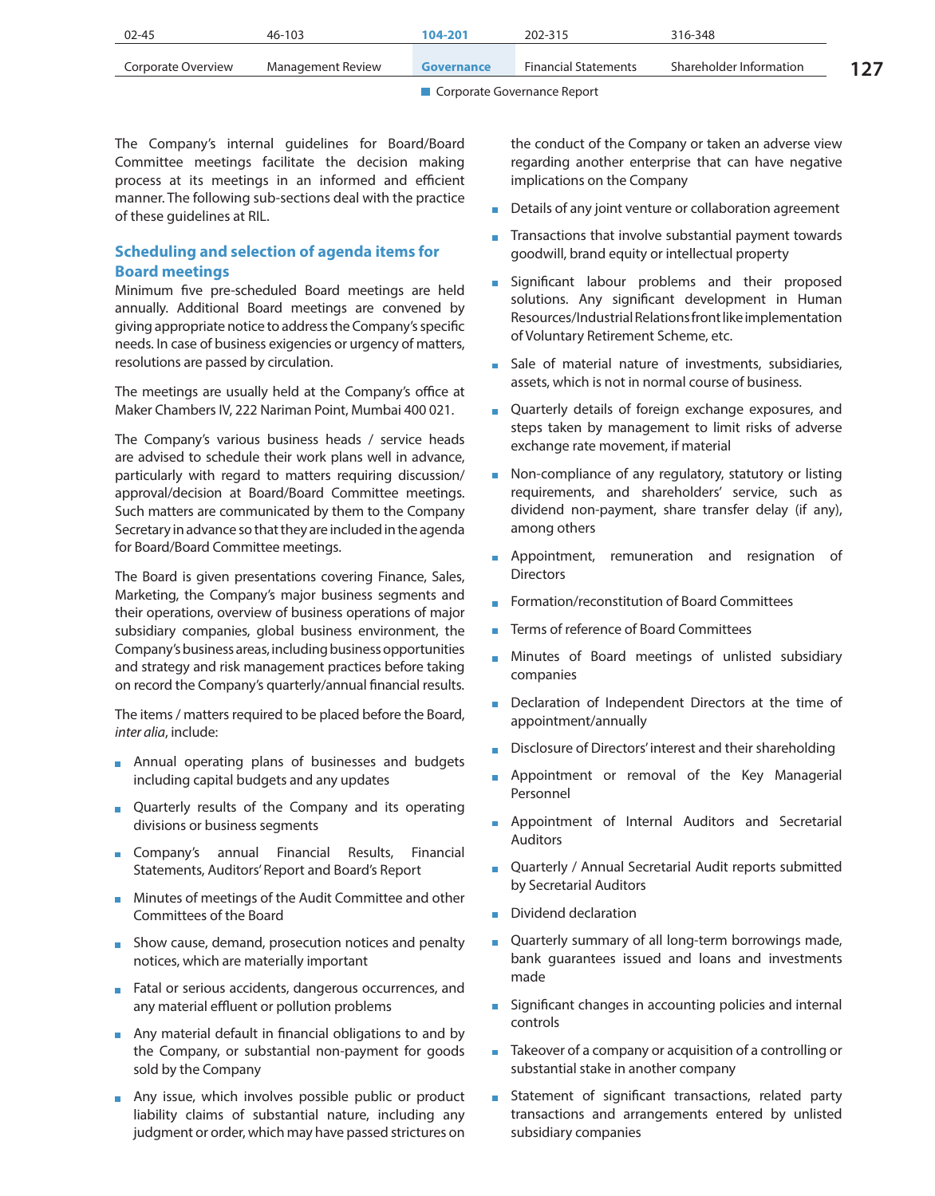| $02 - 45$          | $46 - 103$        | 104-201    | 202-315                     | 316-348                 |  |
|--------------------|-------------------|------------|-----------------------------|-------------------------|--|
| Corporate Overview | Management Review | Governance | <b>Financial Statements</b> | Shareholder Information |  |
|                    |                   |            |                             |                         |  |

The Company's internal guidelines for Board/Board Committee meetings facilitate the decision making process at its meetings in an informed and efficient manner. The following sub-sections deal with the practice of these guidelines at RIL.

# **Scheduling and selection of agenda items for Board meetings**

Minimum five pre-scheduled Board meetings are held annually. Additional Board meetings are convened by giving appropriate notice to address the Company's specific needs. In case of business exigencies or urgency of matters, resolutions are passed by circulation.

The meetings are usually held at the Company's office at Maker Chambers IV, 222 Nariman Point, Mumbai 400 021.

The Company's various business heads / service heads are advised to schedule their work plans well in advance, particularly with regard to matters requiring discussion/ approval/decision at Board/Board Committee meetings. Such matters are communicated by them to the Company Secretary in advance so that they are included in the agenda for Board/Board Committee meetings.

The Board is given presentations covering Finance, Sales, Marketing, the Company's major business segments and their operations, overview of business operations of major subsidiary companies, global business environment, the Company's business areas, including business opportunities and strategy and risk management practices before taking on record the Company's quarterly/annual financial results.

The items / matters required to be placed before the Board, *inter alia*, include:

- **Annual operating plans of businesses and budgets** including capital budgets and any updates
- Quarterly results of the Company and its operating divisions or business segments
- **Company's** annual Financial Results, Financial Statements, Auditors' Report and Board's Report
- **Minutes of meetings of the Audit Committee and other** Committees of the Board
- **Show cause, demand, prosecution notices and penalty** notices, which are materially important
- Fatal or serious accidents, dangerous occurrences, and any material effluent or pollution problems
- Any material default in financial obligations to and by the Company, or substantial non-payment for goods sold by the Company
- **Any issue, which involves possible public or product** liability claims of substantial nature, including any judgment or order, which may have passed strictures on

the conduct of the Company or taken an adverse view regarding another enterprise that can have negative implications on the Company

- Details of any joint venture or collaboration agreement
- Transactions that involve substantial payment towards goodwill, brand equity or intellectual property
- **Significant labour problems and their proposed** solutions. Any significant development in Human Resources/Industrial Relations front like implementation of Voluntary Retirement Scheme, etc.
- Sale of material nature of investments, subsidiaries, assets, which is not in normal course of business.
- Quarterly details of foreign exchange exposures, and steps taken by management to limit risks of adverse exchange rate movement, if material
- Non-compliance of any regulatory, statutory or listing requirements, and shareholders' service, such as dividend non-payment, share transfer delay (if any), among others
- **Appointment, remuneration and resignation of Directors**
- Formation/reconstitution of Board Committees
- **Terms of reference of Board Committees**
- Minutes of Board meetings of unlisted subsidiary companies
- Declaration of Independent Directors at the time of appointment/annually
- Disclosure of Directors' interest and their shareholding
- **Appointment or removal of the Key Managerial** Personnel
- **Appointment of Internal Auditors and Secretarial** Auditors
- Quarterly / Annual Secretarial Audit reports submitted by Secretarial Auditors
- Dividend declaration
- Quarterly summary of all long-term borrowings made, bank guarantees issued and loans and investments made
- **Significant changes in accounting policies and internal** controls
- Takeover of a company or acquisition of a controlling or substantial stake in another company
- **Statement of significant transactions, related party** transactions and arrangements entered by unlisted subsidiary companies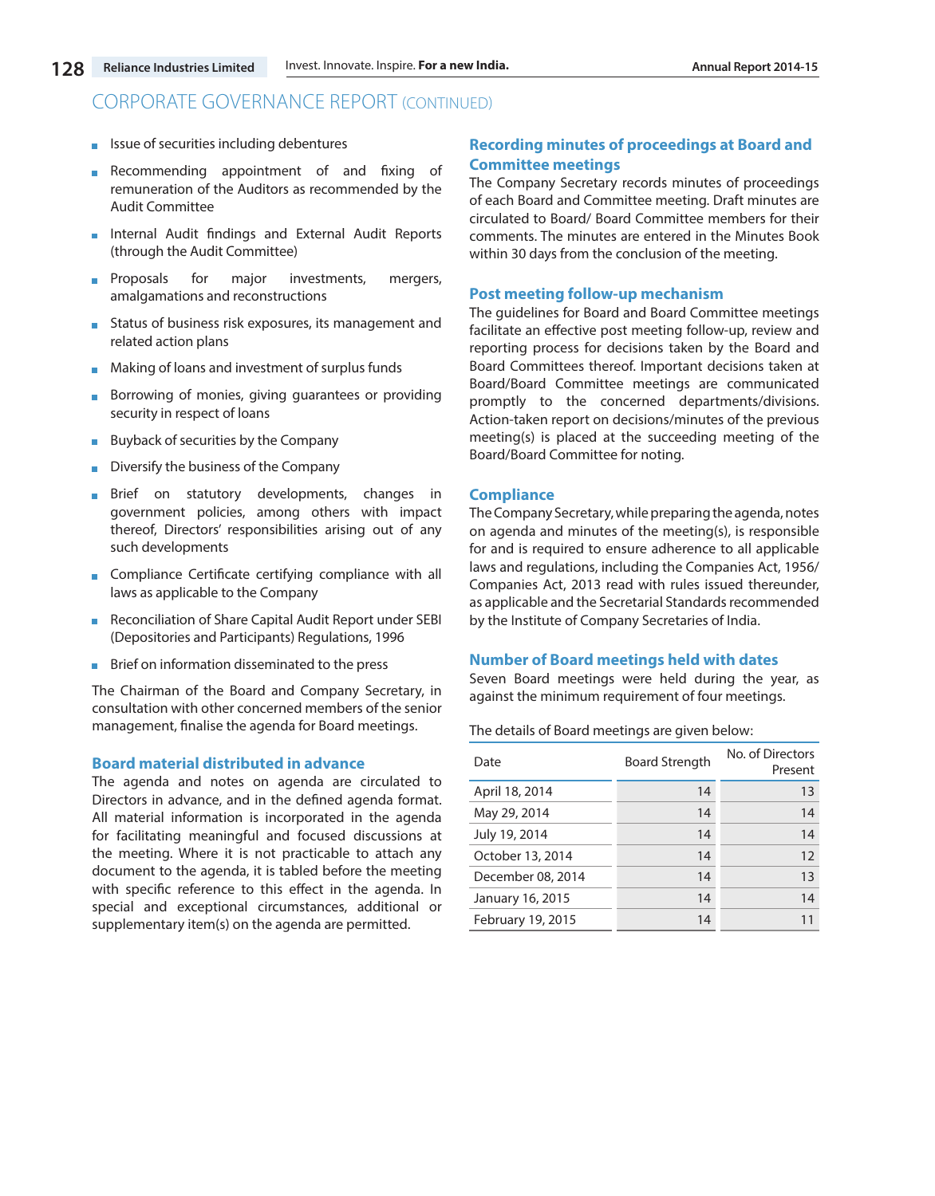- $\blacksquare$  Issue of securities including debentures
- Recommending appointment of and fixing of  $\mathcal{L}_{\mathcal{A}}$ remuneration of the Auditors as recommended by the Audit Committee
- **Internal Audit findings and External Audit Reports** (through the Audit Committee)
- **Proposals** for major investments, mergers, amalgamations and reconstructions
- **Status of business risk exposures, its management and** related action plans
- **Making of loans and investment of surplus funds**
- Borrowing of monies, giving guarantees or providing  $\mathcal{L}_{\mathcal{A}}$ security in respect of loans
- Buyback of securities by the Company
- Diversify the business of the Company
- Brief on statutory developments, changes in government policies, among others with impact thereof, Directors' responsibilities arising out of any such developments
- **Compliance Certificate certifying compliance with all** laws as applicable to the Company
- Reconciliation of Share Capital Audit Report under SEBI  $\mathcal{L}_{\mathcal{A}}$ (Depositories and Participants) Regulations, 1996
- **Brief on information disseminated to the press**

The Chairman of the Board and Company Secretary, in consultation with other concerned members of the senior management, finalise the agenda for Board meetings.

#### **Board material distributed in advance**

The agenda and notes on agenda are circulated to Directors in advance, and in the defined agenda format. All material information is incorporated in the agenda for facilitating meaningful and focused discussions at the meeting. Where it is not practicable to attach any document to the agenda, it is tabled before the meeting with specific reference to this effect in the agenda. In special and exceptional circumstances, additional or supplementary item(s) on the agenda are permitted.

# **Recording minutes of proceedings at Board and Committee meetings**

The Company Secretary records minutes of proceedings of each Board and Committee meeting. Draft minutes are circulated to Board/ Board Committee members for their comments. The minutes are entered in the Minutes Book within 30 days from the conclusion of the meeting.

#### **Post meeting follow-up mechanism**

The guidelines for Board and Board Committee meetings facilitate an effective post meeting follow-up, review and reporting process for decisions taken by the Board and Board Committees thereof. Important decisions taken at Board/Board Committee meetings are communicated promptly to the concerned departments/divisions. Action-taken report on decisions/minutes of the previous meeting(s) is placed at the succeeding meeting of the Board/Board Committee for noting.

# **Compliance**

The Company Secretary, while preparing the agenda, notes on agenda and minutes of the meeting(s), is responsible for and is required to ensure adherence to all applicable laws and regulations, including the Companies Act, 1956/ Companies Act, 2013 read with rules issued thereunder, as applicable and the Secretarial Standards recommended by the Institute of Company Secretaries of India.

#### **Number of Board meetings held with dates**

Seven Board meetings were held during the year, as against the minimum requirement of four meetings.

The details of Board meetings are given below:

| Date              | <b>Board Strength</b> | No. of Directors<br>Present |
|-------------------|-----------------------|-----------------------------|
| April 18, 2014    | 14                    | 13                          |
| May 29, 2014      | 14                    | 14                          |
| July 19, 2014     | 14                    | 14                          |
| October 13, 2014  | 14                    | 12                          |
| December 08, 2014 | 14                    | 13                          |
| January 16, 2015  | 14                    | 14                          |
| February 19, 2015 | 14                    | 11                          |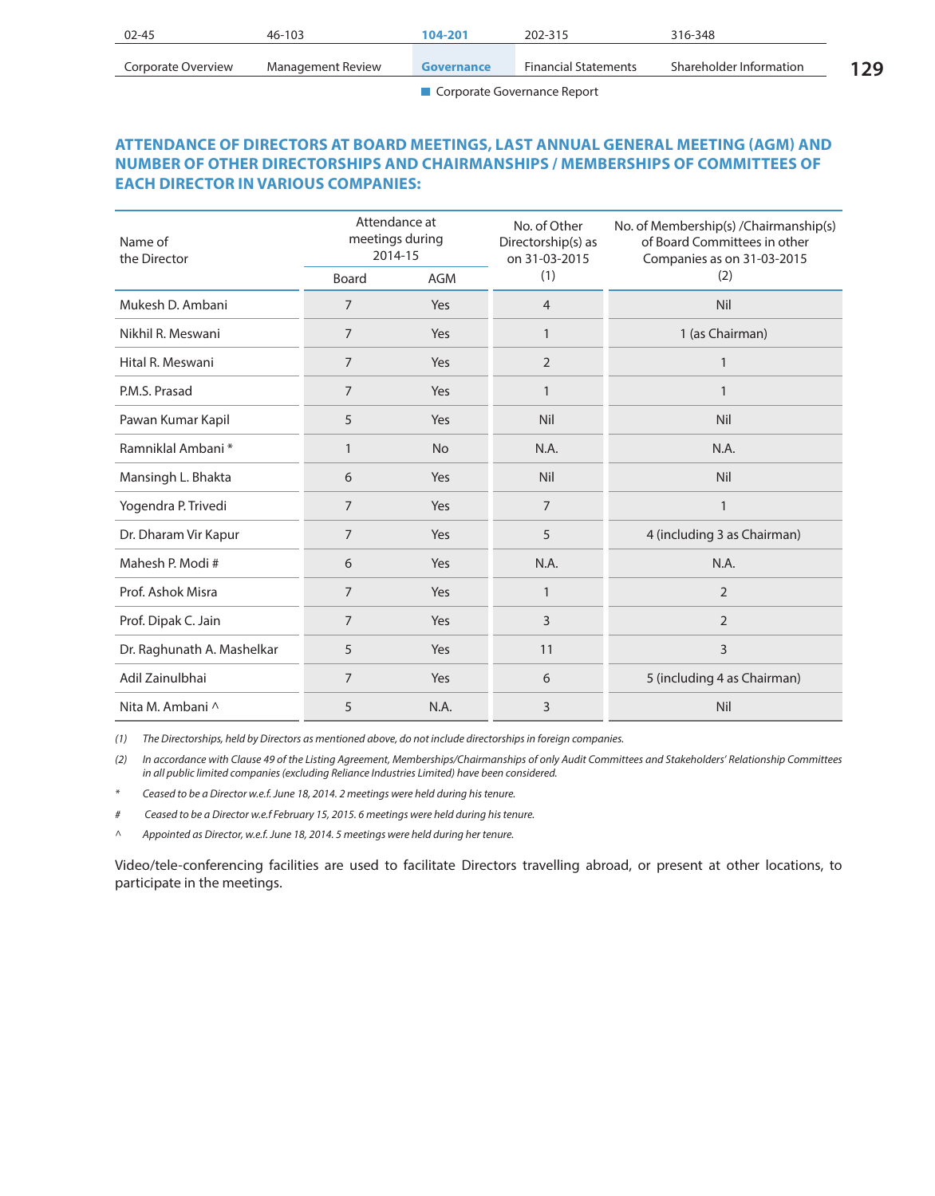| $02 - 45$          | 46-103            | 104-201    | 202-315                     | 316-348                 |    |
|--------------------|-------------------|------------|-----------------------------|-------------------------|----|
| Corporate Overview | Management Review | Governance | <b>Financial Statements</b> | Shareholder Information | 29 |

# **ATTENDANCE OF DIRECTORS AT BOARD MEETINGS, LAST ANNUAL GENERAL MEETING (AGM) AND NUMBER OF OTHER DIRECTORSHIPS AND CHAIRMANSHIPS / MEMBERSHIPS OF COMMITTEES OF EACH DIRECTOR IN VARIOUS COMPANIES:**

| Name of<br>the Director    | Attendance at<br>meetings during<br>2014-15 |            | No. of Other<br>Directorship(s) as<br>on 31-03-2015 | No. of Membership(s) / Chairmanship(s)<br>of Board Committees in other<br>Companies as on 31-03-2015 |  |
|----------------------------|---------------------------------------------|------------|-----------------------------------------------------|------------------------------------------------------------------------------------------------------|--|
|                            | Board                                       | <b>AGM</b> | (1)                                                 | (2)                                                                                                  |  |
| Mukesh D. Ambani           | $\overline{7}$                              | Yes        | $\overline{4}$                                      | Nil                                                                                                  |  |
| Nikhil R. Meswani          | $\overline{7}$                              | Yes        | $\mathbf{1}$                                        | 1 (as Chairman)                                                                                      |  |
| Hital R. Meswani           | $\overline{7}$                              | Yes        | $\overline{2}$                                      | $\mathbf{1}$                                                                                         |  |
| P.M.S. Prasad              | $\overline{7}$                              | Yes        | $\mathbf{1}$                                        | $\mathbf{1}$                                                                                         |  |
| Pawan Kumar Kapil          | 5                                           | Yes        | Nil                                                 | Nil                                                                                                  |  |
| Ramniklal Ambani*          | $\mathbf{1}$                                | <b>No</b>  | N.A.                                                | N.A.                                                                                                 |  |
| Mansingh L. Bhakta         | 6                                           | Yes        | Nil                                                 | Nil                                                                                                  |  |
| Yogendra P. Trivedi        | $\overline{7}$                              | Yes        | $\overline{7}$                                      | $\mathbf{1}$                                                                                         |  |
| Dr. Dharam Vir Kapur       | $\overline{7}$                              | Yes        | 5                                                   | 4 (including 3 as Chairman)                                                                          |  |
| Mahesh P. Modi#            | 6                                           | Yes        | N.A.                                                | N.A.                                                                                                 |  |
| Prof. Ashok Misra          | 7                                           | Yes        | $\mathbf{1}$                                        | $\overline{2}$                                                                                       |  |
| Prof. Dipak C. Jain        | $\overline{7}$                              | Yes        | 3                                                   | $\overline{2}$                                                                                       |  |
| Dr. Raghunath A. Mashelkar | 5                                           | Yes        | 11                                                  | 3                                                                                                    |  |
| Adil Zainulbhai            | 7                                           | Yes        | 6                                                   | 5 (including 4 as Chairman)                                                                          |  |
| Nita M. Ambani ^           | 5                                           | N.A.       | 3                                                   | Nil                                                                                                  |  |

*(1) The Directorships, held by Directors as mentioned above, do not include directorships in foreign companies.*

*(2) In accordance with Clause 49 of the Listing Agreement, Memberships/Chairmanships of only Audit Committees and Stakeholders' Relationship Committees in all public limited companies (excluding Reliance Industries Limited) have been considered.*

- *\* Ceased to be a Director w.e.f. June 18, 2014. 2 meetings were held during his tenure.*
- *# Ceased to be a Director w.e.f February 15, 2015. 6 meetings were held during his tenure.*
- *^ Appointed as Director, w.e.f. June 18, 2014. 5 meetings were held during her tenure.*

Video/tele-conferencing facilities are used to facilitate Directors travelling abroad, or present at other locations, to participate in the meetings.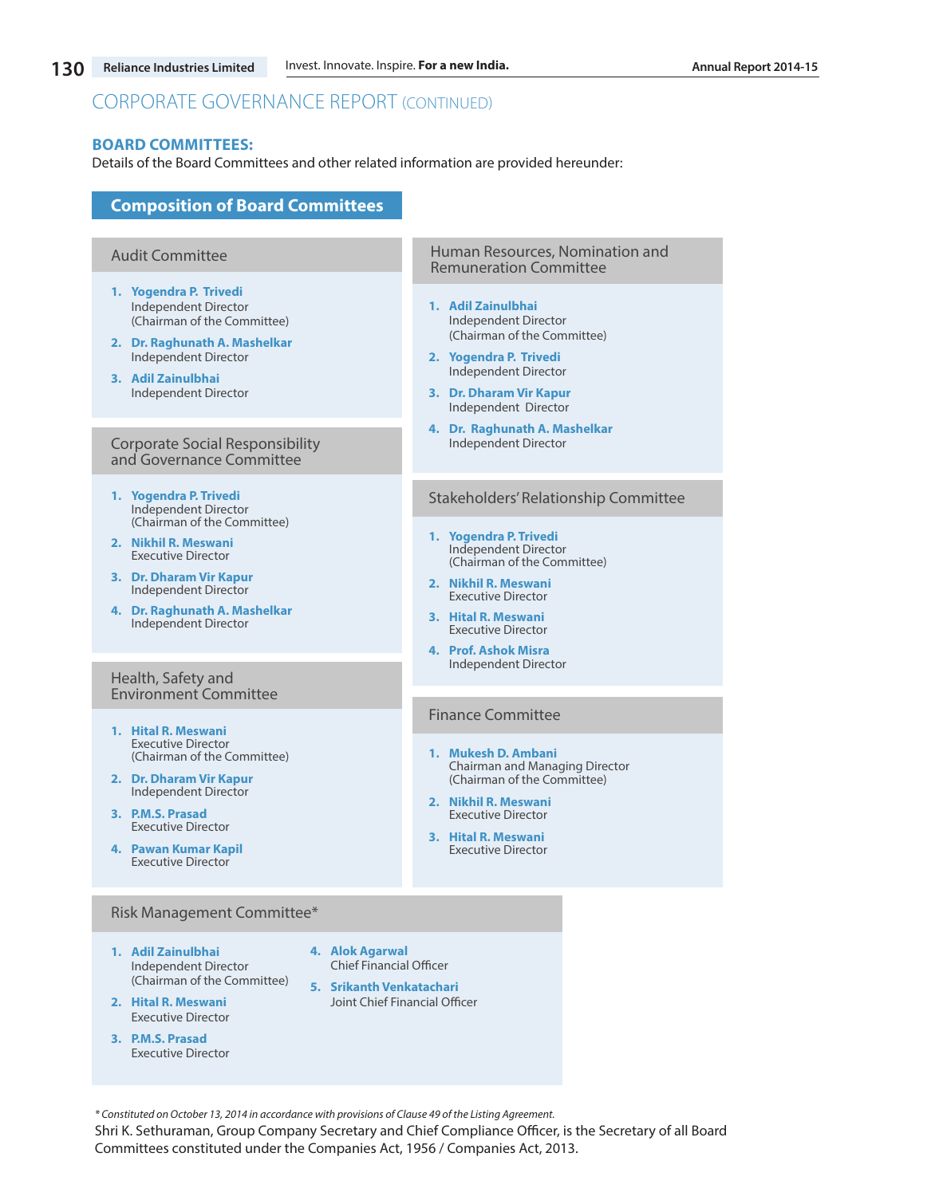#### **BOARD COMMITTEES:**

Details of the Board Committees and other related information are provided hereunder:

# **Composition of Board Committees**

#### Audit Committee

- **1. Yogendra P. Trivedi**  Independent Director (Chairman of the Committee)
- **2. Dr. Raghunath A. Mashelkar** Independent Director
- **3. Adil Zainulbhai** Independent Director

#### Corporate Social Responsibility and Governance Committee

- **1. Yogendra P. Trivedi** Independent Director (Chairman of the Committee)
- **2. Nikhil R. Meswani**  Executive Director
- **3. Dr. Dharam Vir Kapur** Independent Director
- **4. Dr. Raghunath A. Mashelkar** Independent Director

#### Health, Safety and Environment Committee

- **1. Hital R. Meswani**  Executive Director (Chairman of the Committee)
- **2. Dr. Dharam Vir Kapur**  Independent Director
- **3. P.M.S. Prasad**  Executive Director
- **4. Pawan Kumar Kapil** Executive Director

#### Risk Management Committee\*

- **1. Adil Zainulbhai** Independent Director (Chairman of the Committee)
- **2. Hital R. Meswani** Executive Director
- **3. P.M.S. Prasad** Executive Director
- **4. Alok Agarwal** Chief Financial Officer
- **5. Srikanth Venkatachari** Joint Chief Financial Officer

*\* Constituted on October 13, 2014 in accordance with provisions of Clause 49 of the Listing Agreement.*

Shri K. Sethuraman, Group Company Secretary and Chief Compliance Officer, is the Secretary of all Board Committees constituted under the Companies Act, 1956 / Companies Act, 2013.

#### Human Resources, Nomination and Remuneration Committee

- **1. Adil Zainulbhai** Independent Director (Chairman of the Committee)
- **2. Yogendra P. Trivedi** Independent Director
- **3. Dr. Dharam Vir Kapur** Independent Director
- **4. Dr. Raghunath A. Mashelkar** Independent Director

#### Stakeholders' Relationship Committee

- **1. Yogendra P. Trivedi** Independent Director (Chairman of the Committee)
- **2. Nikhil R. Meswani**  Executive Director
- **3. Hital R. Meswani** Executive Director
- **4. Prof. Ashok Misra**  Independent Director

# Finance Committee

- **1. Mukesh D. Ambani** Chairman and Managing Director (Chairman of the Committee)
- **2. Nikhil R. Meswani** Executive Director
- **3. Hital R. Meswani** Executive Director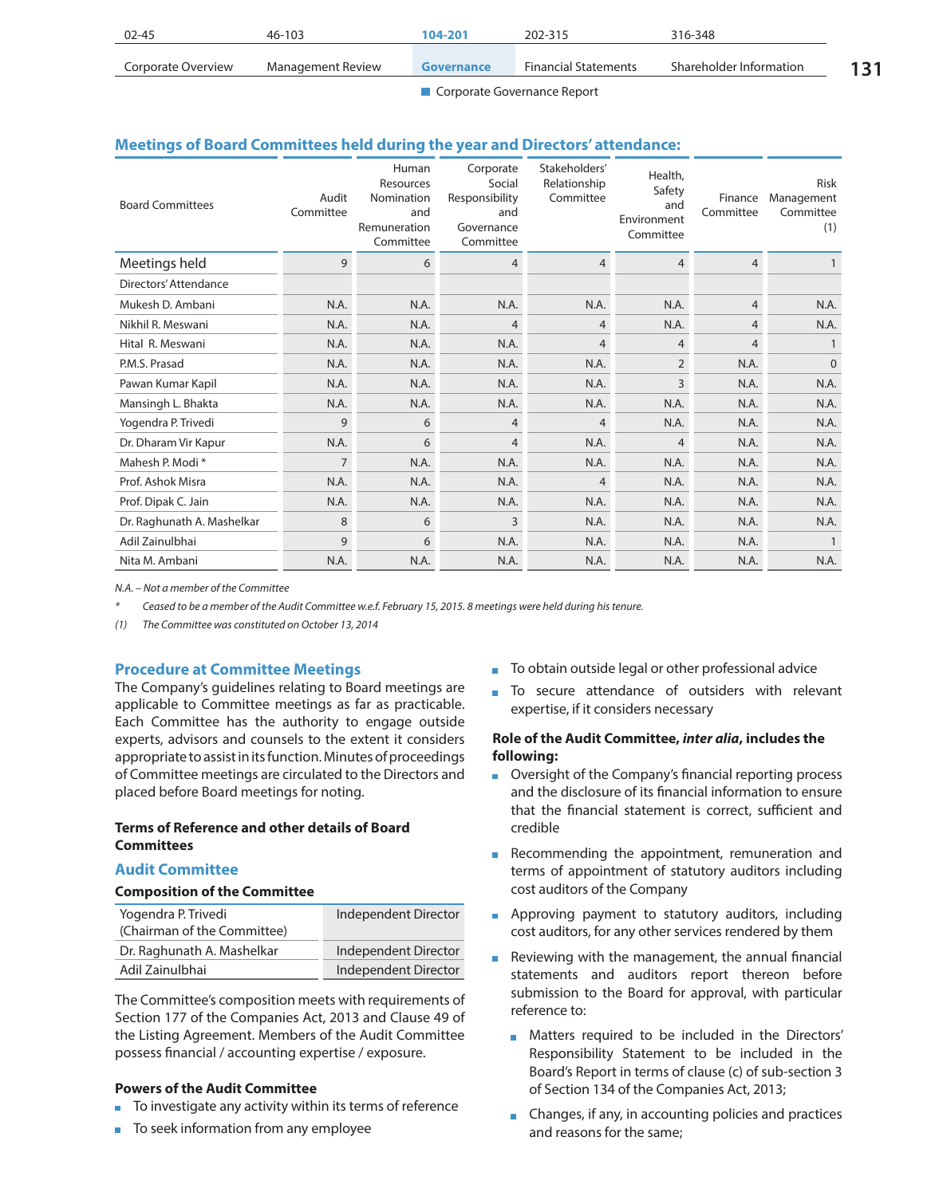| $02 - 45$          | 46-103            | 104-201    | 202-315                     | 316-348                 |  |
|--------------------|-------------------|------------|-----------------------------|-------------------------|--|
| Corporate Overview | Management Review | Governance | <b>Financial Statements</b> | Shareholder Information |  |

# **Meetings of Board Committees held during the year and Directors' attendance:**

| <b>Board Committees</b>    | Audit<br>Committee | Human<br>Resources<br>Nomination<br>and<br>Remuneration<br>Committee | Corporate<br>Social<br>Responsibility<br>and<br>Governance<br>Committee | Stakeholders'<br>Relationship<br>Committee | Health,<br>Safety<br>and<br>Environment<br>Committee | Finance<br>Committee | <b>Risk</b><br>Management<br>Committee<br>(1) |
|----------------------------|--------------------|----------------------------------------------------------------------|-------------------------------------------------------------------------|--------------------------------------------|------------------------------------------------------|----------------------|-----------------------------------------------|
| Meetings held              | 9                  | 6                                                                    | 4                                                                       | 4                                          | $\overline{4}$                                       | $\overline{4}$       |                                               |
| Directors' Attendance      |                    |                                                                      |                                                                         |                                            |                                                      |                      |                                               |
| Mukesh D. Ambani           | N.A.               | N.A.                                                                 | N.A.                                                                    | N.A.                                       | N.A.                                                 | 4                    | N.A.                                          |
| Nikhil R. Meswani          | N.A.               | N.A.                                                                 | 4                                                                       | 4                                          | N.A.                                                 | 4                    | N.A.                                          |
| Hital R. Meswani           | N.A.               | N.A.                                                                 | N.A.                                                                    | 4                                          | 4                                                    | 4                    |                                               |
| P.M.S. Prasad              | N.A.               | N.A.                                                                 | N.A.                                                                    | N.A.                                       | $\overline{2}$                                       | N.A.                 | $\Omega$                                      |
| Pawan Kumar Kapil          | N.A.               | N.A.                                                                 | N.A.                                                                    | N.A.                                       | 3                                                    | N.A.                 | N.A.                                          |
| Mansingh L. Bhakta         | N.A.               | N.A.                                                                 | N.A.                                                                    | N.A.                                       | N.A.                                                 | N.A.                 | N.A.                                          |
| Yogendra P. Trivedi        | 9                  | 6                                                                    | 4                                                                       | $\overline{4}$                             | N.A.                                                 | N.A.                 | N.A.                                          |
| Dr. Dharam Vir Kapur       | N.A.               | 6                                                                    | 4                                                                       | N.A.                                       | 4                                                    | N.A.                 | N.A.                                          |
| Mahesh P. Modi *           | 7                  | N.A.                                                                 | N.A.                                                                    | N.A.                                       | N.A.                                                 | N.A.                 | N.A.                                          |
| Prof. Ashok Misra          | N.A.               | N.A.                                                                 | N.A.                                                                    | 4                                          | N.A.                                                 | N.A.                 | N.A.                                          |
| Prof. Dipak C. Jain        | N.A.               | N.A.                                                                 | N.A.                                                                    | N.A.                                       | N.A.                                                 | N.A.                 | N.A.                                          |
| Dr. Raghunath A. Mashelkar | 8                  | 6                                                                    | 3                                                                       | N.A.                                       | N.A.                                                 | N.A.                 | N.A.                                          |
| Adil Zainulbhai            | 9                  | 6                                                                    | N.A.                                                                    | N.A.                                       | N.A.                                                 | N.A.                 |                                               |
| Nita M. Ambani             | N.A.               | N.A.                                                                 | N.A.                                                                    | N.A.                                       | N.A.                                                 | N.A.                 | N.A.                                          |

*N.A. – Not a member of the Committee*

*\* Ceased to be a member of the Audit Committee w.e.f. February 15, 2015. 8 meetings were held during his tenure.*

*(1) The Committee was constituted on October 13, 2014*

# **Procedure at Committee Meetings**

The Company's guidelines relating to Board meetings are applicable to Committee meetings as far as practicable. Each Committee has the authority to engage outside experts, advisors and counsels to the extent it considers appropriate to assist in its function. Minutes of proceedings of Committee meetings are circulated to the Directors and placed before Board meetings for noting.

### **Terms of Reference and other details of Board Committees**

#### **Audit Committee**

#### **Composition of the Committee**

| Yogendra P. Trivedi<br>(Chairman of the Committee) | Independent Director |
|----------------------------------------------------|----------------------|
| Dr. Raghunath A. Mashelkar                         | Independent Director |
| Adil Zainulbhai                                    | Independent Director |

The Committee's composition meets with requirements of Section 177 of the Companies Act, 2013 and Clause 49 of the Listing Agreement. Members of the Audit Committee possess financial / accounting expertise / exposure.

### **Powers of the Audit Committee**

- To investigate any activity within its terms of reference
- To seek information from any employee
- To obtain outside legal or other professional advice
- To secure attendance of outsiders with relevant expertise, if it considers necessary

### **Role of the Audit Committee,** *inter alia***, includes the following:**

- Oversight of the Company's financial reporting process and the disclosure of its financial information to ensure that the financial statement is correct, sufficient and credible
- Recommending the appointment, remuneration and terms of appointment of statutory auditors including cost auditors of the Company
- **Approving payment to statutory auditors, including** cost auditors, for any other services rendered by them
- Reviewing with the management, the annual financial  $\blacksquare$ statements and auditors report thereon before submission to the Board for approval, with particular reference to:
	- Matters required to be included in the Directors' Responsibility Statement to be included in the Board's Report in terms of clause (c) of sub-section 3 of Section 134 of the Companies Act, 2013;
	- **Changes, if any, in accounting policies and practices** and reasons for the same;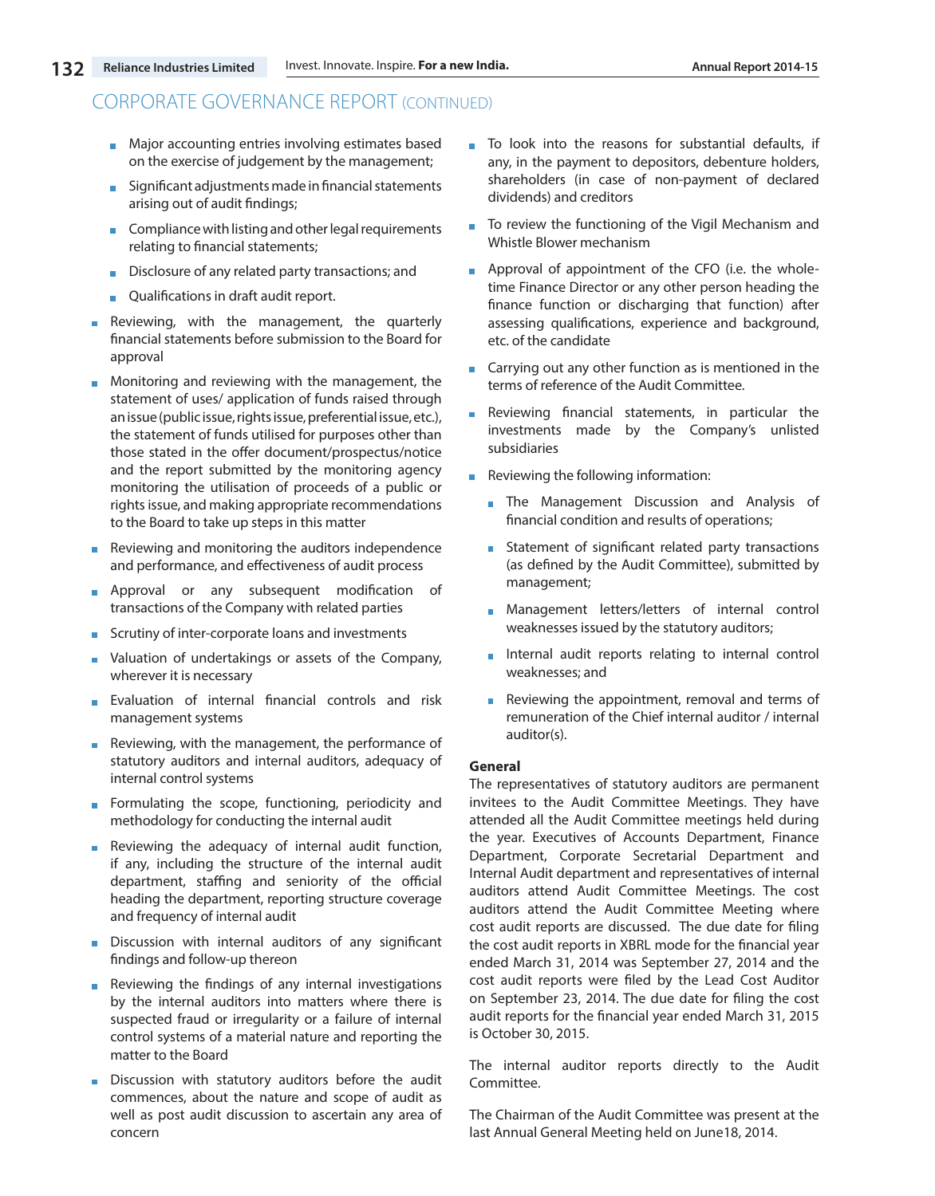- **Major accounting entries involving estimates based** on the exercise of judgement by the management;
- **Significant adjustments made in financial statements** arising out of audit findings;
- **Compliance with listing and other legal requirements** relating to financial statements;
- Disclosure of any related party transactions; and
- **Qualifications in draft audit report.**
- Reviewing, with the management, the quarterly financial statements before submission to the Board for approval
- **Monitoring and reviewing with the management, the** statement of uses/ application of funds raised through an issue (public issue, rights issue, preferential issue, etc.), the statement of funds utilised for purposes other than those stated in the offer document/prospectus/notice and the report submitted by the monitoring agency monitoring the utilisation of proceeds of a public or rights issue, and making appropriate recommendations to the Board to take up steps in this matter
- Reviewing and monitoring the auditors independence and performance, and effectiveness of audit process
- **Approval or any subsequent modification of** transactions of the Company with related parties
- Scrutiny of inter-corporate loans and investments
- **No.** Valuation of undertakings or assets of the Company, wherever it is necessary
- Evaluation of internal financial controls and risk management systems
- Reviewing, with the management, the performance of statutory auditors and internal auditors, adequacy of internal control systems
- Formulating the scope, functioning, periodicity and methodology for conducting the internal audit
- Reviewing the adequacy of internal audit function,  $\mathbf{m}$  . if any, including the structure of the internal audit department, staffing and seniority of the official heading the department, reporting structure coverage and frequency of internal audit
- Discussion with internal auditors of any significant findings and follow-up thereon
- Reviewing the findings of any internal investigations by the internal auditors into matters where there is suspected fraud or irregularity or a failure of internal control systems of a material nature and reporting the matter to the Board
- Discussion with statutory auditors before the audit commences, about the nature and scope of audit as well as post audit discussion to ascertain any area of concern
- To look into the reasons for substantial defaults, if any, in the payment to depositors, debenture holders, shareholders (in case of non-payment of declared dividends) and creditors
- H To review the functioning of the Vigil Mechanism and Whistle Blower mechanism
- **Approval of appointment of the CFO (i.e. the whole**time Finance Director or any other person heading the finance function or discharging that function) after assessing qualifications, experience and background, etc. of the candidate
- **Carrying out any other function as is mentioned in the** terms of reference of the Audit Committee.
- Reviewing financial statements, in particular the investments made by the Company's unlisted subsidiaries
- Reviewing the following information:
	- **The Management Discussion and Analysis of** financial condition and results of operations;
	- Statement of significant related party transactions (as defined by the Audit Committee), submitted by management;
	- **Management letters/letters of internal control** weaknesses issued by the statutory auditors;
	- Internal audit reports relating to internal control weaknesses; and
	- Reviewing the appointment, removal and terms of remuneration of the Chief internal auditor / internal auditor(s).

#### **General**

The representatives of statutory auditors are permanent invitees to the Audit Committee Meetings. They have attended all the Audit Committee meetings held during the year. Executives of Accounts Department, Finance Department, Corporate Secretarial Department and Internal Audit department and representatives of internal auditors attend Audit Committee Meetings. The cost auditors attend the Audit Committee Meeting where cost audit reports are discussed. The due date for filing the cost audit reports in XBRL mode for the financial year ended March 31, 2014 was September 27, 2014 and the cost audit reports were filed by the Lead Cost Auditor on September 23, 2014. The due date for filing the cost audit reports for the financial year ended March 31, 2015 is October 30, 2015.

The internal auditor reports directly to the Audit Committee.

The Chairman of the Audit Committee was present at the last Annual General Meeting held on June18, 2014.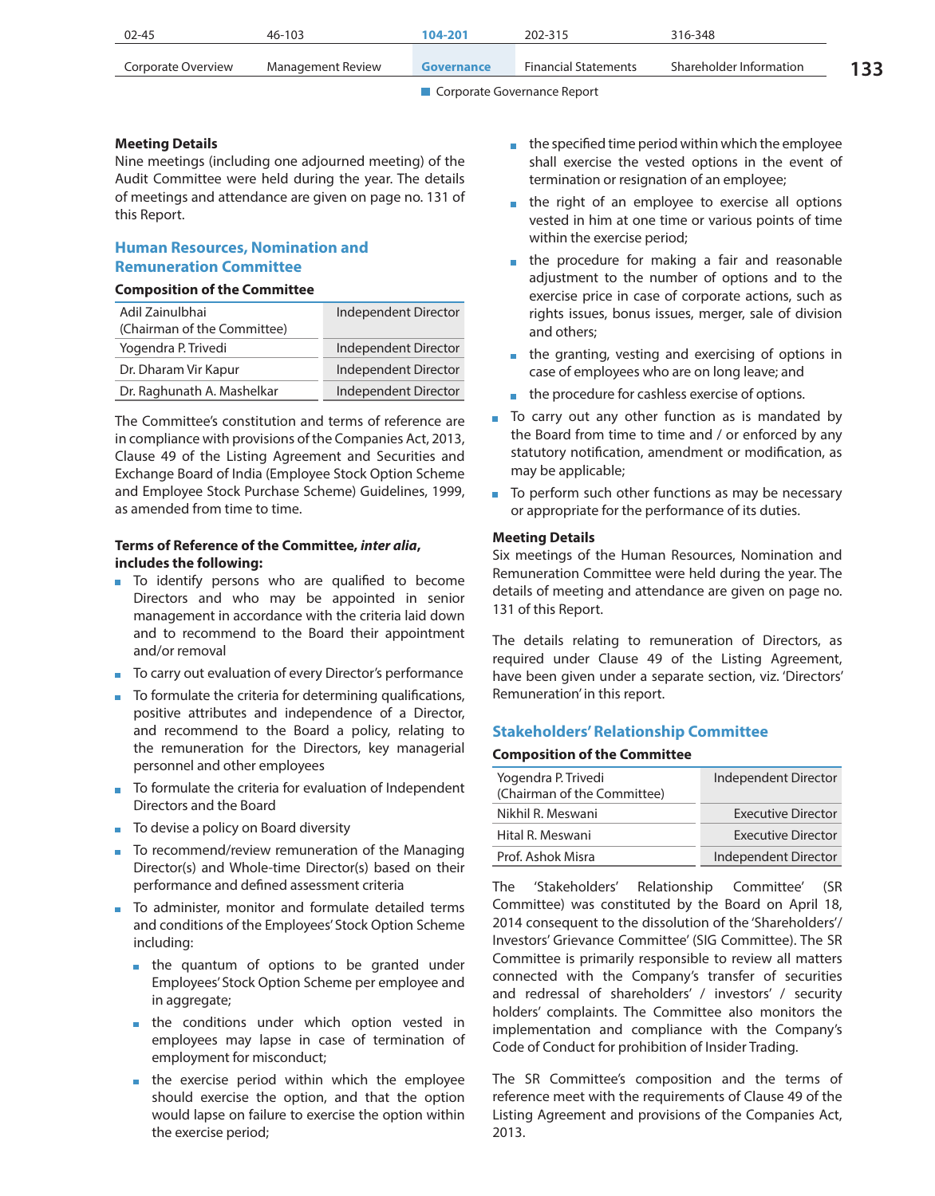| 02-45              | 46-103            | 104-201           | 202-315                     | 316-348                 |  |
|--------------------|-------------------|-------------------|-----------------------------|-------------------------|--|
| Corporate Overview | Management Review | <b>Governance</b> | <b>Financial Statements</b> | Shareholder Information |  |

#### **Meeting Details**

Nine meetings (including one adjourned meeting) of the Audit Committee were held during the year. The details of meetings and attendance are given on page no. 131 of this Report.

# **Human Resources, Nomination and Remuneration Committee**

#### **Composition of the Committee**

| Adil Zainulbhai<br>(Chairman of the Committee) | Independent Director |
|------------------------------------------------|----------------------|
| Yogendra P. Trivedi                            | Independent Director |
| Dr. Dharam Vir Kapur                           | Independent Director |
| Dr. Raghunath A. Mashelkar                     | Independent Director |

The Committee's constitution and terms of reference are in compliance with provisions of the Companies Act, 2013, Clause 49 of the Listing Agreement and Securities and Exchange Board of India (Employee Stock Option Scheme and Employee Stock Purchase Scheme) Guidelines, 1999, as amended from time to time.

# **Terms of Reference of the Committee,** *inter alia***, includes the following:**

- To identify persons who are qualified to become Directors and who may be appointed in senior management in accordance with the criteria laid down and to recommend to the Board their appointment and/or removal
- To carry out evaluation of every Director's performance
- $\blacksquare$  To formulate the criteria for determining qualifications, positive attributes and independence of a Director, and recommend to the Board a policy, relating to the remuneration for the Directors, key managerial personnel and other employees
- $\blacksquare$  To formulate the criteria for evaluation of Independent Directors and the Board
- To devise a policy on Board diversity
- $\blacksquare$  To recommend/review remuneration of the Managing Director(s) and Whole-time Director(s) based on their performance and defined assessment criteria
- To administer, monitor and formulate detailed terms and conditions of the Employees' Stock Option Scheme including:
	- **the quantum of options to be granted under** Employees' Stock Option Scheme per employee and in aggregate;
	- **the conditions under which option vested in** employees may lapse in case of termination of employment for misconduct;
	- $\blacksquare$  the exercise period within which the employee should exercise the option, and that the option would lapse on failure to exercise the option within the exercise period;
- $\blacksquare$  the specified time period within which the employee shall exercise the vested options in the event of termination or resignation of an employee;
- the right of an employee to exercise all options vested in him at one time or various points of time within the exercise period;
- the procedure for making a fair and reasonable adjustment to the number of options and to the exercise price in case of corporate actions, such as rights issues, bonus issues, merger, sale of division and others;
- the granting, vesting and exercising of options in case of employees who are on long leave; and
- the procedure for cashless exercise of options.
- To carry out any other function as is mandated by the Board from time to time and / or enforced by any statutory notification, amendment or modification, as may be applicable;
- To perform such other functions as may be necessary or appropriate for the performance of its duties.

#### **Meeting Details**

Six meetings of the Human Resources, Nomination and Remuneration Committee were held during the year. The details of meeting and attendance are given on page no. 131 of this Report.

The details relating to remuneration of Directors, as required under Clause 49 of the Listing Agreement, have been given under a separate section, viz. 'Directors' Remuneration' in this report.

# **Stakeholders' Relationship Committee**

#### **Composition of the Committee**

| Independent Director      |
|---------------------------|
| <b>Executive Director</b> |
| <b>Executive Director</b> |
| Independent Director      |
|                           |

The 'Stakeholders' Relationship Committee' (SR Committee) was constituted by the Board on April 18, 2014 consequent to the dissolution of the 'Shareholders'/ Investors' Grievance Committee' (SIG Committee). The SR Committee is primarily responsible to review all matters connected with the Company's transfer of securities and redressal of shareholders' / investors' / security holders' complaints. The Committee also monitors the implementation and compliance with the Company's Code of Conduct for prohibition of Insider Trading.

The SR Committee's composition and the terms of reference meet with the requirements of Clause 49 of the Listing Agreement and provisions of the Companies Act, 2013.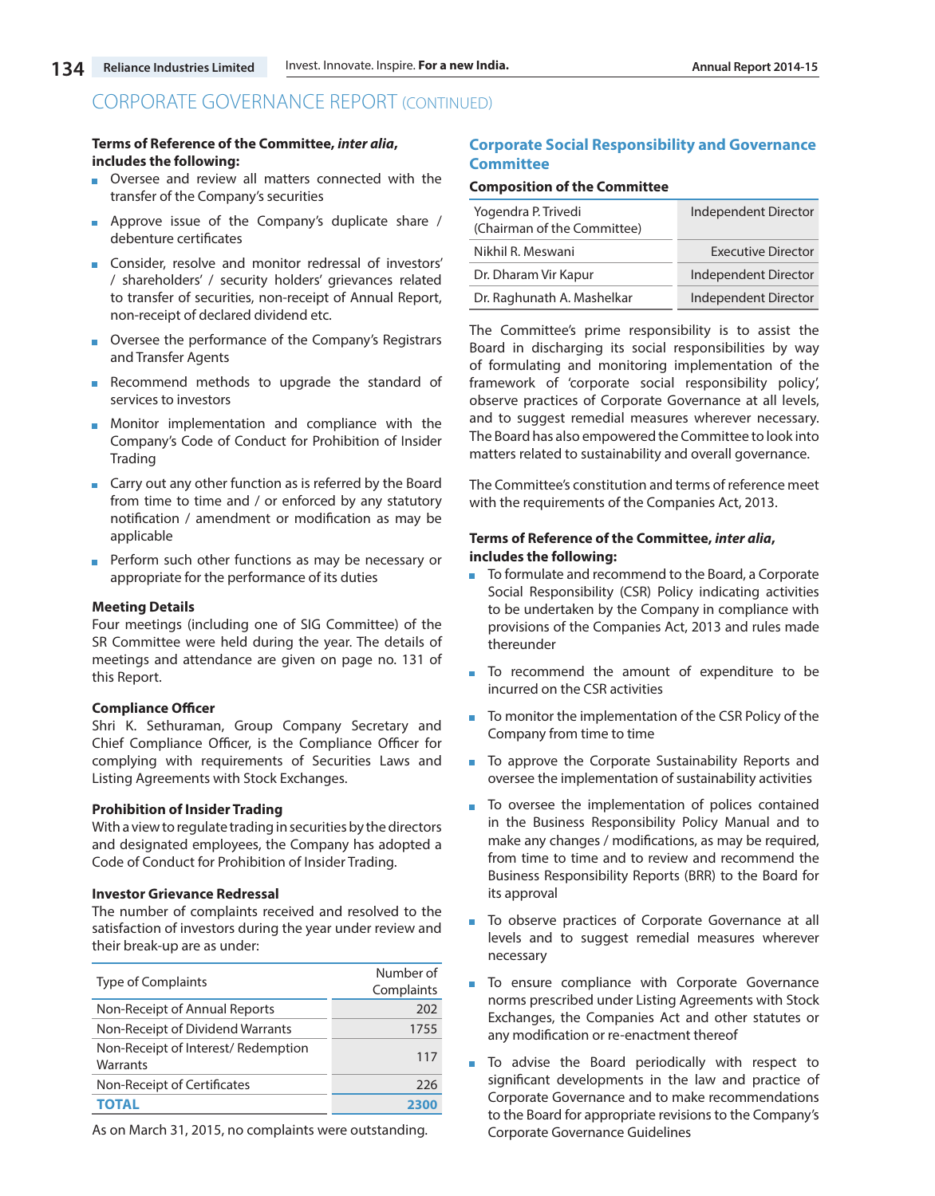#### **Terms of Reference of the Committee,** *inter alia***, includes the following:**

- Oversee and review all matters connected with the transfer of the Company's securities
- **Approve issue of the Company's duplicate share /** debenture certificates
- Consider, resolve and monitor redressal of investors' / shareholders' / security holders' grievances related to transfer of securities, non-receipt of Annual Report, non-receipt of declared dividend etc.
- Oversee the performance of the Company's Registrars and Transfer Agents
- Recommend methods to upgrade the standard of services to investors
- **Monitor implementation and compliance with the** Company's Code of Conduct for Prohibition of Insider Trading
- **Carry out any other function as is referred by the Board** from time to time and / or enforced by any statutory notification / amendment or modification as may be applicable
- **Perform such other functions as may be necessary or** appropriate for the performance of its duties

### **Meeting Details**

Four meetings (including one of SIG Committee) of the SR Committee were held during the year. The details of meetings and attendance are given on page no. 131 of this Report.

#### **Compliance Officer**

Shri K. Sethuraman, Group Company Secretary and Chief Compliance Officer, is the Compliance Officer for complying with requirements of Securities Laws and Listing Agreements with Stock Exchanges.

#### **Prohibition of Insider Trading**

With a view to regulate trading in securities by the directors and designated employees, the Company has adopted a Code of Conduct for Prohibition of Insider Trading.

#### **Investor Grievance Redressal**

The number of complaints received and resolved to the satisfaction of investors during the year under review and their break-up are as under:

| <b>Type of Complaints</b>                       | Number of<br>Complaints |
|-------------------------------------------------|-------------------------|
| Non-Receipt of Annual Reports                   | 202                     |
| Non-Receipt of Dividend Warrants                | 1755                    |
| Non-Receipt of Interest/ Redemption<br>Warrants | 117                     |
| Non-Receipt of Certificates                     | 226                     |
|                                                 | 2300                    |

As on March 31, 2015, no complaints were outstanding.

# **Corporate Social Responsibility and Governance Committee**

#### **Composition of the Committee**

| Yogendra P. Trivedi<br>(Chairman of the Committee) | Independent Director      |
|----------------------------------------------------|---------------------------|
| Nikhil R. Meswani                                  | <b>Executive Director</b> |
| Dr. Dharam Vir Kapur                               | Independent Director      |
| Dr. Raghunath A. Mashelkar                         | Independent Director      |

The Committee's prime responsibility is to assist the Board in discharging its social responsibilities by way of formulating and monitoring implementation of the framework of 'corporate social responsibility policy', observe practices of Corporate Governance at all levels, and to suggest remedial measures wherever necessary. The Board has also empowered the Committee to look into matters related to sustainability and overall governance.

The Committee's constitution and terms of reference meet with the requirements of the Companies Act, 2013.

#### **Terms of Reference of the Committee,** *inter alia***, includes the following:**

- To formulate and recommend to the Board, a Corporate ÷. Social Responsibility (CSR) Policy indicating activities to be undertaken by the Company in compliance with provisions of the Companies Act, 2013 and rules made thereunder
- To recommend the amount of expenditure to be incurred on the CSR activities
- m. To monitor the implementation of the CSR Policy of the Company from time to time
- To approve the Corporate Sustainability Reports and oversee the implementation of sustainability activities
- To oversee the implementation of polices contained in the Business Responsibility Policy Manual and to make any changes / modifications, as may be required, from time to time and to review and recommend the Business Responsibility Reports (BRR) to the Board for its approval
- To observe practices of Corporate Governance at all Ē, levels and to suggest remedial measures wherever necessary
- To ensure compliance with Corporate Governance norms prescribed under Listing Agreements with Stock Exchanges, the Companies Act and other statutes or any modification or re-enactment thereof
- To advise the Board periodically with respect to significant developments in the law and practice of Corporate Governance and to make recommendations to the Board for appropriate revisions to the Company's Corporate Governance Guidelines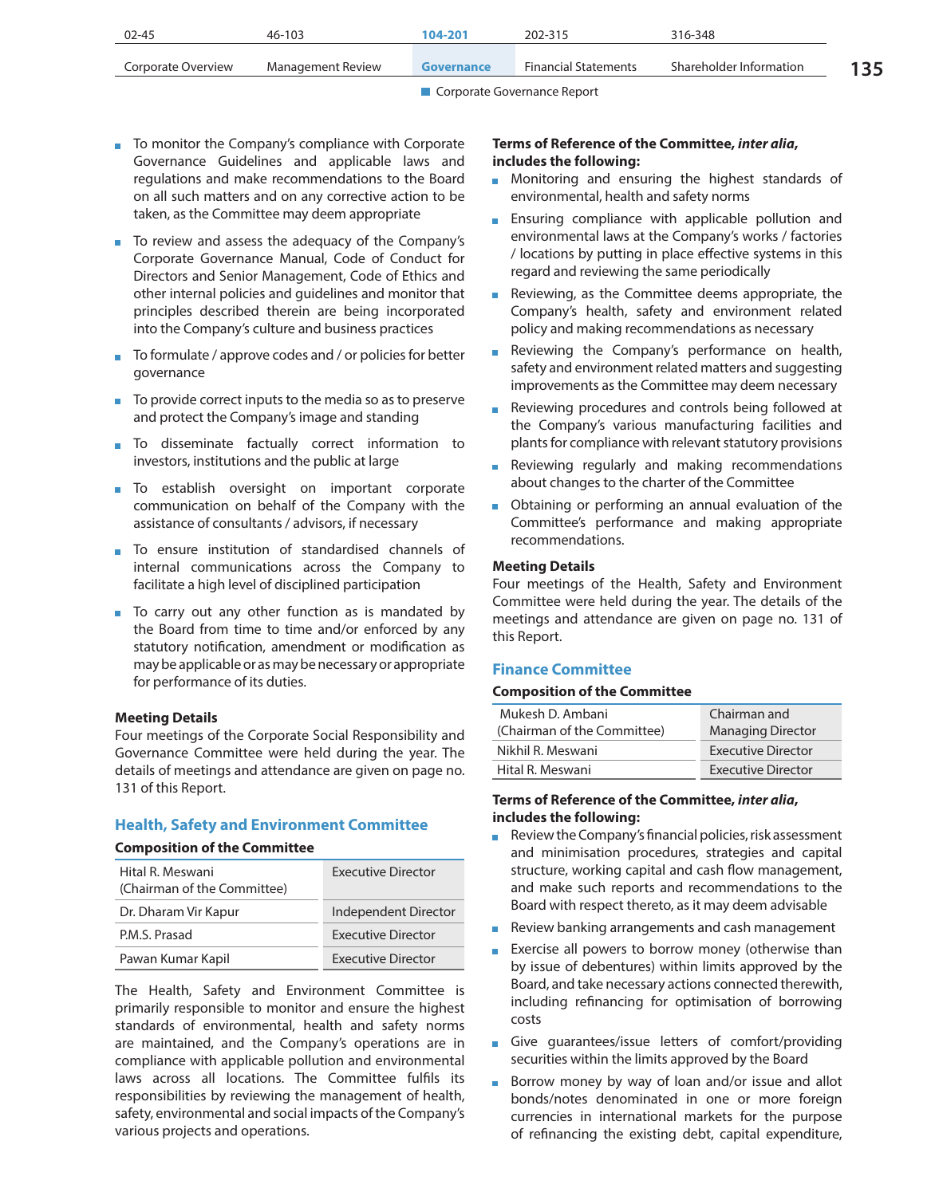| 02-45              | 46-103            | 104-201    | 202-315                     | 316-348                 |     |
|--------------------|-------------------|------------|-----------------------------|-------------------------|-----|
| Corporate Overview | Management Review | Governance | <b>Financial Statements</b> | Shareholder Information | 135 |

- To monitor the Company's compliance with Corporate Governance Guidelines and applicable laws and regulations and make recommendations to the Board on all such matters and on any corrective action to be taken, as the Committee may deem appropriate
- To review and assess the adequacy of the Company's Corporate Governance Manual, Code of Conduct for Directors and Senior Management, Code of Ethics and other internal policies and guidelines and monitor that principles described therein are being incorporated into the Company's culture and business practices
- To formulate / approve codes and / or policies for better governance
- $\blacksquare$  To provide correct inputs to the media so as to preserve and protect the Company's image and standing
- **To** disseminate factually correct information to investors, institutions and the public at large
- **To establish oversight on important corporate** communication on behalf of the Company with the assistance of consultants / advisors, if necessary
- To ensure institution of standardised channels of internal communications across the Company to facilitate a high level of disciplined participation
- To carry out any other function as is mandated by the Board from time to time and/or enforced by any statutory notification, amendment or modification as may be applicable or as may be necessary or appropriate for performance of its duties.

#### **Meeting Details**

Four meetings of the Corporate Social Responsibility and Governance Committee were held during the year. The details of meetings and attendance are given on page no. 131 of this Report.

#### **Health, Safety and Environment Committee**

#### **Composition of the Committee**

| Hital R. Meswani<br>(Chairman of the Committee) | <b>Executive Director</b> |
|-------------------------------------------------|---------------------------|
| Dr. Dharam Vir Kapur                            | Independent Director      |
| P.M.S. Prasad                                   | <b>Executive Director</b> |
| Pawan Kumar Kapil                               | <b>Executive Director</b> |

The Health, Safety and Environment Committee is primarily responsible to monitor and ensure the highest standards of environmental, health and safety norms are maintained, and the Company's operations are in compliance with applicable pollution and environmental laws across all locations. The Committee fulfils its responsibilities by reviewing the management of health, safety, environmental and social impacts of the Company's various projects and operations.

### **Terms of Reference of the Committee,** *inter alia***, includes the following:**

- **Monitoring and ensuring the highest standards of** environmental, health and safety norms
- **Ensuring compliance with applicable pollution and** environmental laws at the Company's works / factories / locations by putting in place effective systems in this regard and reviewing the same periodically
- Reviewing, as the Committee deems appropriate, the Company's health, safety and environment related policy and making recommendations as necessary
- Reviewing the Company's performance on health,  $\mathbf{u}$ safety and environment related matters and suggesting improvements as the Committee may deem necessary
- Reviewing procedures and controls being followed at  $\mathbf{u}$ the Company's various manufacturing facilities and plants for compliance with relevant statutory provisions
- Reviewing regularly and making recommendations about changes to the charter of the Committee
- **D** Obtaining or performing an annual evaluation of the Committee's performance and making appropriate recommendations.

#### **Meeting Details**

Four meetings of the Health, Safety and Environment Committee were held during the year. The details of the meetings and attendance are given on page no. 131 of this Report.

#### **Finance Committee**

#### **Composition of the Committee**

| Mukesh D. Ambani<br>(Chairman of the Committee) | Chairman and<br><b>Managing Director</b> |
|-------------------------------------------------|------------------------------------------|
| Nikhil R. Meswani                               | Executive Director                       |
| Hital R. Meswani                                | Executive Director                       |

#### **Terms of Reference of the Committee,** *inter alia***, includes the following:**

- Review the Company's financial policies, risk assessment and minimisation procedures, strategies and capital structure, working capital and cash flow management, and make such reports and recommendations to the Board with respect thereto, as it may deem advisable
- Review banking arrangements and cash management
- **Exercise all powers to borrow money (otherwise than** by issue of debentures) within limits approved by the Board, and take necessary actions connected therewith, including refinancing for optimisation of borrowing costs
- Give quarantees/issue letters of comfort/providing securities within the limits approved by the Board
- Borrow money by way of loan and/or issue and allot bonds/notes denominated in one or more foreign currencies in international markets for the purpose of refinancing the existing debt, capital expenditure,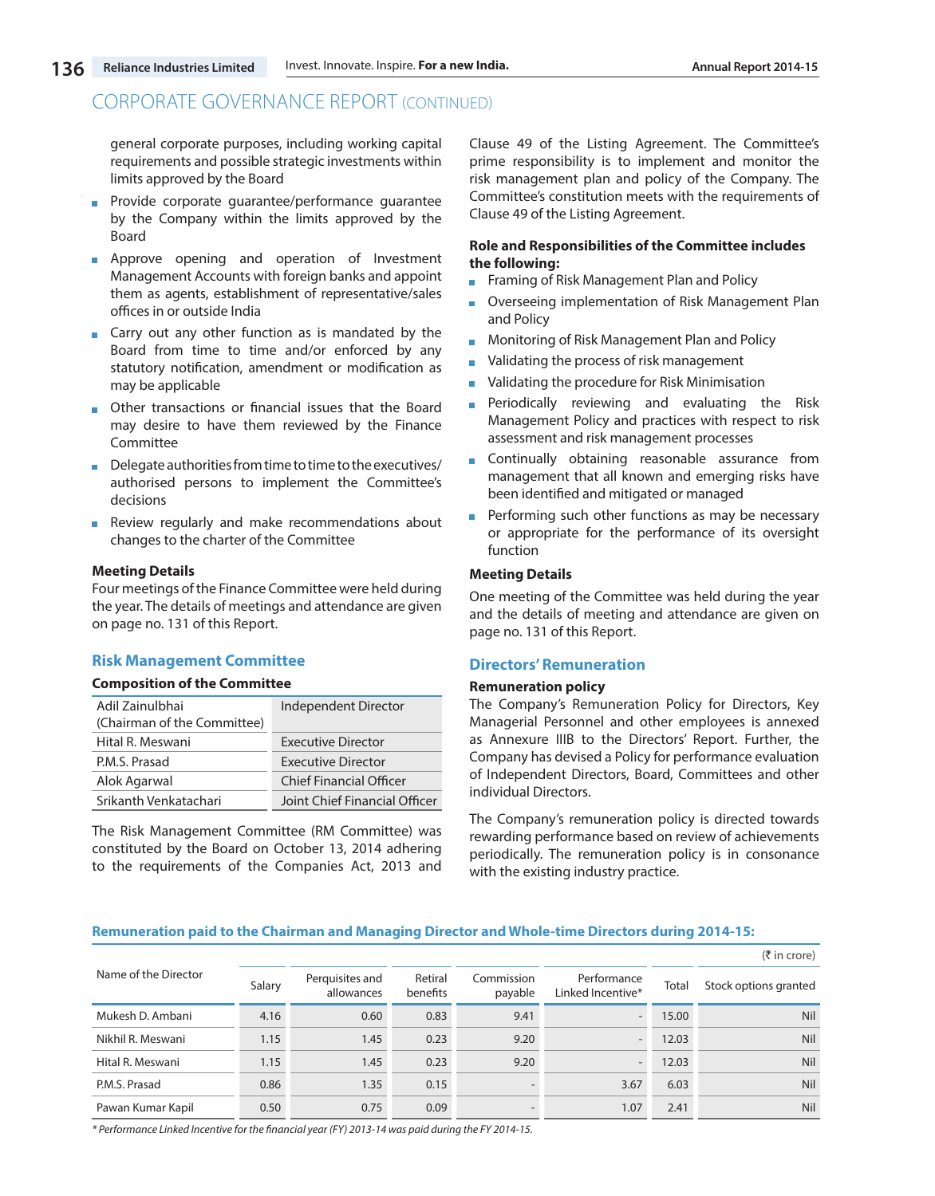general corporate purposes, including working capital requirements and possible strategic investments within limits approved by the Board

- **Provide corporate quarantee/performance quarantee** by the Company within the limits approved by the Board
- **Approve opening and operation of Investment** Management Accounts with foreign banks and appoint them as agents, establishment of representative/sales offices in or outside India
- **Carry out any other function as is mandated by the** Board from time to time and/or enforced by any statutory notification, amendment or modification as may be applicable
- **Diam** Other transactions or financial issues that the Board may desire to have them reviewed by the Finance Committee
- Delegate authorities from time to time to the executives/ authorised persons to implement the Committee's decisions
- **Review regularly and make recommendations about** changes to the charter of the Committee

#### **Meeting Details**

Four meetings of the Finance Committee were held during the year. The details of meetings and attendance are given on page no. 131 of this Report.

#### **Risk Management Committee**

#### **Composition of the Committee**

| Adil Zainulbhai<br>(Chairman of the Committee) | Independent Director           |
|------------------------------------------------|--------------------------------|
| Hital R. Meswani                               | <b>Executive Director</b>      |
| P.M.S. Prasad                                  | <b>Executive Director</b>      |
| Alok Agarwal                                   | <b>Chief Financial Officer</b> |
| Srikanth Venkatachari                          | Joint Chief Financial Officer  |

The Risk Management Committee (RM Committee) was constituted by the Board on October 13, 2014 adhering to the requirements of the Companies Act, 2013 and Clause 49 of the Listing Agreement. The Committee's prime responsibility is to implement and monitor the risk management plan and policy of the Company. The Committee's constitution meets with the requirements of Clause 49 of the Listing Agreement.

#### **Role and Responsibilities of the Committee includes the following:**

- **Framing of Risk Management Plan and Policy**
- Overseeing implementation of Risk Management Plan and Policy
- **Monitoring of Risk Management Plan and Policy**
- Validating the process of risk management
- Validating the procedure for Risk Minimisation
- **Periodically reviewing and evaluating the Risk** Management Policy and practices with respect to risk assessment and risk management processes
- Continually obtaining reasonable assurance from m. management that all known and emerging risks have been identified and mitigated or managed
- Performing such other functions as may be necessary or appropriate for the performance of its oversight function

#### **Meeting Details**

One meeting of the Committee was held during the year and the details of meeting and attendance are given on page no. 131 of this Report.

#### **Directors' Remuneration**

#### **Remuneration policy**

The Company's Remuneration Policy for Directors, Key Managerial Personnel and other employees is annexed as Annexure IIIB to the Directors' Report. Further, the Company has devised a Policy for performance evaluation of Independent Directors, Board, Committees and other individual Directors.

The Company's remuneration policy is directed towards rewarding performance based on review of achievements periodically. The remuneration policy is in consonance with the existing industry practice.

#### **Remuneration paid to the Chairman and Managing Director and Whole-time Directors during 2014-15:**

|                      |        |                               |                     |                       |                                  |       | $(3\overline{5})$ in crore) |
|----------------------|--------|-------------------------------|---------------------|-----------------------|----------------------------------|-------|-----------------------------|
| Name of the Director | Salary | Perquisites and<br>allowances | Retiral<br>benefits | Commission<br>payable | Performance<br>Linked Incentive* | Total | Stock options granted       |
| Mukesh D. Ambani     | 4.16   | 0.60                          | 0.83                | 9.41                  |                                  | 15.00 | <b>Nil</b>                  |
| Nikhil R. Meswani    | 1.15   | 1.45                          | 0.23                | 9.20                  |                                  | 12.03 | <b>Nil</b>                  |
| Hital R. Meswani     | 1.15   | 1.45                          | 0.23                | 9.20                  |                                  | 12.03 | <b>Nil</b>                  |
| P.M.S. Prasad        | 0.86   | 1.35                          | 0.15                |                       | 3.67                             | 6.03  | <b>Nil</b>                  |
| Pawan Kumar Kapil    | 0.50   | 0.75                          | 0.09                |                       | 1.07                             | 2.41  | Nil                         |

*\* Performance Linked Incentive for the financial year (FY) 2013-14 was paid during the FY 2014-15.*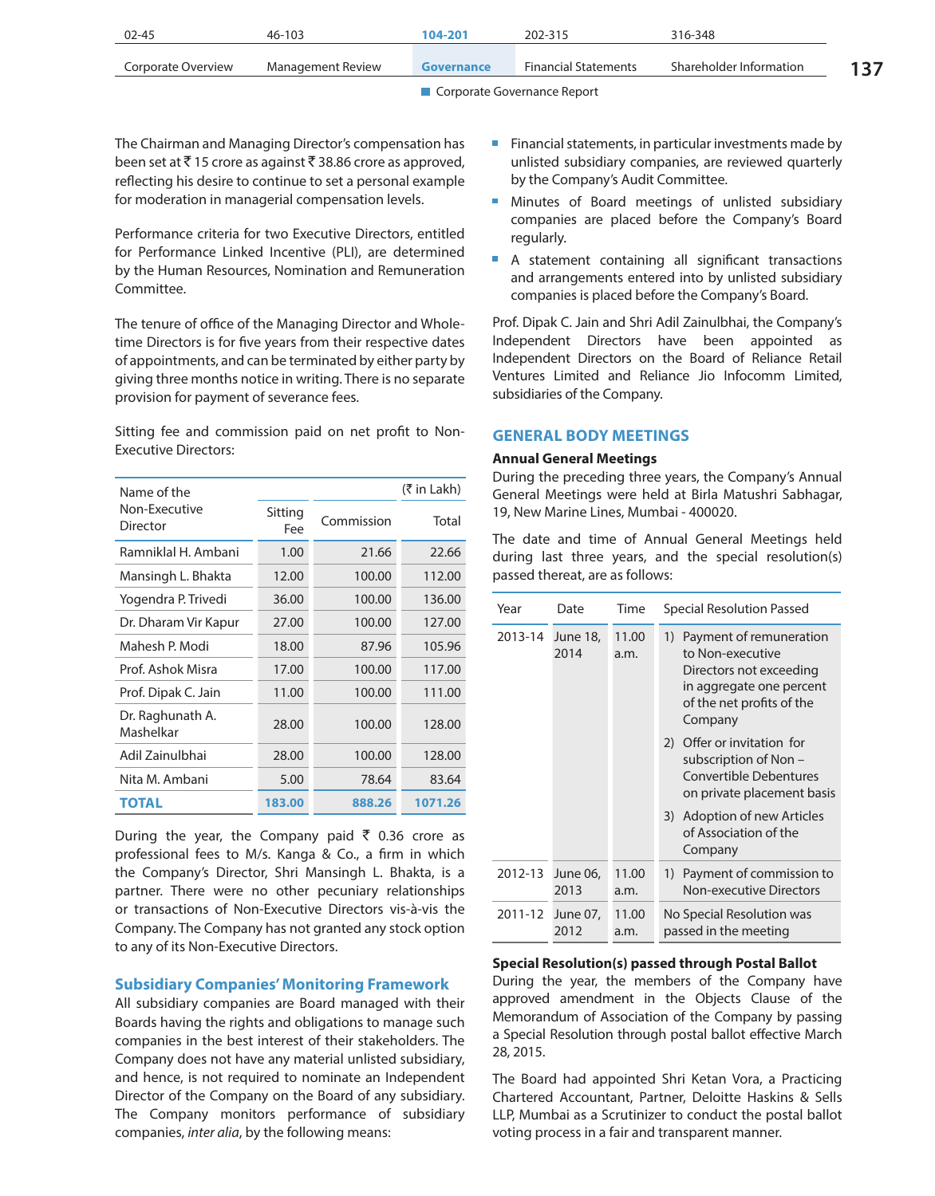| 02-45              | 46-103            | 104-201           | 202-315                     | 316-348                 |  |
|--------------------|-------------------|-------------------|-----------------------------|-------------------------|--|
| Corporate Overview | Management Review | <b>Governance</b> | <b>Financial Statements</b> | Shareholder Information |  |

The Chairman and Managing Director's compensation has been set at  $\bar{\tau}$  15 crore as against  $\bar{\tau}$  38.86 crore as approved, reflecting his desire to continue to set a personal example for moderation in managerial compensation levels.

Performance criteria for two Executive Directors, entitled for Performance Linked Incentive (PLI), are determined by the Human Resources, Nomination and Remuneration Committee.

The tenure of office of the Managing Director and Wholetime Directors is for five years from their respective dates of appointments, and can be terminated by either party by giving three months notice in writing. There is no separate provision for payment of severance fees.

Sitting fee and commission paid on net profit to Non-Executive Directors:

| Name of the                   |                |            | (₹ in Lakh) |
|-------------------------------|----------------|------------|-------------|
| Non-Executive<br>Director     | Sitting<br>Fee | Commission | Total       |
| Ramniklal H. Ambani           | 1.00           | 21.66      | 22.66       |
| Mansingh L. Bhakta            | 12.00          | 100.00     | 112.00      |
| Yogendra P. Trivedi           | 36.00          | 100.00     | 136.00      |
| Dr. Dharam Vir Kapur          | 27.00          | 100.00     | 127.00      |
| Mahesh P. Modi                | 18.00          | 87.96      | 105.96      |
| Prof. Ashok Misra             | 17.00          | 100.00     | 117.00      |
| Prof. Dipak C. Jain           | 11.00          | 100.00     | 111.00      |
| Dr. Raghunath A.<br>Mashelkar | 28.00          | 100.00     | 128.00      |
| Adil Zainulbhai               | 28.00          | 100.00     | 128.00      |
| Nita M. Ambani                | 5.00           | 78.64      | 83.64       |
| <b>TOTAL</b>                  | 183.00         | 888.26     | 1071.26     |

During the year, the Company paid  $\bar{\tau}$  0.36 crore as professional fees to M/s. Kanga & Co., a firm in which the Company's Director, Shri Mansingh L. Bhakta, is a partner. There were no other pecuniary relationships or transactions of Non-Executive Directors vis-à-vis the Company. The Company has not granted any stock option to any of its Non-Executive Directors.

#### **Subsidiary Companies' Monitoring Framework**

All subsidiary companies are Board managed with their Boards having the rights and obligations to manage such companies in the best interest of their stakeholders. The Company does not have any material unlisted subsidiary, and hence, is not required to nominate an Independent Director of the Company on the Board of any subsidiary. The Company monitors performance of subsidiary companies, *inter alia*, by the following means:

- Financial statements, in particular investments made by unlisted subsidiary companies, are reviewed quarterly by the Company's Audit Committee.
- **Minutes of Board meetings of unlisted subsidiary** companies are placed before the Company's Board regularly.
- A statement containing all significant transactions and arrangements entered into by unlisted subsidiary companies is placed before the Company's Board.

Prof. Dipak C. Jain and Shri Adil Zainulbhai, the Company's Independent Directors have been appointed as Independent Directors on the Board of Reliance Retail Ventures Limited and Reliance Jio Infocomm Limited, subsidiaries of the Company.

#### **GENERAL BODY MEETINGS**

### **Annual General Meetings**

During the preceding three years, the Company's Annual General Meetings were held at Birla Matushri Sabhagar, 19, New Marine Lines, Mumbai - 400020.

The date and time of Annual General Meetings held during last three years, and the special resolution(s) passed thereat, are as follows:

| Year    | Date             | Time          | Special Resolution Passed                                                                                                                     |
|---------|------------------|---------------|-----------------------------------------------------------------------------------------------------------------------------------------------|
| 2013-14 | June 18,<br>2014 | 11.00<br>a.m. | 1) Payment of remuneration<br>to Non-executive<br>Directors not exceeding<br>in aggregate one percent<br>of the net profits of the<br>Company |
|         |                  |               | 2) Offer or invitation for<br>subscription of Non –<br><b>Convertible Debentures</b><br>on private placement basis                            |
|         |                  |               | 3) Adoption of new Articles<br>of Association of the<br>Company                                                                               |
| 2012-13 | June 06,<br>2013 | 11.00<br>a.m. | Payment of commission to<br>1)<br>Non-executive Directors                                                                                     |
| 2011-12 | June 07,<br>2012 | 11.00<br>a.m. | No Special Resolution was<br>passed in the meeting                                                                                            |

### **Special Resolution(s) passed through Postal Ballot**

During the year, the members of the Company have approved amendment in the Objects Clause of the Memorandum of Association of the Company by passing a Special Resolution through postal ballot effective March 28, 2015.

The Board had appointed Shri Ketan Vora, a Practicing Chartered Accountant, Partner, Deloitte Haskins & Sells LLP, Mumbai as a Scrutinizer to conduct the postal ballot voting process in a fair and transparent manner.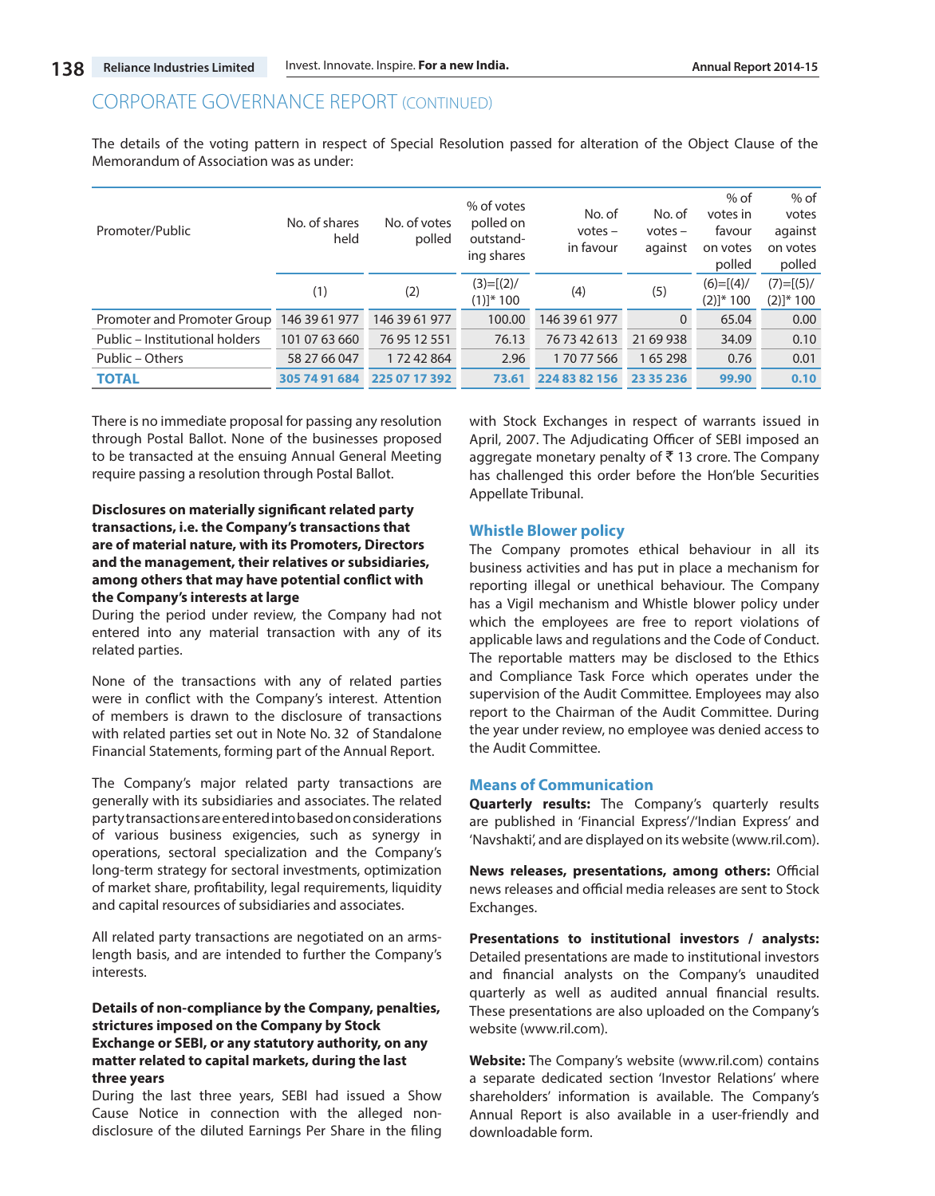The details of the voting pattern in respect of Special Resolution passed for alteration of the Object Clause of the Memorandum of Association was as under:

| Promoter/Public                | No. of shares<br>held | No. of votes<br>polled | % of votes<br>polled on<br>outstand-<br>ing shares | No. of<br>$votes -$<br>in favour | No. of<br>$votes -$<br>against | $%$ of<br>votes in<br>favour<br>on votes<br>polled | $%$ of<br>votes<br>against<br>on votes<br>polled |
|--------------------------------|-----------------------|------------------------|----------------------------------------------------|----------------------------------|--------------------------------|----------------------------------------------------|--------------------------------------------------|
|                                | (1)                   | (2)                    | $(3)=[(2)/$<br>$(1)$ <sup>*</sup> 100              | (4)                              | (5)                            | $(6)=[(4)/$<br>$(2)]$ * 100                        | $(7) = [(5)/$<br>$(2)]^* 100$                    |
| Promoter and Promoter Group    | 146 39 61 977         | 146 39 61 977          | 100.00                                             | 146 39 61 977                    | $\mathbf{0}$                   | 65.04                                              | 0.00                                             |
| Public - Institutional holders | 101 07 63 660         | 76 95 12 551           | 76.13                                              | 76 73 42 613                     | 21 69 938                      | 34.09                                              | 0.10                                             |
| Public - Others                | 58 27 66 047          | 17242864               | 2.96                                               | 17077566                         | 165298                         | 0.76                                               | 0.01                                             |
| <b>TOTAL</b>                   | 305 74 91 684         | 225 07 17 392          | 73.61                                              | 224 83 82 156                    | 23 35 236                      | 99.90                                              | 0.10                                             |

There is no immediate proposal for passing any resolution through Postal Ballot. None of the businesses proposed to be transacted at the ensuing Annual General Meeting require passing a resolution through Postal Ballot.

# **Disclosures on materially significant related party transactions, i.e. the Company's transactions that are of material nature, with its Promoters, Directors and the management, their relatives or subsidiaries, among others that may have potential conflict with the Company's interests at large**

During the period under review, the Company had not entered into any material transaction with any of its related parties.

None of the transactions with any of related parties were in conflict with the Company's interest. Attention of members is drawn to the disclosure of transactions with related parties set out in Note No. 32 of Standalone Financial Statements, forming part of the Annual Report.

The Company's major related party transactions are generally with its subsidiaries and associates. The related party transactions are entered into based on considerations of various business exigencies, such as synergy in operations, sectoral specialization and the Company's long-term strategy for sectoral investments, optimization of market share, profitability, legal requirements, liquidity and capital resources of subsidiaries and associates.

All related party transactions are negotiated on an armslength basis, and are intended to further the Company's interests.

### **Details of non-compliance by the Company, penalties, strictures imposed on the Company by Stock Exchange or SEBI, or any statutory authority, on any matter related to capital markets, during the last three years**

During the last three years, SEBI had issued a Show Cause Notice in connection with the alleged nondisclosure of the diluted Earnings Per Share in the filing

with Stock Exchanges in respect of warrants issued in April, 2007. The Adjudicating Officer of SEBI imposed an aggregate monetary penalty of  $\bar{\tau}$  13 crore. The Company has challenged this order before the Hon'ble Securities Appellate Tribunal.

### **Whistle Blower policy**

The Company promotes ethical behaviour in all its business activities and has put in place a mechanism for reporting illegal or unethical behaviour. The Company has a Vigil mechanism and Whistle blower policy under which the employees are free to report violations of applicable laws and regulations and the Code of Conduct. The reportable matters may be disclosed to the Ethics and Compliance Task Force which operates under the supervision of the Audit Committee. Employees may also report to the Chairman of the Audit Committee. During the year under review, no employee was denied access to the Audit Committee.

### **Means of Communication**

**Quarterly results:** The Company's quarterly results are published in 'Financial Express'/'Indian Express' and 'Navshakti', and are displayed on its website (www.ril.com).

**News releases, presentations, among others:** Official news releases and official media releases are sent to Stock Exchanges.

**Presentations to institutional investors / analysts:**  Detailed presentations are made to institutional investors and financial analysts on the Company's unaudited quarterly as well as audited annual financial results. These presentations are also uploaded on the Company's website (www.ril.com).

**Website:** The Company's website (www.ril.com) contains a separate dedicated section 'Investor Relations' where shareholders' information is available. The Company's Annual Report is also available in a user-friendly and downloadable form.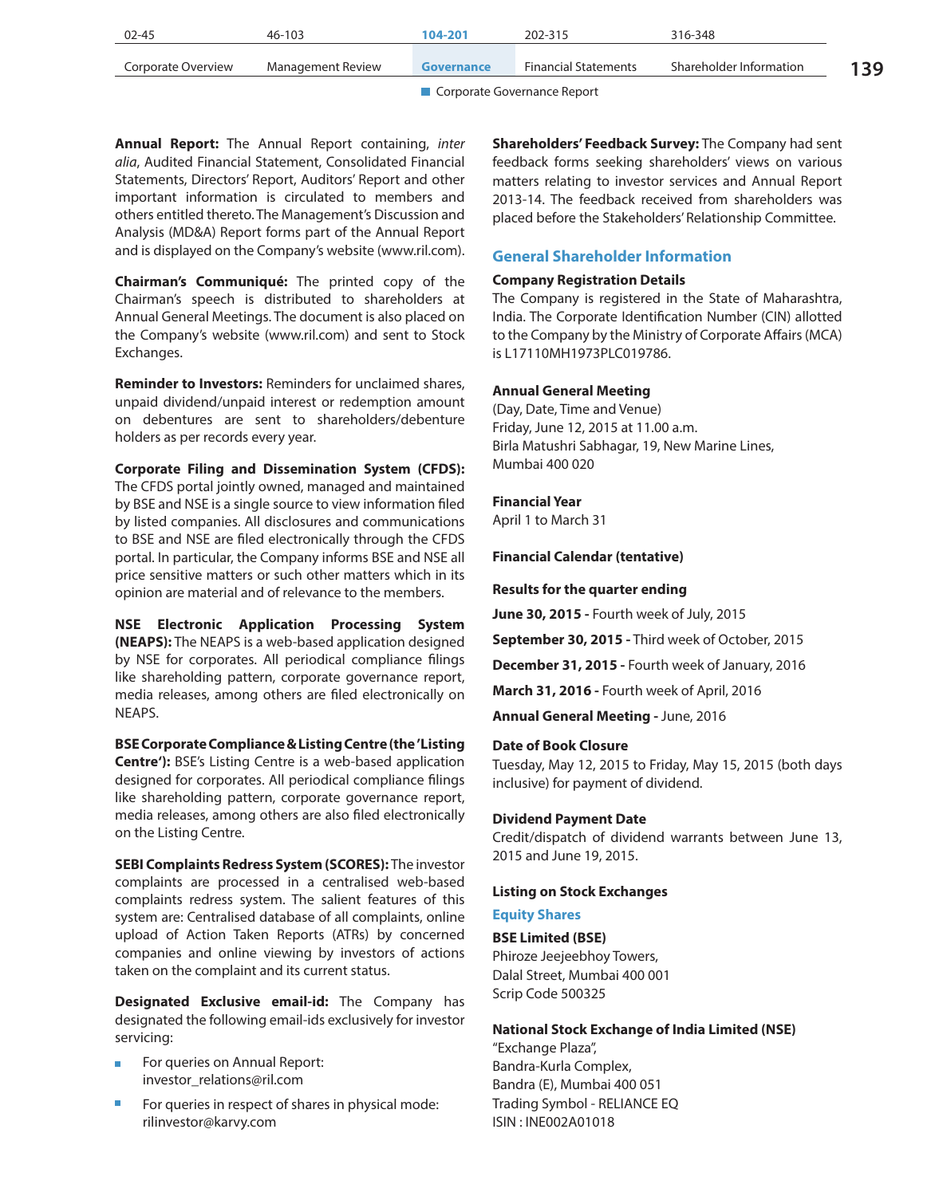| $02 - 45$          | 46-103            | 104-201    | 202-315                     | 316-348                 |     |
|--------------------|-------------------|------------|-----------------------------|-------------------------|-----|
| Corporate Overview | Management Review | Governance | <b>Financial Statements</b> | Shareholder Information | 139 |
|                    |                   |            |                             |                         |     |

**Annual Report:** The Annual Report containing, *inter alia*, Audited Financial Statement, Consolidated Financial Statements, Directors' Report, Auditors' Report and other important information is circulated to members and others entitled thereto. The Management's Discussion and Analysis (MD&A) Report forms part of the Annual Report and is displayed on the Company's website (www.ril.com).

**Chairman's Communiqué:** The printed copy of the Chairman's speech is distributed to shareholders at Annual General Meetings. The document is also placed on the Company's website (www.ril.com) and sent to Stock Exchanges.

**Reminder to Investors:** Reminders for unclaimed shares, unpaid dividend/unpaid interest or redemption amount on debentures are sent to shareholders/debenture holders as per records every year.

**Corporate Filing and Dissemination System (CFDS):** The CFDS portal jointly owned, managed and maintained by BSE and NSE is a single source to view information filed by listed companies. All disclosures and communications to BSE and NSE are filed electronically through the CFDS portal. In particular, the Company informs BSE and NSE all price sensitive matters or such other matters which in its opinion are material and of relevance to the members.

**NSE Electronic Application Processing System (NEAPS):** The NEAPS is a web-based application designed by NSE for corporates. All periodical compliance filings like shareholding pattern, corporate governance report, media releases, among others are filed electronically on NEAPS.

**BSE Corporate Compliance & Listing Centre (the 'Listing Centre'):** BSE's Listing Centre is a web-based application designed for corporates. All periodical compliance filings like shareholding pattern, corporate governance report, media releases, among others are also filed electronically on the Listing Centre.

**SEBI Complaints Redress System (SCORES):** The investor complaints are processed in a centralised web-based complaints redress system. The salient features of this system are: Centralised database of all complaints, online upload of Action Taken Reports (ATRs) by concerned companies and online viewing by investors of actions taken on the complaint and its current status.

**Designated Exclusive email-id:** The Company has designated the following email-ids exclusively for investor servicing:

- For queries on Annual Report: investor\_relations@ril.com
- For queries in respect of shares in physical mode: rilinvestor@karvy.com

**Shareholders' Feedback Survey:** The Company had sent feedback forms seeking shareholders' views on various matters relating to investor services and Annual Report 2013-14. The feedback received from shareholders was placed before the Stakeholders' Relationship Committee.

# **General Shareholder Information**

# **Company Registration Details**

The Company is registered in the State of Maharashtra, India. The Corporate Identification Number (CIN) allotted to the Company by the Ministry of Corporate Affairs (MCA) is L17110MH1973PLC019786.

# **Annual General Meeting**

(Day, Date, Time and Venue) Friday, June 12, 2015 at 11.00 a.m. Birla Matushri Sabhagar, 19, New Marine Lines, Mumbai 400 020

**Financial Year**

April 1 to March 31

**Financial Calendar (tentative)**

#### **Results for the quarter ending**

**June 30, 2015 -** Fourth week of July, 2015

**September 30, 2015 -** Third week of October, 2015

**December 31, 2015 -** Fourth week of January, 2016

**March 31, 2016 -** Fourth week of April, 2016

**Annual General Meeting -** June, 2016

# **Date of Book Closure**

Tuesday, May 12, 2015 to Friday, May 15, 2015 (both days inclusive) for payment of dividend.

# **Dividend Payment Date**

Credit/dispatch of dividend warrants between June 13, 2015 and June 19, 2015.

# **Listing on Stock Exchanges**

#### **Equity Shares**

**BSE Limited (BSE)** Phiroze Jeejeebhoy Towers, Dalal Street, Mumbai 400 001 Scrip Code 500325

**National Stock Exchange of India Limited (NSE)** ''Exchange Plaza",

Bandra-Kurla Complex, Bandra (E), Mumbai 400 051 Trading Symbol - RELIANCE EQ ISIN : INE002A01018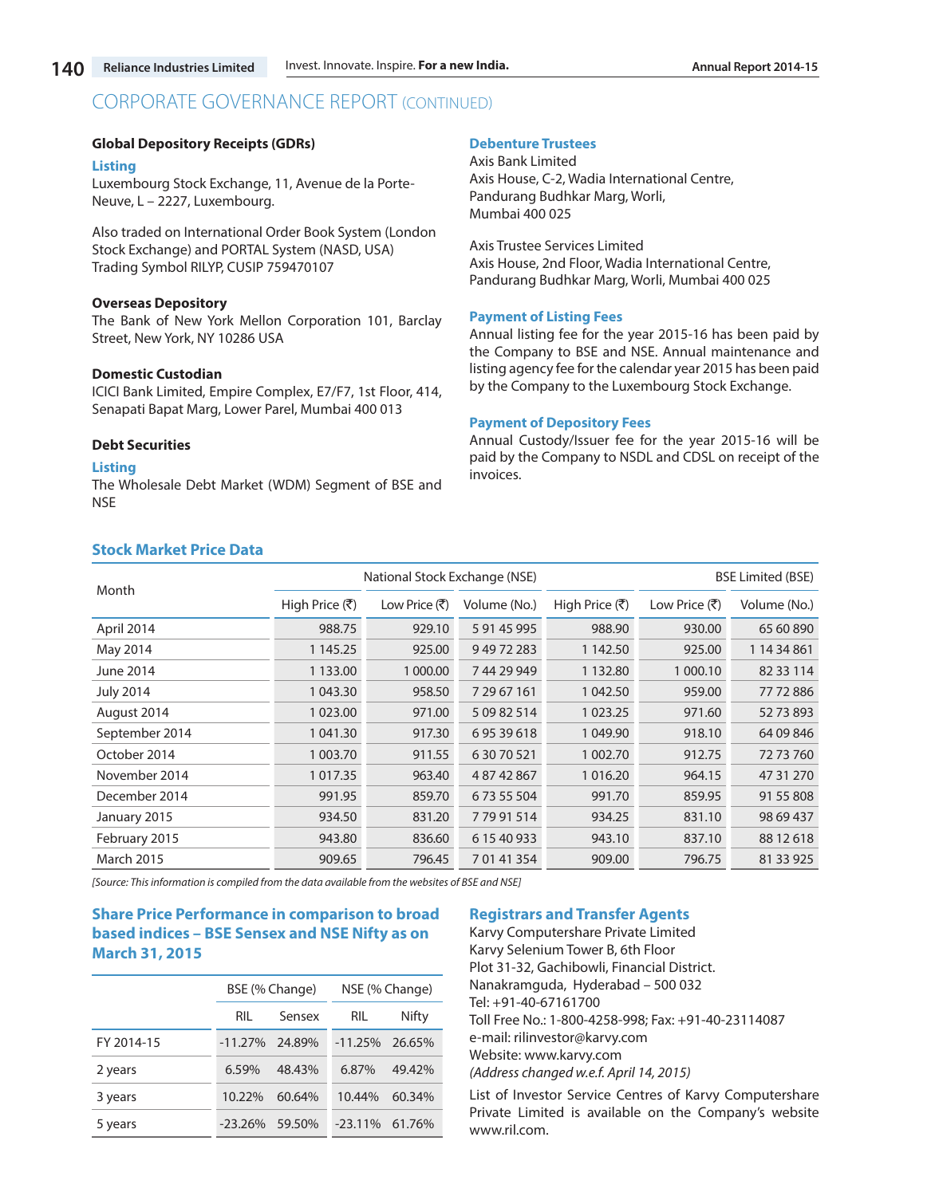#### **Global Depository Receipts (GDRs)**

#### **Listing**

Luxembourg Stock Exchange, 11, Avenue de la Porte-Neuve, L – 2227, Luxembourg.

Also traded on International Order Book System (London Stock Exchange) and PORTAL System (NASD, USA) Trading Symbol RILYP, CUSIP 759470107

#### **Overseas Depository**

The Bank of New York Mellon Corporation 101, Barclay Street, New York, NY 10286 USA

#### **Domestic Custodian**

ICICI Bank Limited, Empire Complex, E7/F7, 1st Floor, 414, Senapati Bapat Marg, Lower Parel, Mumbai 400 013

#### **Debt Securities**

#### **Listing**

The Wholesale Debt Market (WDM) Segment of BSE and **NSF** 

#### **Debenture Trustees**

Axis Bank Limited Axis House, C-2, Wadia International Centre, Pandurang Budhkar Marg, Worli, Mumbai 400 025

Axis Trustee Services Limited Axis House, 2nd Floor, Wadia International Centre, Pandurang Budhkar Marg, Worli, Mumbai 400 025

#### **Payment of Listing Fees**

Annual listing fee for the year 2015-16 has been paid by the Company to BSE and NSE. Annual maintenance and listing agency fee for the calendar year 2015 has been paid by the Company to the Luxembourg Stock Exchange.

#### **Payment of Depository Fees**

Annual Custody/Issuer fee for the year 2015-16 will be paid by the Company to NSDL and CDSL on receipt of the invoices.

# **Stock Market Price Data**

| Month             | National Stock Exchange (NSE) |                                       |              |                | <b>BSE Limited (BSE)</b>              |              |  |
|-------------------|-------------------------------|---------------------------------------|--------------|----------------|---------------------------------------|--------------|--|
|                   | High Price (そ)                | Low Price $(\overline{\mathfrak{F}})$ | Volume (No.) | High Price (そ) | Low Price $(\overline{\mathfrak{F}})$ | Volume (No.) |  |
| April 2014        | 988.75                        | 929.10                                | 5 91 45 995  | 988.90         | 930.00                                | 65 60 890    |  |
| May 2014          | 1 1 4 5 . 2 5                 | 925.00                                | 94972283     | 1 142.50       | 925.00                                | 1 14 34 861  |  |
| June 2014         | 1 133.00                      | 1 000.00                              | 744 29 949   | 1 1 3 2 . 8 0  | 1 000.10                              | 82 33 114    |  |
| <b>July 2014</b>  | 1 043.30                      | 958.50                                | 7 29 67 161  | 1 042.50       | 959.00                                | 77 72 886    |  |
| August 2014       | 1 023.00                      | 971.00                                | 5 09 82 514  | 1023.25        | 971.60                                | 52 73 893    |  |
| September 2014    | 1 041.30                      | 917.30                                | 69539618     | 1 049.90       | 918.10                                | 64 09 846    |  |
| October 2014      | 1 003.70                      | 911.55                                | 6 30 70 521  | 1 002.70       | 912.75                                | 72 73 760    |  |
| November 2014     | 1 0 1 7 . 3 5                 | 963.40                                | 48742867     | 1016.20        | 964.15                                | 47 31 270    |  |
| December 2014     | 991.95                        | 859.70                                | 67355504     | 991.70         | 859.95                                | 91 55 808    |  |
| January 2015      | 934.50                        | 831.20                                | 77991514     | 934.25         | 831.10                                | 98 69 437    |  |
| February 2015     | 943.80                        | 836.60                                | 6 15 40 933  | 943.10         | 837.10                                | 88 12 618    |  |
| <b>March 2015</b> | 909.65                        | 796.45                                | 70141354     | 909.00         | 796.75                                | 81 33 925    |  |

*[Source: This information is compiled from the data available from the websites of BSE and NSE]*

# **Share Price Performance in comparison to broad based indices – BSE Sensex and NSE Nifty as on March 31, 2015**

|            | BSE (% Change)    |        | NSE (% Change)    |        |
|------------|-------------------|--------|-------------------|--------|
|            | RIL               | Sensex | RIL               | Nifty  |
| FY 2014-15 | $-11.27\%$ 24.89% |        | $-11.25\%$ 26.65% |        |
| 2 years    | 6.59%             | 48.43% | 6.87%             | 49.42% |
| 3 years    | $10.22\%$         | 60.64% | 10.44%            | 60.34% |
| 5 years    | $-23.26%$         | 59.50% | $-23.11\%$        | 61.76% |

#### **Registrars and Transfer Agents**

Karvy Computershare Private Limited Karvy Selenium Tower B, 6th Floor Plot 31-32, Gachibowli, Financial District. Nanakramguda, Hyderabad – 500 032 Tel: +91-40-67161700 Toll Free No.: 1-800-4258-998; Fax: +91-40-23114087 e-mail: rilinvestor@karvy.com Website: www.karvy.com *(Address changed w.e.f. April 14, 2015)*

List of Investor Service Centres of Karvy Computershare Private Limited is available on the Company's website www.ril.com.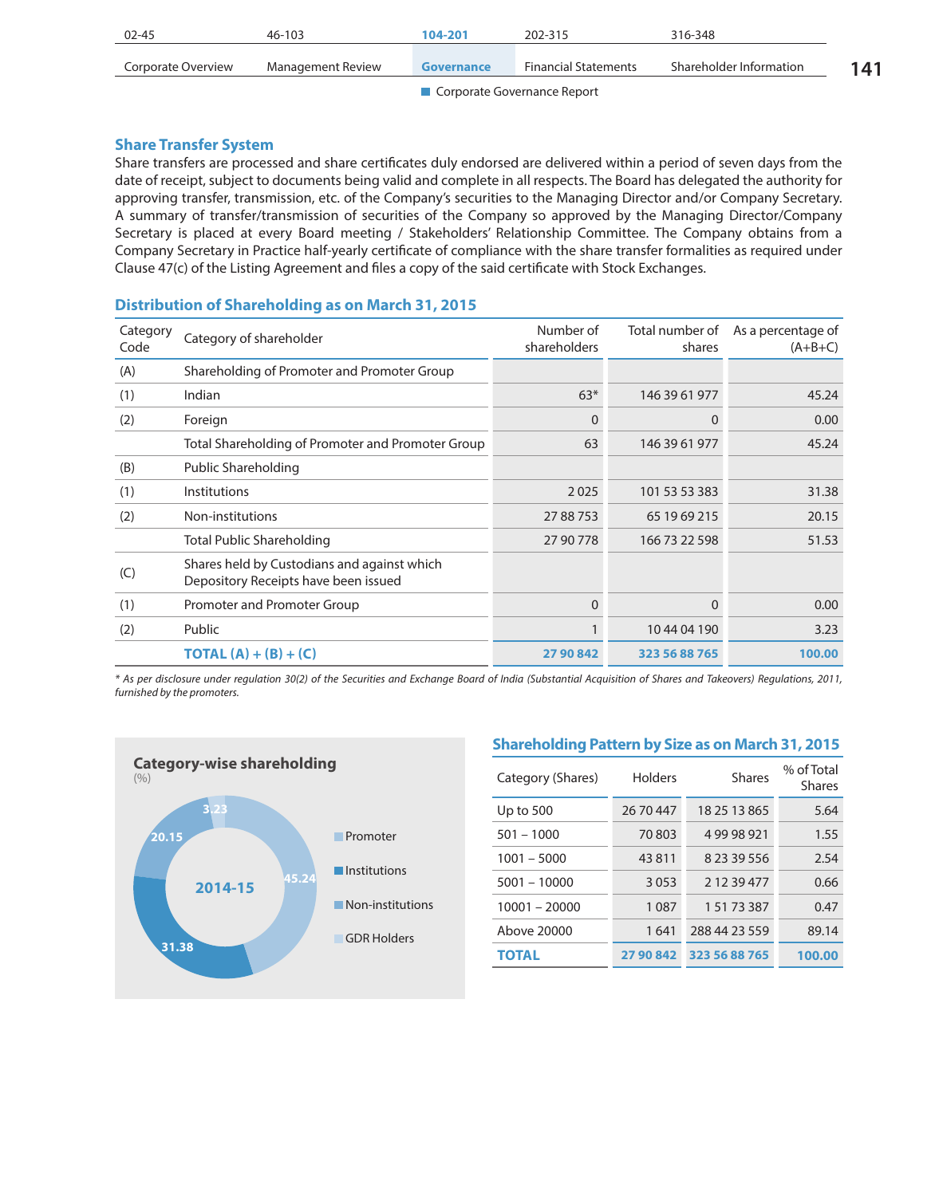| 02-45                         | 46-103            | 104-201           | 202-315                     | 316-348                 |     |
|-------------------------------|-------------------|-------------------|-----------------------------|-------------------------|-----|
| Corporate Overview            | Management Review | <b>Governance</b> | <b>Financial Statements</b> | Shareholder Information | 141 |
| ■ Corporate Governance Report |                   |                   |                             |                         |     |

**Share Transfer System**

Share transfers are processed and share certificates duly endorsed are delivered within a period of seven days from the date of receipt, subject to documents being valid and complete in all respects. The Board has delegated the authority for approving transfer, transmission, etc. of the Company's securities to the Managing Director and/or Company Secretary. A summary of transfer/transmission of securities of the Company so approved by the Managing Director/Company Secretary is placed at every Board meeting / Stakeholders' Relationship Committee. The Company obtains from a Company Secretary in Practice half-yearly certificate of compliance with the share transfer formalities as required under Clause 47(c) of the Listing Agreement and files a copy of the said certificate with Stock Exchanges.

| Category<br>Code | Category of shareholder                                                             | Number of<br>shareholders | Total number of<br>shares | As a percentage of<br>$(A+B+C)$ |
|------------------|-------------------------------------------------------------------------------------|---------------------------|---------------------------|---------------------------------|
| (A)              | Shareholding of Promoter and Promoter Group                                         |                           |                           |                                 |
| (1)              | Indian                                                                              | $63*$                     | 146 39 61 977             | 45.24                           |
| (2)              | Foreign                                                                             | $\Omega$                  | $\Omega$                  | 0.00                            |
|                  | Total Shareholding of Promoter and Promoter Group                                   | 63                        | 146 39 61 977             | 45.24                           |
| (B)              | Public Shareholding                                                                 |                           |                           |                                 |
| (1)              | Institutions                                                                        | 2025                      | 101 53 53 383             | 31.38                           |
| (2)              | Non-institutions                                                                    | 27 88 753                 | 65 19 69 215              | 20.15                           |
|                  | Total Public Shareholding                                                           | 27 90 778                 | 166 73 22 598             | 51.53                           |
| (C)              | Shares held by Custodians and against which<br>Depository Receipts have been issued |                           |                           |                                 |
| (1)              | Promoter and Promoter Group                                                         | $\Omega$                  | $\Omega$                  | 0.00                            |
| (2)              | Public                                                                              |                           | 10 44 04 190              | 3.23                            |
|                  | <b>TOTAL</b> (A) + (B) + (C)                                                        | 27 90 842                 | 323 56 88 765             | 100.00                          |
|                  |                                                                                     |                           |                           |                                 |

# **Distribution of Shareholding as on March 31, 2015**

*\* As per disclosure under regulation 30(2) of the Securities and Exchange Board of India (Substantial Acquisition of Shares and Takeovers) Regulations, 2011, furnished by the promoters.*



# **Shareholding Pattern by Size as on March 31, 2015**

| Category (Shares) | Holders   | <b>Shares</b> | % of Total<br><b>Shares</b> |
|-------------------|-----------|---------------|-----------------------------|
| Up to 500         | 26 70 447 | 18 25 13 865  | 5.64                        |
| $501 - 1000$      | 70803     | 49998921      | 1.55                        |
| $1001 - 5000$     | 43811     | 8 23 39 556   | 2.54                        |
| $5001 - 10000$    | 3053      | 2 12 39 477   | 0.66                        |
| $10001 - 20000$   | 1087      | 1 51 73 387   | 0.47                        |
| Above 20000       | 1641      | 288 44 23 559 | 89.14                       |
| <b>TOTAL</b>      | 27 90 842 | 323 56 88 765 | 100.00                      |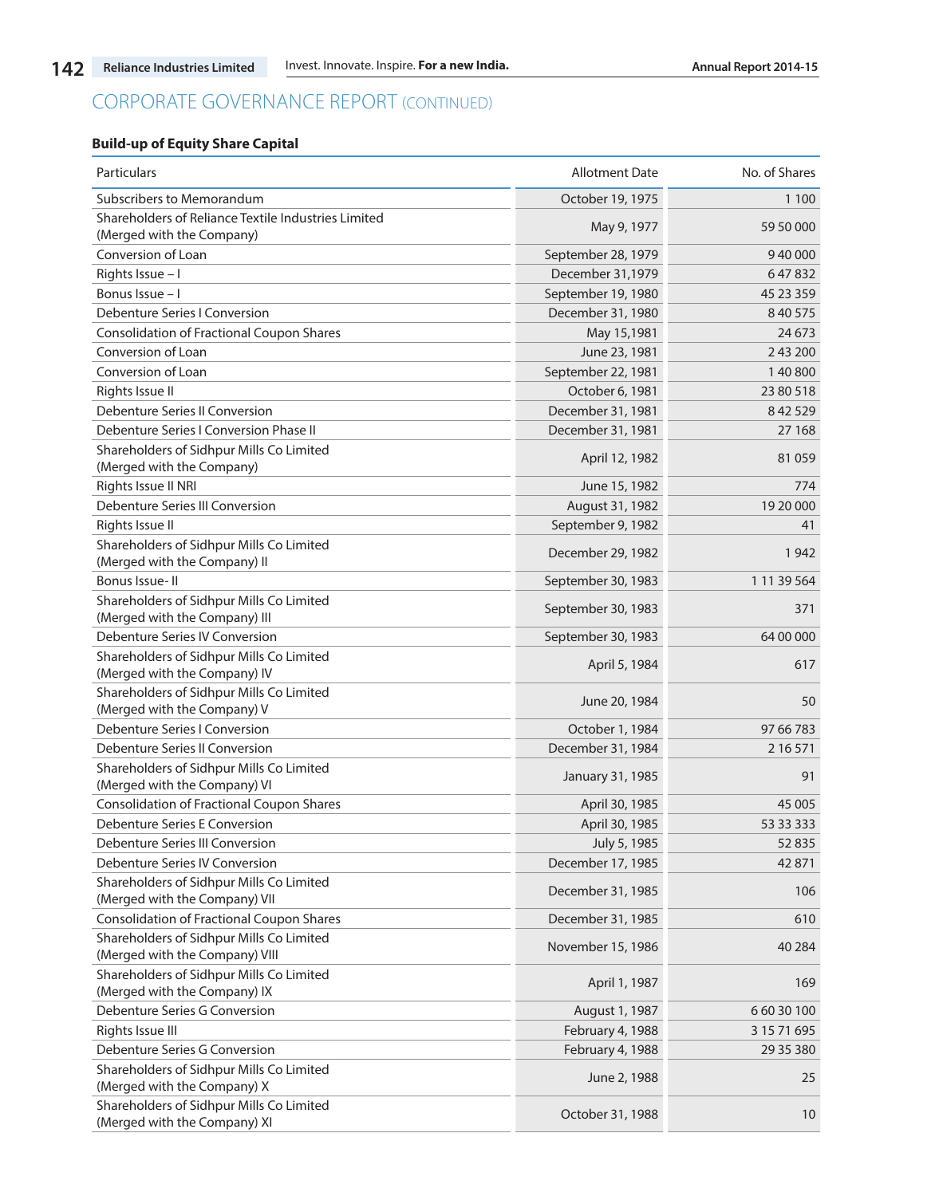# **Build-up of Equity Share Capital**

| Particulars                                                                      | <b>Allotment Date</b> | No. of Shares |
|----------------------------------------------------------------------------------|-----------------------|---------------|
| Subscribers to Memorandum                                                        | October 19, 1975      | 1 1 0 0       |
| Shareholders of Reliance Textile Industries Limited<br>(Merged with the Company) | May 9, 1977           | 59 50 000     |
| Conversion of Loan                                                               | September 28, 1979    | 940000        |
| Rights Issue - I                                                                 | December 31,1979      | 647832        |
| Bonus Issue - I                                                                  | September 19, 1980    | 45 23 359     |
| Debenture Series I Conversion                                                    | December 31, 1980     | 8 40 575      |
| <b>Consolidation of Fractional Coupon Shares</b>                                 | May 15,1981           | 24 6 73       |
| Conversion of Loan                                                               | June 23, 1981         | 2 43 200      |
| Conversion of Loan                                                               | September 22, 1981    | 140800        |
| Rights Issue II                                                                  | October 6, 1981       | 23 80 518     |
| Debenture Series II Conversion                                                   | December 31, 1981     | 8 42 5 29     |
| Debenture Series I Conversion Phase II                                           | December 31, 1981     | 27 168        |
| Shareholders of Sidhpur Mills Co Limited<br>(Merged with the Company)            | April 12, 1982        | 81059         |
| Rights Issue II NRI                                                              | June 15, 1982         | 774           |
| Debenture Series III Conversion                                                  | August 31, 1982       | 19 20 000     |
| Rights Issue II                                                                  | September 9, 1982     | 41            |
| Shareholders of Sidhpur Mills Co Limited<br>(Merged with the Company) II         | December 29, 1982     | 1942          |
| Bonus Issue-II                                                                   | September 30, 1983    | 1 11 39 564   |
| Shareholders of Sidhpur Mills Co Limited<br>(Merged with the Company) III        | September 30, 1983    | 371           |
| Debenture Series IV Conversion                                                   | September 30, 1983    | 64 00 000     |
| Shareholders of Sidhpur Mills Co Limited<br>(Merged with the Company) IV         | April 5, 1984         | 617           |
| Shareholders of Sidhpur Mills Co Limited<br>(Merged with the Company) V          | June 20, 1984         | 50            |
| Debenture Series I Conversion                                                    | October 1, 1984       | 97 66 783     |
| Debenture Series II Conversion                                                   | December 31, 1984     | 2 16 5 71     |
| Shareholders of Sidhpur Mills Co Limited<br>(Merged with the Company) VI         | January 31, 1985      | 91            |
| Consolidation of Fractional Coupon Shares                                        | April 30, 1985        | 45 005        |
| Debenture Series E Conversion                                                    | April 30, 1985        | 53 33 333     |
| Debenture Series III Conversion                                                  | July 5, 1985          | 52835         |
| Debenture Series IV Conversion                                                   | December 17, 1985     | 42871         |
| Shareholders of Sidhpur Mills Co Limited<br>(Merged with the Company) VII        | December 31, 1985     | 106           |
| <b>Consolidation of Fractional Coupon Shares</b>                                 | December 31, 1985     | 610           |
| Shareholders of Sidhpur Mills Co Limited<br>(Merged with the Company) VIII       | November 15, 1986     | 40 2 84       |
| Shareholders of Sidhpur Mills Co Limited<br>(Merged with the Company) IX         | April 1, 1987         | 169           |
| Debenture Series G Conversion                                                    | August 1, 1987        | 6 60 30 100   |
| Rights Issue III                                                                 | February 4, 1988      | 3 15 71 695   |
| Debenture Series G Conversion                                                    | February 4, 1988      | 29 35 380     |
| Shareholders of Sidhpur Mills Co Limited<br>(Merged with the Company) X          | June 2, 1988          | 25            |
| Shareholders of Sidhpur Mills Co Limited<br>(Merged with the Company) XI         | October 31, 1988      | 10            |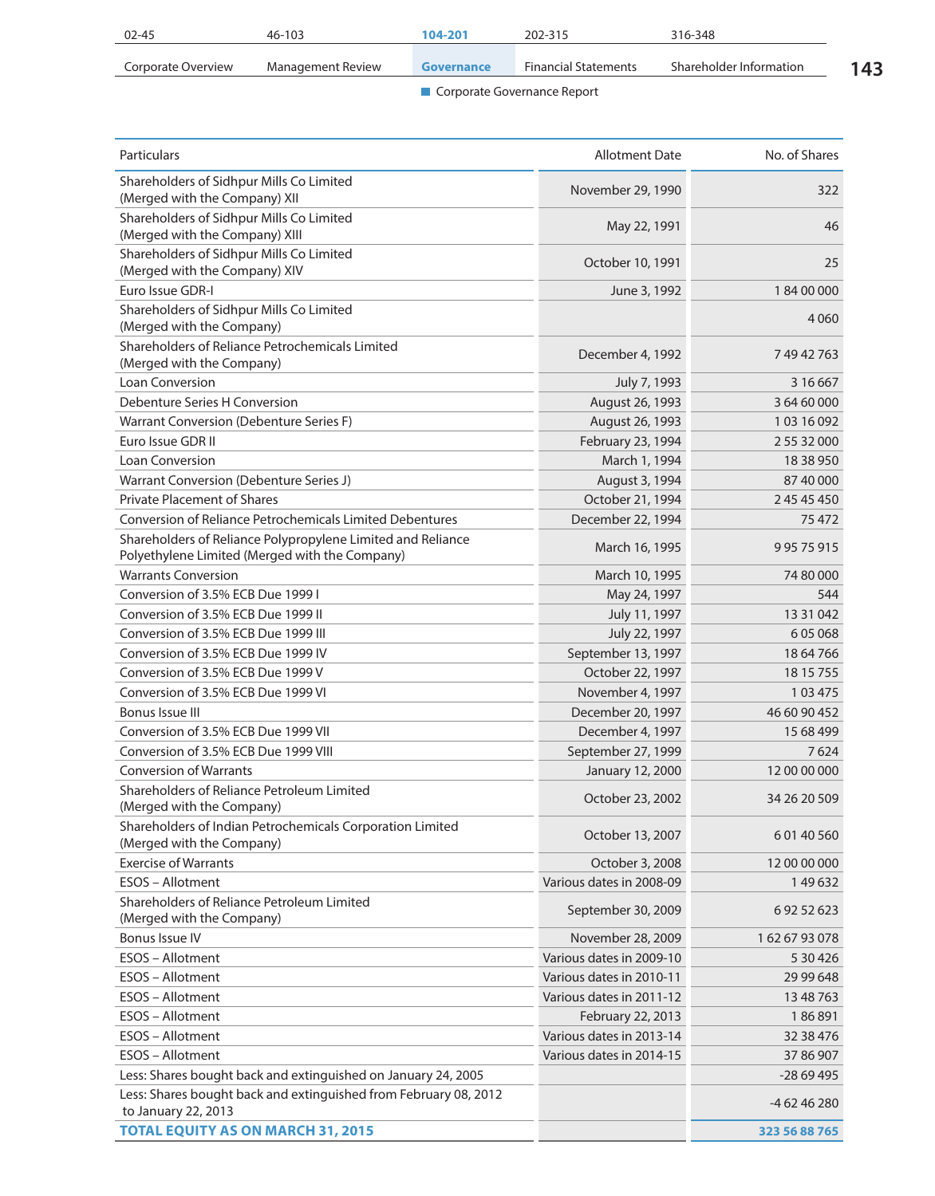| 02-45              | 46-103            | 104-201           | 202-315                     | 316-348                 |     |
|--------------------|-------------------|-------------------|-----------------------------|-------------------------|-----|
| Corporate Overview | Management Review | <b>Governance</b> | <b>Financial Statements</b> | Shareholder Information | 143 |

| Particulars                                                                                                   | <b>Allotment Date</b>    | No. of Shares |
|---------------------------------------------------------------------------------------------------------------|--------------------------|---------------|
| Shareholders of Sidhpur Mills Co Limited<br>(Merged with the Company) XII                                     | November 29, 1990        | 322           |
| Shareholders of Sidhpur Mills Co Limited<br>(Merged with the Company) XIII                                    | May 22, 1991             | 46            |
| Shareholders of Sidhpur Mills Co Limited<br>(Merged with the Company) XIV                                     | October 10, 1991         | 25            |
| Euro Issue GDR-I                                                                                              | June 3, 1992             | 18400000      |
| Shareholders of Sidhpur Mills Co Limited<br>(Merged with the Company)                                         |                          | 4 0 6 0       |
| Shareholders of Reliance Petrochemicals Limited<br>(Merged with the Company)                                  | December 4, 1992         | 74942763      |
| Loan Conversion                                                                                               | July 7, 1993             | 3 16 6 67     |
| Debenture Series H Conversion                                                                                 | August 26, 1993          | 3 64 60 000   |
| Warrant Conversion (Debenture Series F)                                                                       | August 26, 1993          | 103 16 092    |
| Euro Issue GDR II                                                                                             | February 23, 1994        | 2 55 32 000   |
| <b>Loan Conversion</b>                                                                                        | March 1, 1994            | 18 38 950     |
| Warrant Conversion (Debenture Series J)                                                                       | August 3, 1994           | 87 40 000     |
| <b>Private Placement of Shares</b>                                                                            | October 21, 1994         | 2 45 45 450   |
| <b>Conversion of Reliance Petrochemicals Limited Debentures</b>                                               | December 22, 1994        | 75 472        |
| Shareholders of Reliance Polypropylene Limited and Reliance<br>Polyethylene Limited (Merged with the Company) | March 16, 1995           | 99575915      |
| <b>Warrants Conversion</b>                                                                                    | March 10, 1995           | 74 80 000     |
| Conversion of 3.5% ECB Due 1999 I                                                                             | May 24, 1997             | 544           |
| Conversion of 3.5% ECB Due 1999 II                                                                            | July 11, 1997            | 13 31 042     |
| Conversion of 3.5% ECB Due 1999 III                                                                           | July 22, 1997            | 605068        |
| Conversion of 3.5% ECB Due 1999 IV                                                                            | September 13, 1997       | 18 64 766     |
| Conversion of 3.5% ECB Due 1999 V                                                                             | October 22, 1997         | 18 15 755     |
| Conversion of 3.5% ECB Due 1999 VI                                                                            | November 4, 1997         | 103475        |
| Bonus Issue III                                                                                               | December 20, 1997        | 46 60 90 452  |
| Conversion of 3.5% ECB Due 1999 VII                                                                           | December 4, 1997         | 15 68 499     |
| Conversion of 3.5% ECB Due 1999 VIII                                                                          | September 27, 1999       | 7624          |
| <b>Conversion of Warrants</b>                                                                                 | January 12, 2000         | 12 00 00 000  |
| Shareholders of Reliance Petroleum Limited<br>(Merged with the Company)                                       | October 23, 2002         | 34 26 20 509  |
| Shareholders of Indian Petrochemicals Corporation Limited<br>(Merged with the Company)                        | October 13, 2007         | 60140560      |
| <b>Exercise of Warrants</b>                                                                                   | October 3, 2008          | 12 00 00 000  |
| ESOS - Allotment                                                                                              | Various dates in 2008-09 | 149632        |
| Shareholders of Reliance Petroleum Limited<br>(Merged with the Company)                                       | September 30, 2009       | 69252623      |
| <b>Bonus Issue IV</b>                                                                                         | November 28, 2009        | 1626793078    |
| ESOS - Allotment                                                                                              | Various dates in 2009-10 | 5 30 4 26     |
| ESOS - Allotment                                                                                              | Various dates in 2010-11 | 29 99 648     |
| ESOS - Allotment                                                                                              | Various dates in 2011-12 | 13 48 763     |
| ESOS - Allotment                                                                                              | February 22, 2013        | 186891        |
| ESOS - Allotment                                                                                              | Various dates in 2013-14 | 32 38 476     |
| ESOS - Allotment                                                                                              | Various dates in 2014-15 | 37 86 907     |
| Less: Shares bought back and extinguished on January 24, 2005                                                 |                          | $-2869495$    |
| Less: Shares bought back and extinguished from February 08, 2012<br>to January 22, 2013                       |                          | -4 62 46 280  |
| <b>TOTAL EQUITY AS ON MARCH 31, 2015</b>                                                                      |                          | 323 56 88 765 |
|                                                                                                               |                          |               |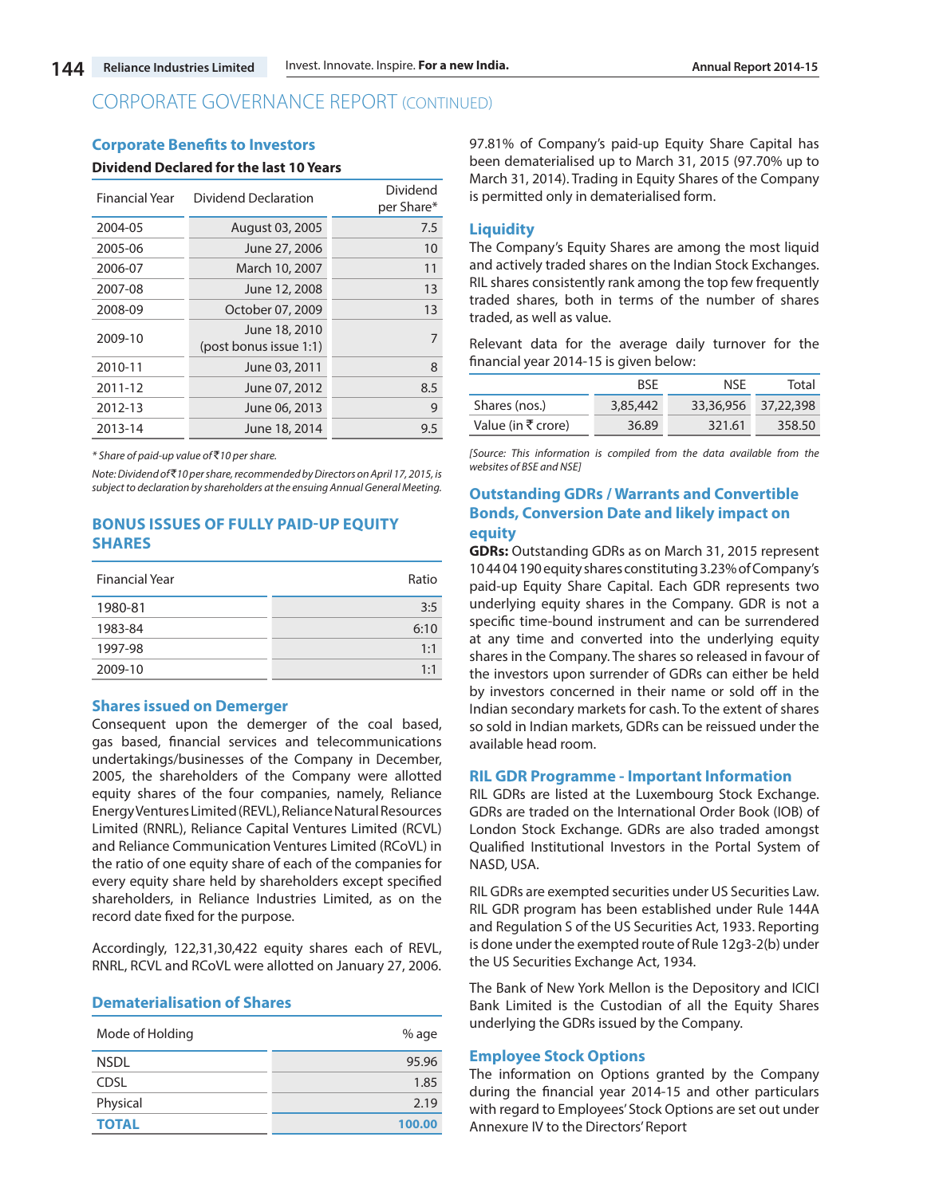#### **Corporate Benefits to Investors**

#### **Dividend Declared for the last 10 Years**

| <b>Financial Year</b> | Dividend Declaration                    | Dividend<br>per Share* |
|-----------------------|-----------------------------------------|------------------------|
| 2004-05               | August 03, 2005                         | 7.5                    |
| 2005-06               | June 27, 2006                           | 10                     |
| 2006-07               | March 10, 2007                          | 11                     |
| 2007-08               | June 12, 2008                           | 13                     |
| 2008-09               | October 07, 2009                        | 13                     |
| 2009-10               | June 18, 2010<br>(post bonus issue 1:1) | 7                      |
| 2010-11               | June 03, 2011                           | 8                      |
| 2011-12               | June 07, 2012                           | 8.5                    |
| 2012-13               | June 06, 2013                           | 9                      |
| 2013-14               | June 18, 2014                           | 9.5                    |

*\* Share of paid-up value of* `*10 per share.*

*Note: Dividend of* `*10 per share, recommended by Directors on April 17, 2015, is subject to declaration by shareholders at the ensuing Annual General Meeting.*

# **BONUS ISSUES OF FULLY PAID-UP EQUITY SHARES**

| <b>Financial Year</b> | Ratio |
|-----------------------|-------|
| 1980-81               | 3:5   |
| 1983-84               | 6:10  |
| 1997-98               | 1:1   |
| 2009-10               | 1:1   |

### **Shares issued on Demerger**

Consequent upon the demerger of the coal based, gas based, financial services and telecommunications undertakings/businesses of the Company in December, 2005, the shareholders of the Company were allotted equity shares of the four companies, namely, Reliance Energy Ventures Limited (REVL), Reliance Natural Resources Limited (RNRL), Reliance Capital Ventures Limited (RCVL) and Reliance Communication Ventures Limited (RCoVL) in the ratio of one equity share of each of the companies for every equity share held by shareholders except specified shareholders, in Reliance Industries Limited, as on the record date fixed for the purpose.

Accordingly, 122,31,30,422 equity shares each of REVL, RNRL, RCVL and RCoVL were allotted on January 27, 2006.

#### **Dematerialisation of Shares**

| Mode of Holding | % age  |
|-----------------|--------|
| <b>NSDL</b>     | 95.96  |
| <b>CDSL</b>     | 1.85   |
| Physical        | 2.19   |
| <b>TOTAL</b>    | 100.00 |

97.81% of Company's paid-up Equity Share Capital has been dematerialised up to March 31, 2015 (97.70% up to March 31, 2014). Trading in Equity Shares of the Company is permitted only in dematerialised form.

### **Liquidity**

The Company's Equity Shares are among the most liquid and actively traded shares on the Indian Stock Exchanges. RIL shares consistently rank among the top few frequently traded shares, both in terms of the number of shares traded, as well as value.

Relevant data for the average daily turnover for the financial year 2014-15 is given below:

|                    | <b>BSF</b> | NSF       | Total     |
|--------------------|------------|-----------|-----------|
| Shares (nos.)      | 3,85,442   | 33,36,956 | 37,22,398 |
| Value (in ₹ crore) | 36.89      | 321.61    | 358.50    |

*[Source: This information is compiled from the data available from the websites of BSE and NSE]*

# **Outstanding GDRs / Warrants and Convertible Bonds, Conversion Date and likely impact on equity**

**GDRs:** Outstanding GDRs as on March 31, 2015 represent 10 44 04 190 equity shares constituting 3.23% of Company's paid-up Equity Share Capital. Each GDR represents two underlying equity shares in the Company. GDR is not a specific time-bound instrument and can be surrendered at any time and converted into the underlying equity shares in the Company. The shares so released in favour of the investors upon surrender of GDRs can either be held by investors concerned in their name or sold off in the Indian secondary markets for cash. To the extent of shares so sold in Indian markets, GDRs can be reissued under the available head room.

#### **RIL GDR Programme - Important Information**

RIL GDRs are listed at the Luxembourg Stock Exchange. GDRs are traded on the International Order Book (IOB) of London Stock Exchange. GDRs are also traded amongst Qualified Institutional Investors in the Portal System of NASD, USA.

RIL GDRs are exempted securities under US Securities Law. RIL GDR program has been established under Rule 144A and Regulation S of the US Securities Act, 1933. Reporting is done under the exempted route of Rule 12g3-2(b) under the US Securities Exchange Act, 1934.

The Bank of New York Mellon is the Depository and ICICI Bank Limited is the Custodian of all the Equity Shares underlying the GDRs issued by the Company.

### **Employee Stock Options**

The information on Options granted by the Company during the financial year 2014-15 and other particulars with regard to Employees' Stock Options are set out under Annexure IV to the Directors' Report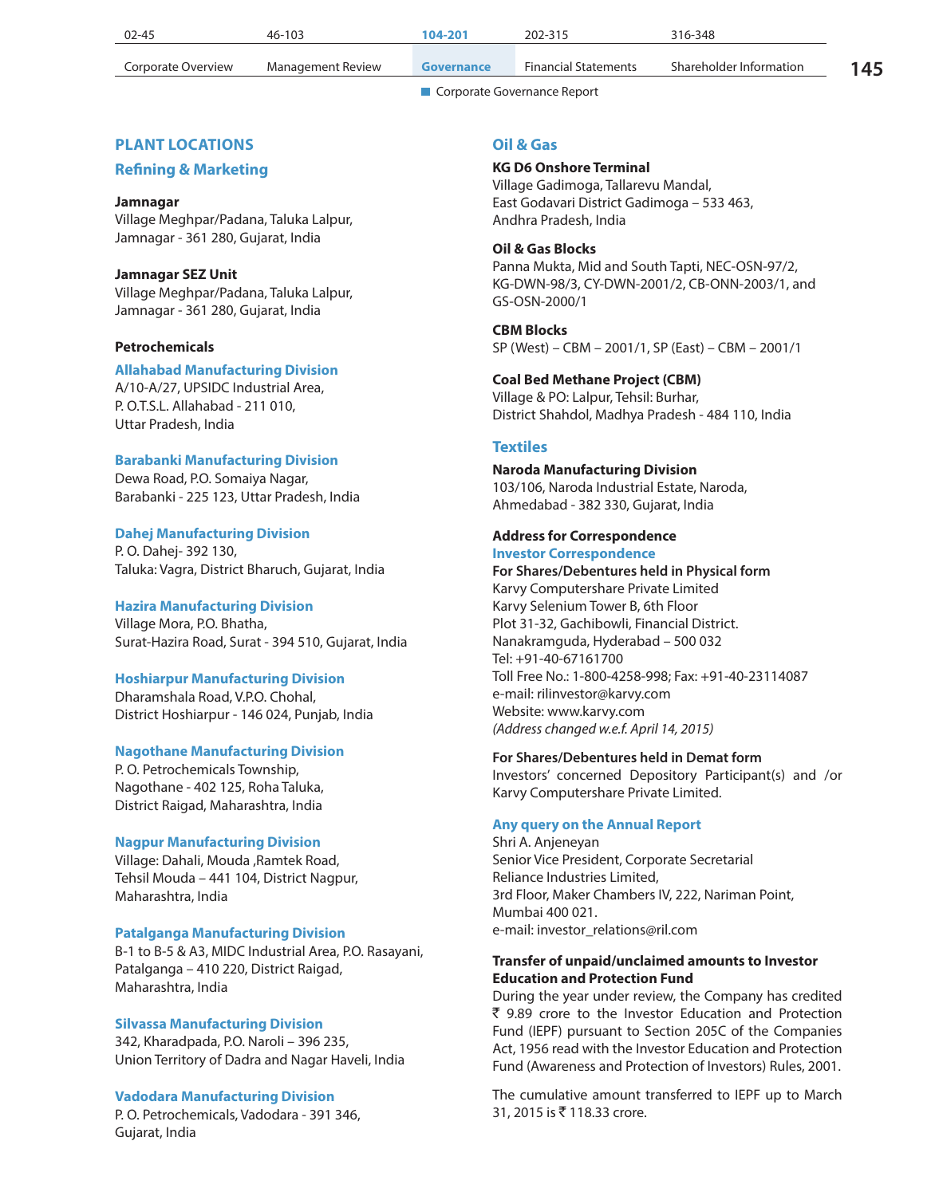| $02 - 45$          | 46-103            | 104-201    | 202-315                     | 316-348                 |    |
|--------------------|-------------------|------------|-----------------------------|-------------------------|----|
| Corporate Overview | Management Review | Governance | <b>Financial Statements</b> | Shareholder Information | 45 |

# **PLANT LOCATIONS**

# **Refining & Marketing**

### **Jamnagar**

Village Meghpar/Padana, Taluka Lalpur, Jamnagar - 361 280, Gujarat, India

# **Jamnagar SEZ Unit**

Village Meghpar/Padana, Taluka Lalpur, Jamnagar - 361 280, Gujarat, India

### **Petrochemicals**

## **Allahabad Manufacturing Division**

A/10-A/27, UPSIDC Industrial Area, P. O.T.S.L. Allahabad - 211 010, Uttar Pradesh, India

### **Barabanki Manufacturing Division**

Dewa Road, P.O. Somaiya Nagar, Barabanki - 225 123, Uttar Pradesh, India

# **Dahej Manufacturing Division**

P. O. Dahej- 392 130, Taluka: Vagra, District Bharuch, Gujarat, India

### **Hazira Manufacturing Division**

Village Mora, P.O. Bhatha, Surat-Hazira Road, Surat - 394 510, Gujarat, India

#### **Hoshiarpur Manufacturing Division**

Dharamshala Road, V.P.O. Chohal, District Hoshiarpur - 146 024, Punjab, India

# **Nagothane Manufacturing Division**

P. O. Petrochemicals Township, Nagothane - 402 125, Roha Taluka, District Raigad, Maharashtra, India

#### **Nagpur Manufacturing Division**

Village: Dahali, Mouda ,Ramtek Road, Tehsil Mouda – 441 104, District Nagpur, Maharashtra, India

### **Patalganga Manufacturing Division**

B-1 to B-5 & A3, MIDC Industrial Area, P.O. Rasayani, Patalganga – 410 220, District Raigad, Maharashtra, India

# **Silvassa Manufacturing Division**

342, Kharadpada, P.O. Naroli – 396 235, Union Territory of Dadra and Nagar Haveli, India

# **Vadodara Manufacturing Division**

P. O. Petrochemicals, Vadodara - 391 346, Gujarat, India

### **Oil & Gas**

# **KG D6 Onshore Terminal**

Village Gadimoga, Tallarevu Mandal, East Godavari District Gadimoga – 533 463, Andhra Pradesh, India

# **Oil & Gas Blocks**

Panna Mukta, Mid and South Tapti, NEC-OSN-97/2, KG-DWN-98/3, CY-DWN-2001/2, CB-ONN-2003/1, and GS-OSN-2000/1

#### **CBM Blocks**

SP (West) – CBM – 2001/1, SP (East) – CBM – 2001/1

### **Coal Bed Methane Project (CBM)**

Village & PO: Lalpur, Tehsil: Burhar, District Shahdol, Madhya Pradesh - 484 110, India

# **Textiles**

### **Naroda Manufacturing Division** 103/106, Naroda Industrial Estate, Naroda,

Ahmedabad - 382 330, Gujarat, India

#### **Address for Correspondence Investor Correspondence**

**For Shares/Debentures held in Physical form** Karvy Computershare Private Limited Karvy Selenium Tower B, 6th Floor Plot 31-32, Gachibowli, Financial District. Nanakramguda, Hyderabad – 500 032 Tel: +91-40-67161700 Toll Free No.: 1-800-4258-998; Fax: +91-40-23114087 e-mail: rilinvestor@karvy.com Website: www.karvy.com *(Address changed w.e.f. April 14, 2015)*

# **For Shares/Debentures held in Demat form**

Investors' concerned Depository Participant(s) and /or Karvy Computershare Private Limited.

#### **Any query on the Annual Report**

Shri A. Anjeneyan Senior Vice President, Corporate Secretarial Reliance Industries Limited, 3rd Floor, Maker Chambers IV, 222, Nariman Point, Mumbai 400 021. e-mail: investor\_relations@ril.com

### **Transfer of unpaid/unclaimed amounts to Investor Education and Protection Fund**

During the year under review, the Company has credited ` 9.89 crore to the Investor Education and Protection Fund (IEPF) pursuant to Section 205C of the Companies Act, 1956 read with the Investor Education and Protection Fund (Awareness and Protection of Investors) Rules, 2001.

The cumulative amount transferred to IEPF up to March 31, 2015 is ₹ 118.33 crore.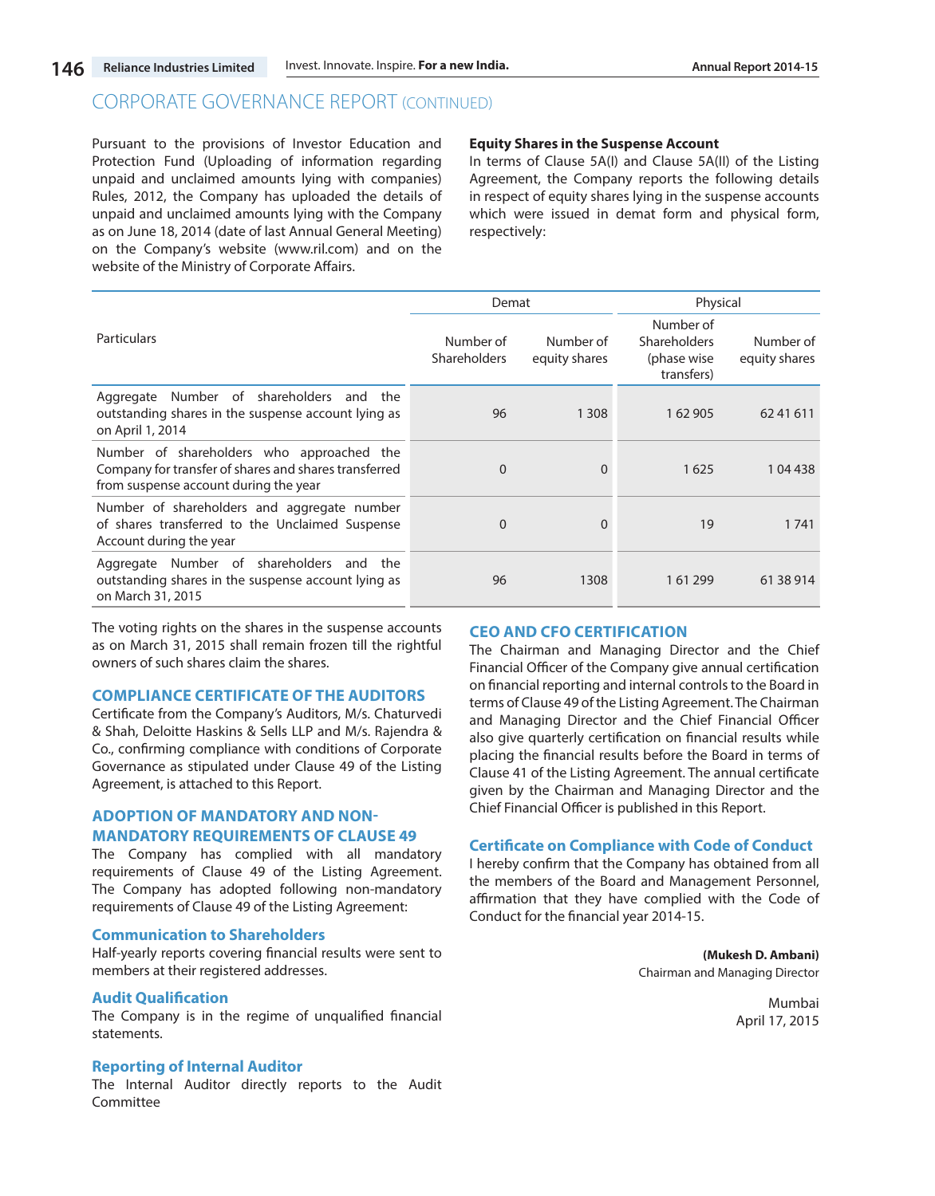Pursuant to the provisions of Investor Education and Protection Fund (Uploading of information regarding unpaid and unclaimed amounts lying with companies) Rules, 2012, the Company has uploaded the details of unpaid and unclaimed amounts lying with the Company as on June 18, 2014 (date of last Annual General Meeting) on the Company's website (www.ril.com) and on the website of the Ministry of Corporate Affairs.

#### **Equity Shares in the Suspense Account**

In terms of Clause 5A(I) and Clause 5A(II) of the Listing Agreement, the Company reports the following details in respect of equity shares lying in the suspense accounts which were issued in demat form and physical form, respectively:

|                                                                                                                                             | Demat                            |                            | Physical                                                      |                            |
|---------------------------------------------------------------------------------------------------------------------------------------------|----------------------------------|----------------------------|---------------------------------------------------------------|----------------------------|
| Particulars                                                                                                                                 | Number of<br><b>Shareholders</b> | Number of<br>equity shares | Number of<br><b>Shareholders</b><br>(phase wise<br>transfers) | Number of<br>equity shares |
| Number of shareholders and the<br>Aggregate<br>outstanding shares in the suspense account lying as<br>on April 1, 2014                      | 96                               | 1 3 0 8                    | 1 62 905                                                      | 6241611                    |
| Number of shareholders who approached the<br>Company for transfer of shares and shares transferred<br>from suspense account during the year | $\Omega$                         | $\Omega$                   | 1625                                                          | 104438                     |
| Number of shareholders and aggregate number<br>of shares transferred to the Unclaimed Suspense<br>Account during the year                   | $\mathbf 0$                      | $\Omega$                   | 19                                                            | 1741                       |
| Aggregate Number of shareholders<br>and the<br>outstanding shares in the suspense account lying as<br>on March 31, 2015                     | 96                               | 1308                       | 161299                                                        | 61 38 914                  |

The voting rights on the shares in the suspense accounts as on March 31, 2015 shall remain frozen till the rightful owners of such shares claim the shares.

#### **COMPLIANCE CERTIFICATE OF THE AUDITORS**

Certificate from the Company's Auditors, M/s. Chaturvedi & Shah, Deloitte Haskins & Sells LLP and M/s. Rajendra & Co., confirming compliance with conditions of Corporate Governance as stipulated under Clause 49 of the Listing Agreement, is attached to this Report.

# **ADOPTION OF MANDATORY AND NON-MANDATORY REQUIREMENTS OF CLAUSE 49**

The Company has complied with all mandatory requirements of Clause 49 of the Listing Agreement. The Company has adopted following non-mandatory requirements of Clause 49 of the Listing Agreement:

#### **Communication to Shareholders**

Half-yearly reports covering financial results were sent to members at their registered addresses.

# **Audit Qualification**

The Company is in the regime of unqualified financial statements.

### **Reporting of Internal Auditor**

The Internal Auditor directly reports to the Audit Committee

#### **CEO AND CFO CERTIFICATION**

The Chairman and Managing Director and the Chief Financial Officer of the Company give annual certification on financial reporting and internal controls to the Board in terms of Clause 49 of the Listing Agreement. The Chairman and Managing Director and the Chief Financial Officer also give quarterly certification on financial results while placing the financial results before the Board in terms of Clause 41 of the Listing Agreement. The annual certificate given by the Chairman and Managing Director and the Chief Financial Officer is published in this Report.

### **Certificate on Compliance with Code of Conduct**

I hereby confirm that the Company has obtained from all the members of the Board and Management Personnel, affirmation that they have complied with the Code of Conduct for the financial year 2014-15.

> **(Mukesh D. Ambani)** Chairman and Managing Director

> > Mumbai April 17, 2015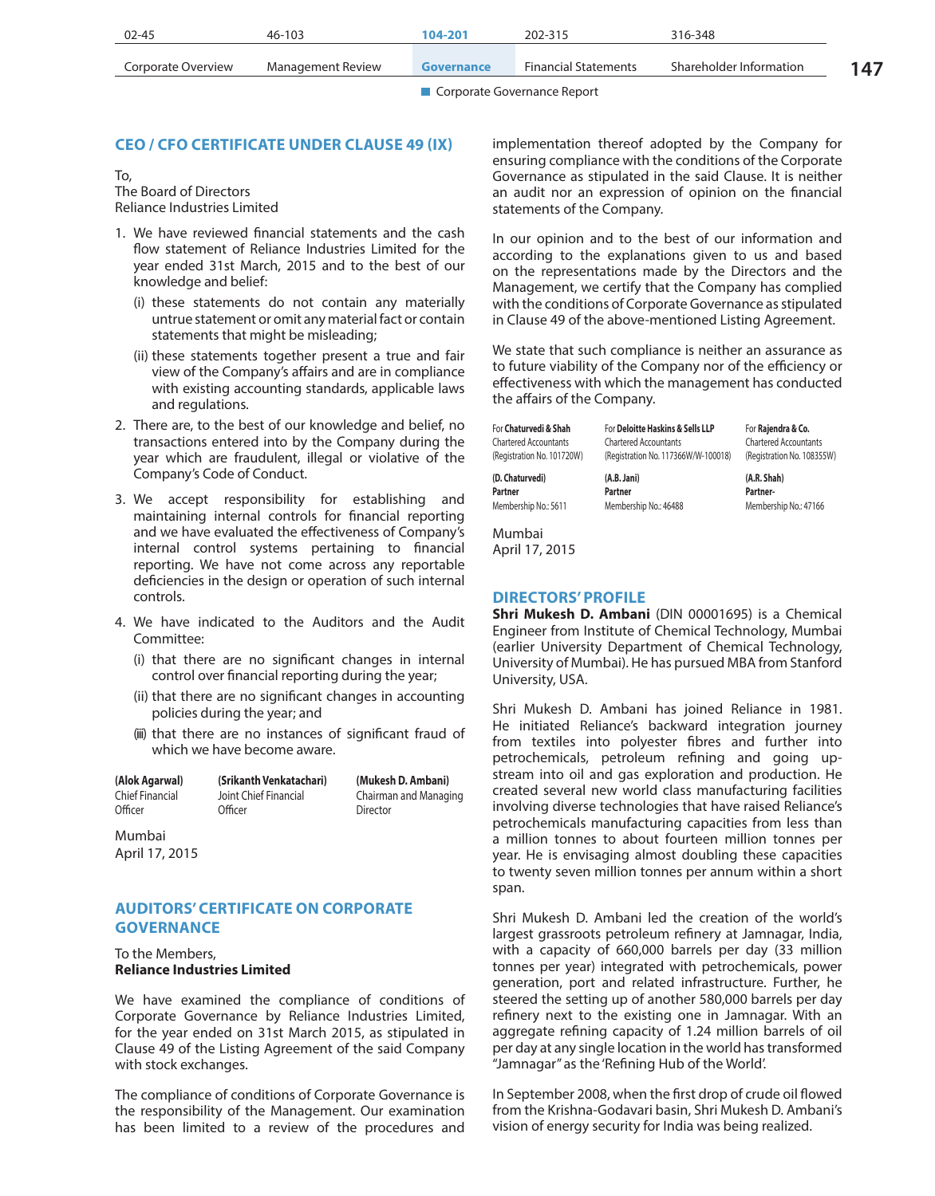| $02 - 45$          | 46-103            | 104-201    | 202-315                     | 316-348                 |  |
|--------------------|-------------------|------------|-----------------------------|-------------------------|--|
| Corporate Overview | Management Review | Governance | <b>Financial Statements</b> | Shareholder Information |  |

# **CEO / CFO CERTIFICATE UNDER CLAUSE 49 (IX)**

To, The Board of Directors Reliance Industries Limited

- 1. We have reviewed financial statements and the cash flow statement of Reliance Industries Limited for the year ended 31st March, 2015 and to the best of our knowledge and belief:
	- (i) these statements do not contain any materially untrue statement or omit any material fact or contain statements that might be misleading;
	- (ii) these statements together present a true and fair view of the Company's affairs and are in compliance with existing accounting standards, applicable laws and regulations.
- 2. There are, to the best of our knowledge and belief, no transactions entered into by the Company during the year which are fraudulent, illegal or violative of the Company's Code of Conduct.
- 3. We accept responsibility for establishing and maintaining internal controls for financial reporting and we have evaluated the effectiveness of Company's internal control systems pertaining to financial reporting. We have not come across any reportable deficiencies in the design or operation of such internal controls.
- 4. We have indicated to the Auditors and the Audit Committee:
	- (i) that there are no significant changes in internal control over financial reporting during the year;
	- (ii) that there are no significant changes in accounting policies during the year; and
	- (iii) that there are no instances of significant fraud of which we have become aware.

| (Alok Agarwal)  | (Srikanth Venkatachari) | (Mukesh D. Ambani)    |
|-----------------|-------------------------|-----------------------|
| Chief Financial | Joint Chief Financial   | Chairman and Managing |
| Officer         | Officer                 | Director              |

Mumbai April 17, 2015

# **AUDITORS' CERTIFICATE ON CORPORATE GOVERNANCE**

#### To the Members, **Reliance Industries Limited**

We have examined the compliance of conditions of Corporate Governance by Reliance Industries Limited, for the year ended on 31st March 2015, as stipulated in Clause 49 of the Listing Agreement of the said Company with stock exchanges.

The compliance of conditions of Corporate Governance is the responsibility of the Management. Our examination has been limited to a review of the procedures and implementation thereof adopted by the Company for ensuring compliance with the conditions of the Corporate Governance as stipulated in the said Clause. It is neither an audit nor an expression of opinion on the financial statements of the Company.

In our opinion and to the best of our information and according to the explanations given to us and based on the representations made by the Directors and the Management, we certify that the Company has complied with the conditions of Corporate Governance as stipulated in Clause 49 of the above-mentioned Listing Agreement.

We state that such compliance is neither an assurance as to future viability of the Company nor of the efficiency or effectiveness with which the management has conducted the affairs of the Company.

| For Chaturvedi & Shah        | For Deloitte Haskins & Sells LLP    | For Rajendra & Co.           |
|------------------------------|-------------------------------------|------------------------------|
| <b>Chartered Accountants</b> | <b>Chartered Accountants</b>        | <b>Chartered Accountants</b> |
| (Registration No. 101720W)   | (Registration No. 117366W/W-100018) | (Registration No. 108355W)   |
| (D. Chaturvedi)              | (A.B. Jani)                         | (A.R. Shah)                  |
| Partner                      | Partner                             | Partner-                     |
| Membership No.: 5611         | Membership No.: 46488               | Membership No.: 47166        |

Mumbai April 17, 2015

# **DIRECTORS' PROFILE**

**Shri Mukesh D. Ambani** (DIN 00001695) is a Chemical Engineer from Institute of Chemical Technology, Mumbai (earlier University Department of Chemical Technology, University of Mumbai). He has pursued MBA from Stanford University, USA.

Shri Mukesh D. Ambani has joined Reliance in 1981. He initiated Reliance's backward integration journey from textiles into polyester fibres and further into petrochemicals, petroleum refining and going upstream into oil and gas exploration and production. He created several new world class manufacturing facilities involving diverse technologies that have raised Reliance's petrochemicals manufacturing capacities from less than a million tonnes to about fourteen million tonnes per year. He is envisaging almost doubling these capacities to twenty seven million tonnes per annum within a short span.

Shri Mukesh D. Ambani led the creation of the world's largest grassroots petroleum refinery at Jamnagar, India, with a capacity of 660,000 barrels per day (33 million tonnes per year) integrated with petrochemicals, power generation, port and related infrastructure. Further, he steered the setting up of another 580,000 barrels per day refinery next to the existing one in Jamnagar. With an aggregate refining capacity of 1.24 million barrels of oil per day at any single location in the world has transformed "Jamnagar" as the 'Refining Hub of the World'.

In September 2008, when the first drop of crude oil flowed from the Krishna-Godavari basin, Shri Mukesh D. Ambani's vision of energy security for India was being realized.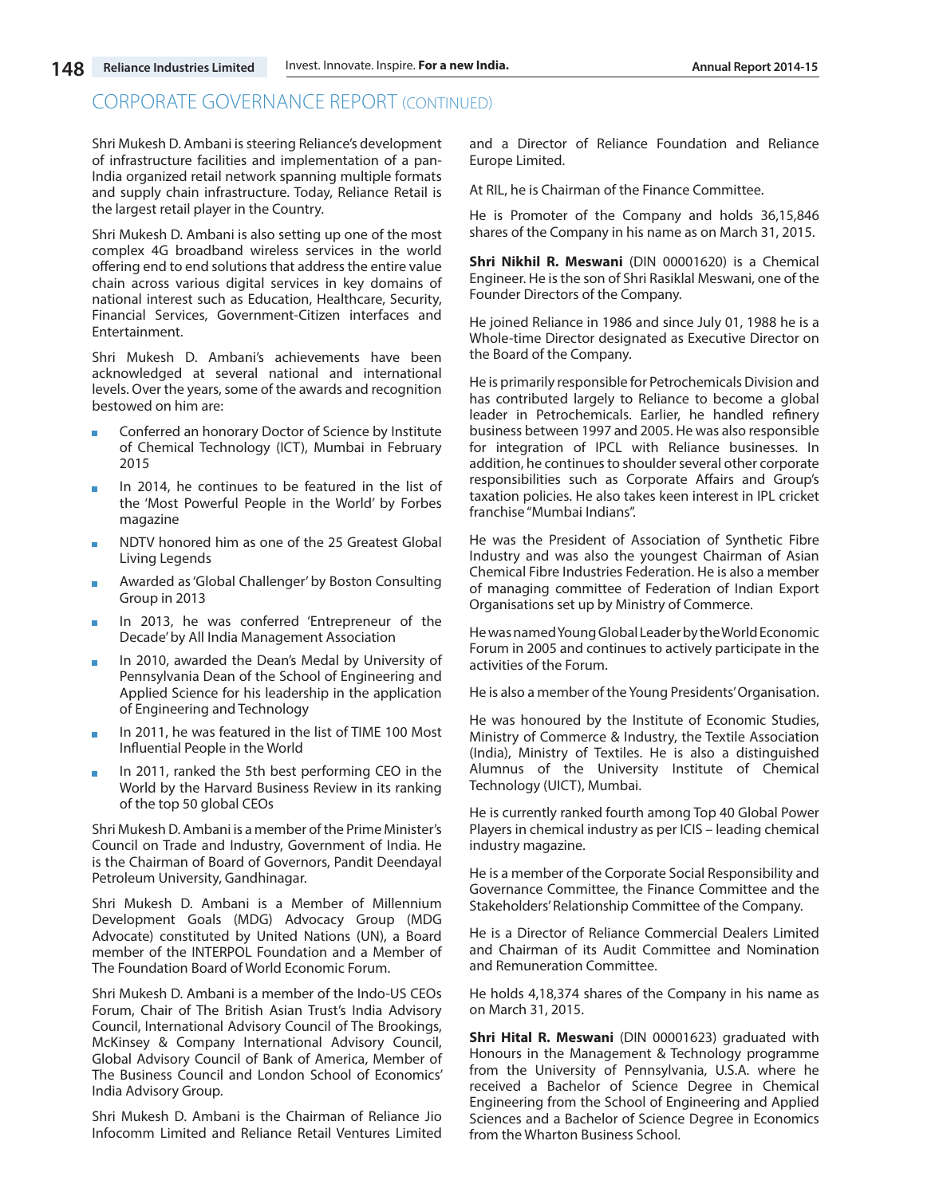Shri Mukesh D. Ambani is steering Reliance's development of infrastructure facilities and implementation of a pan-India organized retail network spanning multiple formats and supply chain infrastructure. Today, Reliance Retail is the largest retail player in the Country.

Shri Mukesh D. Ambani is also setting up one of the most complex 4G broadband wireless services in the world offering end to end solutions that address the entire value chain across various digital services in key domains of national interest such as Education, Healthcare, Security, Financial Services, Government-Citizen interfaces and Entertainment.

Shri Mukesh D. Ambani's achievements have been acknowledged at several national and international levels. Over the years, some of the awards and recognition bestowed on him are:

- **Conferred an honorary Doctor of Science by Institute** of Chemical Technology (ICT), Mumbai in February 2015
- In 2014, he continues to be featured in the list of the 'Most Powerful People in the World' by Forbes magazine
- **NDTV** honored him as one of the 25 Greatest Global Living Legends
- **Awarded as 'Global Challenger' by Boston Consulting** Group in 2013
- In 2013, he was conferred 'Entrepreneur of the Decade' by All India Management Association
- In 2010, awarded the Dean's Medal by University of Pennsylvania Dean of the School of Engineering and Applied Science for his leadership in the application of Engineering and Technology
- In 2011, he was featured in the list of TIME 100 Most Influential People in the World
- In 2011, ranked the 5th best performing CEO in the World by the Harvard Business Review in its ranking of the top 50 global CEOs

Shri Mukesh D. Ambani is a member of the Prime Minister's Council on Trade and Industry, Government of India. He is the Chairman of Board of Governors, Pandit Deendayal Petroleum University, Gandhinagar.

Shri Mukesh D. Ambani is a Member of Millennium Development Goals (MDG) Advocacy Group (MDG Advocate) constituted by United Nations (UN), a Board member of the INTERPOL Foundation and a Member of The Foundation Board of World Economic Forum.

Shri Mukesh D. Ambani is a member of the Indo-US CEOs Forum, Chair of The British Asian Trust's India Advisory Council, International Advisory Council of The Brookings, McKinsey & Company International Advisory Council, Global Advisory Council of Bank of America, Member of The Business Council and London School of Economics' India Advisory Group.

Shri Mukesh D. Ambani is the Chairman of Reliance Jio Infocomm Limited and Reliance Retail Ventures Limited and a Director of Reliance Foundation and Reliance Europe Limited.

At RIL, he is Chairman of the Finance Committee.

He is Promoter of the Company and holds 36,15,846 shares of the Company in his name as on March 31, 2015.

**Shri Nikhil R. Meswani** (DIN 00001620) is a Chemical Engineer. He is the son of Shri Rasiklal Meswani, one of the Founder Directors of the Company.

He joined Reliance in 1986 and since July 01, 1988 he is a Whole-time Director designated as Executive Director on the Board of the Company.

He is primarily responsible for Petrochemicals Division and has contributed largely to Reliance to become a global leader in Petrochemicals. Earlier, he handled refinery business between 1997 and 2005. He was also responsible for integration of IPCL with Reliance businesses. In addition, he continues to shoulder several other corporate responsibilities such as Corporate Affairs and Group's taxation policies. He also takes keen interest in IPL cricket franchise "Mumbai Indians".

He was the President of Association of Synthetic Fibre Industry and was also the youngest Chairman of Asian Chemical Fibre Industries Federation. He is also a member of managing committee of Federation of Indian Export Organisations set up by Ministry of Commerce.

He was named Young Global Leader by the World Economic Forum in 2005 and continues to actively participate in the activities of the Forum.

He is also a member of the Young Presidents' Organisation.

He was honoured by the Institute of Economic Studies, Ministry of Commerce & Industry, the Textile Association (India), Ministry of Textiles. He is also a distinguished Alumnus of the University Institute of Chemical Technology (UICT), Mumbai.

He is currently ranked fourth among Top 40 Global Power Players in chemical industry as per ICIS – leading chemical industry magazine.

He is a member of the Corporate Social Responsibility and Governance Committee, the Finance Committee and the Stakeholders' Relationship Committee of the Company.

He is a Director of Reliance Commercial Dealers Limited and Chairman of its Audit Committee and Nomination and Remuneration Committee.

He holds 4,18,374 shares of the Company in his name as on March 31, 2015.

**Shri Hital R. Meswani** (DIN 00001623) graduated with Honours in the Management & Technology programme from the University of Pennsylvania, U.S.A. where he received a Bachelor of Science Degree in Chemical Engineering from the School of Engineering and Applied Sciences and a Bachelor of Science Degree in Economics from the Wharton Business School.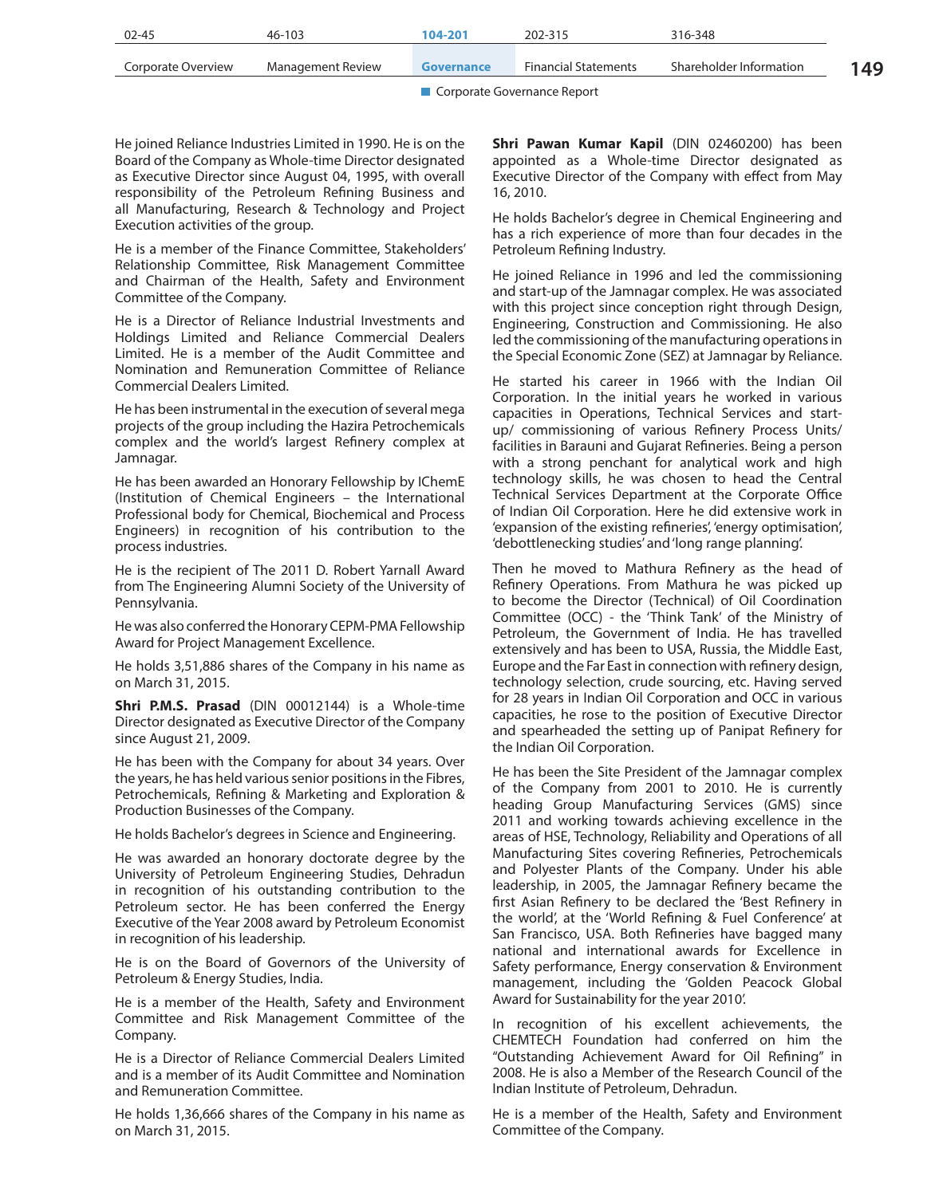| 02-45              | $46 - 103$        | 104-201    | 202-315                     | 316-348                 |     |
|--------------------|-------------------|------------|-----------------------------|-------------------------|-----|
| Corporate Overview | Management Review | Governance | <b>Financial Statements</b> | Shareholder Information | 149 |

He joined Reliance Industries Limited in 1990. He is on the Board of the Company as Whole-time Director designated as Executive Director since August 04, 1995, with overall responsibility of the Petroleum Refining Business and all Manufacturing, Research & Technology and Project Execution activities of the group.

He is a member of the Finance Committee, Stakeholders' Relationship Committee, Risk Management Committee and Chairman of the Health, Safety and Environment Committee of the Company.

He is a Director of Reliance Industrial Investments and Holdings Limited and Reliance Commercial Dealers Limited. He is a member of the Audit Committee and Nomination and Remuneration Committee of Reliance Commercial Dealers Limited.

He has been instrumental in the execution of several mega projects of the group including the Hazira Petrochemicals complex and the world's largest Refinery complex at Jamnagar.

He has been awarded an Honorary Fellowship by IChemE (Institution of Chemical Engineers – the International Professional body for Chemical, Biochemical and Process Engineers) in recognition of his contribution to the process industries.

He is the recipient of The 2011 D. Robert Yarnall Award from The Engineering Alumni Society of the University of Pennsylvania.

He was also conferred the Honorary CEPM-PMA Fellowship Award for Project Management Excellence.

He holds 3,51,886 shares of the Company in his name as on March 31, 2015.

**Shri P.M.S. Prasad** (DIN 00012144) is a Whole-time Director designated as Executive Director of the Company since August 21, 2009.

He has been with the Company for about 34 years. Over the years, he has held various senior positions in the Fibres, Petrochemicals, Refining & Marketing and Exploration & Production Businesses of the Company.

He holds Bachelor's degrees in Science and Engineering.

He was awarded an honorary doctorate degree by the University of Petroleum Engineering Studies, Dehradun in recognition of his outstanding contribution to the Petroleum sector. He has been conferred the Energy Executive of the Year 2008 award by Petroleum Economist in recognition of his leadership.

He is on the Board of Governors of the University of Petroleum & Energy Studies, India.

He is a member of the Health, Safety and Environment Committee and Risk Management Committee of the Company.

He is a Director of Reliance Commercial Dealers Limited and is a member of its Audit Committee and Nomination and Remuneration Committee.

He holds 1,36,666 shares of the Company in his name as on March 31, 2015.

**Shri Pawan Kumar Kapil** (DIN 02460200) has been appointed as a Whole-time Director designated as Executive Director of the Company with effect from May 16, 2010.

He holds Bachelor's degree in Chemical Engineering and has a rich experience of more than four decades in the Petroleum Refining Industry.

He joined Reliance in 1996 and led the commissioning and start-up of the Jamnagar complex. He was associated with this project since conception right through Design, Engineering, Construction and Commissioning. He also led the commissioning of the manufacturing operations in the Special Economic Zone (SEZ) at Jamnagar by Reliance.

He started his career in 1966 with the Indian Oil Corporation. In the initial years he worked in various capacities in Operations, Technical Services and startup/ commissioning of various Refinery Process Units/ facilities in Barauni and Gujarat Refineries. Being a person with a strong penchant for analytical work and high technology skills, he was chosen to head the Central Technical Services Department at the Corporate Office of Indian Oil Corporation. Here he did extensive work in 'expansion of the existing refineries', 'energy optimisation', 'debottlenecking studies' and 'long range planning'.

Then he moved to Mathura Refinery as the head of Refinery Operations. From Mathura he was picked up to become the Director (Technical) of Oil Coordination Committee (OCC) - the 'Think Tank' of the Ministry of Petroleum, the Government of India. He has travelled extensively and has been to USA, Russia, the Middle East, Europe and the Far East in connection with refinery design, technology selection, crude sourcing, etc. Having served for 28 years in Indian Oil Corporation and OCC in various capacities, he rose to the position of Executive Director and spearheaded the setting up of Panipat Refinery for the Indian Oil Corporation.

He has been the Site President of the Jamnagar complex of the Company from 2001 to 2010. He is currently heading Group Manufacturing Services (GMS) since 2011 and working towards achieving excellence in the areas of HSE, Technology, Reliability and Operations of all Manufacturing Sites covering Refineries, Petrochemicals and Polyester Plants of the Company. Under his able leadership, in 2005, the Jamnagar Refinery became the first Asian Refinery to be declared the 'Best Refinery in the world', at the 'World Refining & Fuel Conference' at San Francisco, USA. Both Refineries have bagged many national and international awards for Excellence in Safety performance, Energy conservation & Environment management, including the 'Golden Peacock Global Award for Sustainability for the year 2010'.

In recognition of his excellent achievements, the CHEMTECH Foundation had conferred on him the "Outstanding Achievement Award for Oil Refining" in 2008. He is also a Member of the Research Council of the Indian Institute of Petroleum, Dehradun.

He is a member of the Health, Safety and Environment Committee of the Company.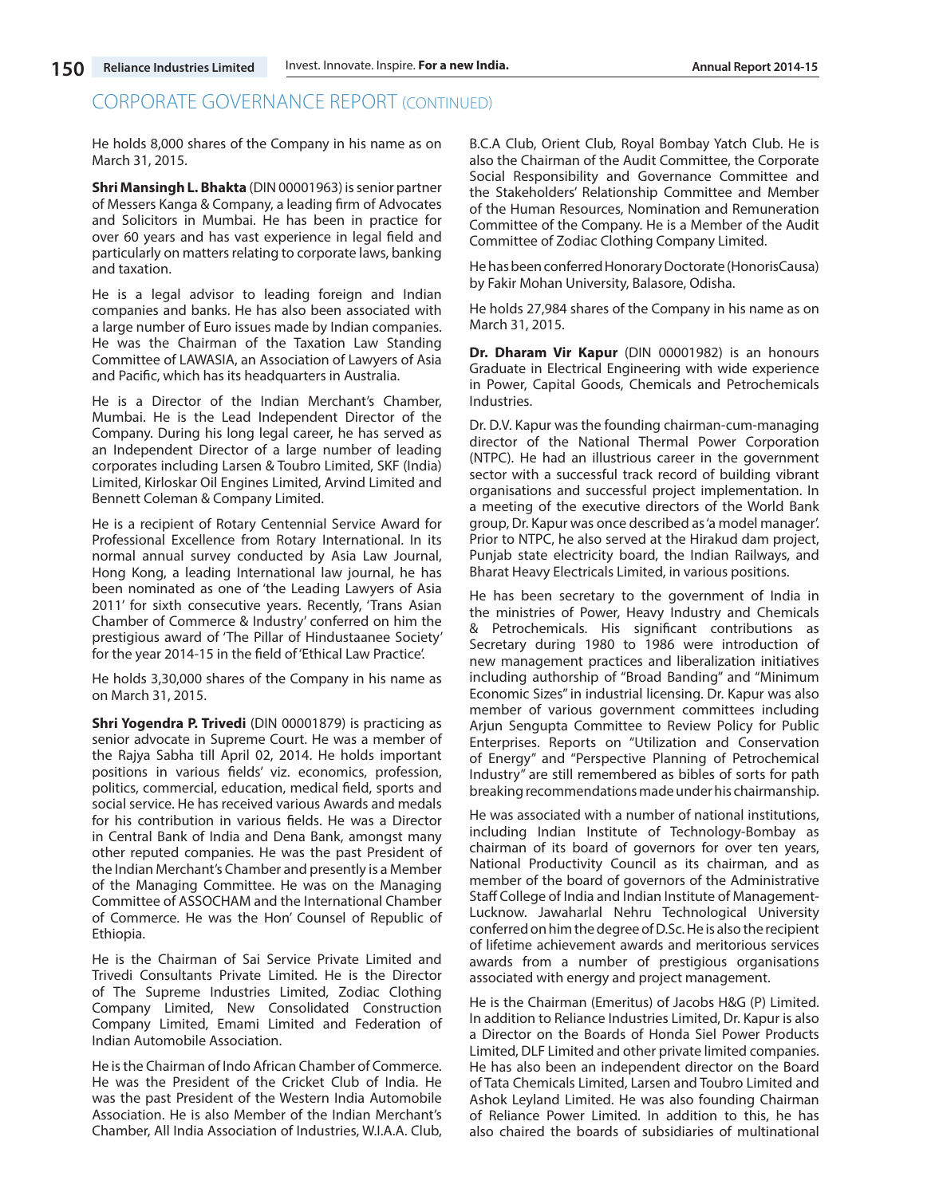He holds 8,000 shares of the Company in his name as on March 31, 2015.

**Shri Mansingh L. Bhakta** (DIN 00001963) is senior partner of Messers Kanga & Company, a leading firm of Advocates and Solicitors in Mumbai. He has been in practice for over 60 years and has vast experience in legal field and particularly on matters relating to corporate laws, banking and taxation.

He is a legal advisor to leading foreign and Indian companies and banks. He has also been associated with a large number of Euro issues made by Indian companies. He was the Chairman of the Taxation Law Standing Committee of LAWASIA, an Association of Lawyers of Asia and Pacific, which has its headquarters in Australia.

He is a Director of the Indian Merchant's Chamber, Mumbai. He is the Lead Independent Director of the Company. During his long legal career, he has served as an Independent Director of a large number of leading corporates including Larsen & Toubro Limited, SKF (India) Limited, Kirloskar Oil Engines Limited, Arvind Limited and Bennett Coleman & Company Limited.

He is a recipient of Rotary Centennial Service Award for Professional Excellence from Rotary International. In its normal annual survey conducted by Asia Law Journal, Hong Kong, a leading International law journal, he has been nominated as one of 'the Leading Lawyers of Asia 2011' for sixth consecutive years. Recently, 'Trans Asian Chamber of Commerce & Industry' conferred on him the prestigious award of 'The Pillar of Hindustaanee Society' for the year 2014-15 in the field of 'Ethical Law Practice'.

He holds 3,30,000 shares of the Company in his name as on March 31, 2015.

**Shri Yogendra P. Trivedi** (DIN 00001879) is practicing as senior advocate in Supreme Court. He was a member of the Rajya Sabha till April 02, 2014. He holds important positions in various fields' viz. economics, profession, politics, commercial, education, medical field, sports and social service. He has received various Awards and medals for his contribution in various fields. He was a Director in Central Bank of India and Dena Bank, amongst many other reputed companies. He was the past President of the Indian Merchant's Chamber and presently is a Member of the Managing Committee. He was on the Managing Committee of ASSOCHAM and the International Chamber of Commerce. He was the Hon' Counsel of Republic of Ethiopia.

He is the Chairman of Sai Service Private Limited and Trivedi Consultants Private Limited. He is the Director of The Supreme Industries Limited, Zodiac Clothing Company Limited, New Consolidated Construction Company Limited, Emami Limited and Federation of Indian Automobile Association.

He is the Chairman of Indo African Chamber of Commerce. He was the President of the Cricket Club of India. He was the past President of the Western India Automobile Association. He is also Member of the Indian Merchant's Chamber, All India Association of Industries, W.I.A.A. Club, B.C.A Club, Orient Club, Royal Bombay Yatch Club. He is also the Chairman of the Audit Committee, the Corporate Social Responsibility and Governance Committee and the Stakeholders' Relationship Committee and Member of the Human Resources, Nomination and Remuneration Committee of the Company. He is a Member of the Audit Committee of Zodiac Clothing Company Limited.

He has been conferred Honorary Doctorate (HonorisCausa) by Fakir Mohan University, Balasore, Odisha.

He holds 27,984 shares of the Company in his name as on March 31, 2015.

**Dr. Dharam Vir Kapur** (DIN 00001982) is an honours Graduate in Electrical Engineering with wide experience in Power, Capital Goods, Chemicals and Petrochemicals Industries.

Dr. D.V. Kapur was the founding chairman-cum-managing director of the National Thermal Power Corporation (NTPC). He had an illustrious career in the government sector with a successful track record of building vibrant organisations and successful project implementation. In a meeting of the executive directors of the World Bank group, Dr. Kapur was once described as 'a model manager'. Prior to NTPC, he also served at the Hirakud dam project, Punjab state electricity board, the Indian Railways, and Bharat Heavy Electricals Limited, in various positions.

He has been secretary to the government of India in the ministries of Power, Heavy Industry and Chemicals & Petrochemicals. His significant contributions as Secretary during 1980 to 1986 were introduction of new management practices and liberalization initiatives including authorship of "Broad Banding" and "Minimum Economic Sizes" in industrial licensing. Dr. Kapur was also member of various government committees including Arjun Sengupta Committee to Review Policy for Public Enterprises. Reports on "Utilization and Conservation of Energy" and "Perspective Planning of Petrochemical Industry" are still remembered as bibles of sorts for path breaking recommendations made under his chairmanship.

He was associated with a number of national institutions, including Indian Institute of Technology-Bombay as chairman of its board of governors for over ten years, National Productivity Council as its chairman, and as member of the board of governors of the Administrative Staff College of India and Indian Institute of Management-Lucknow. Jawaharlal Nehru Technological University conferred on him the degree of D.Sc. He is also the recipient of lifetime achievement awards and meritorious services awards from a number of prestigious organisations associated with energy and project management.

He is the Chairman (Emeritus) of Jacobs H&G (P) Limited. In addition to Reliance Industries Limited, Dr. Kapur is also a Director on the Boards of Honda Siel Power Products Limited, DLF Limited and other private limited companies. He has also been an independent director on the Board of Tata Chemicals Limited, Larsen and Toubro Limited and Ashok Leyland Limited. He was also founding Chairman of Reliance Power Limited. In addition to this, he has also chaired the boards of subsidiaries of multinational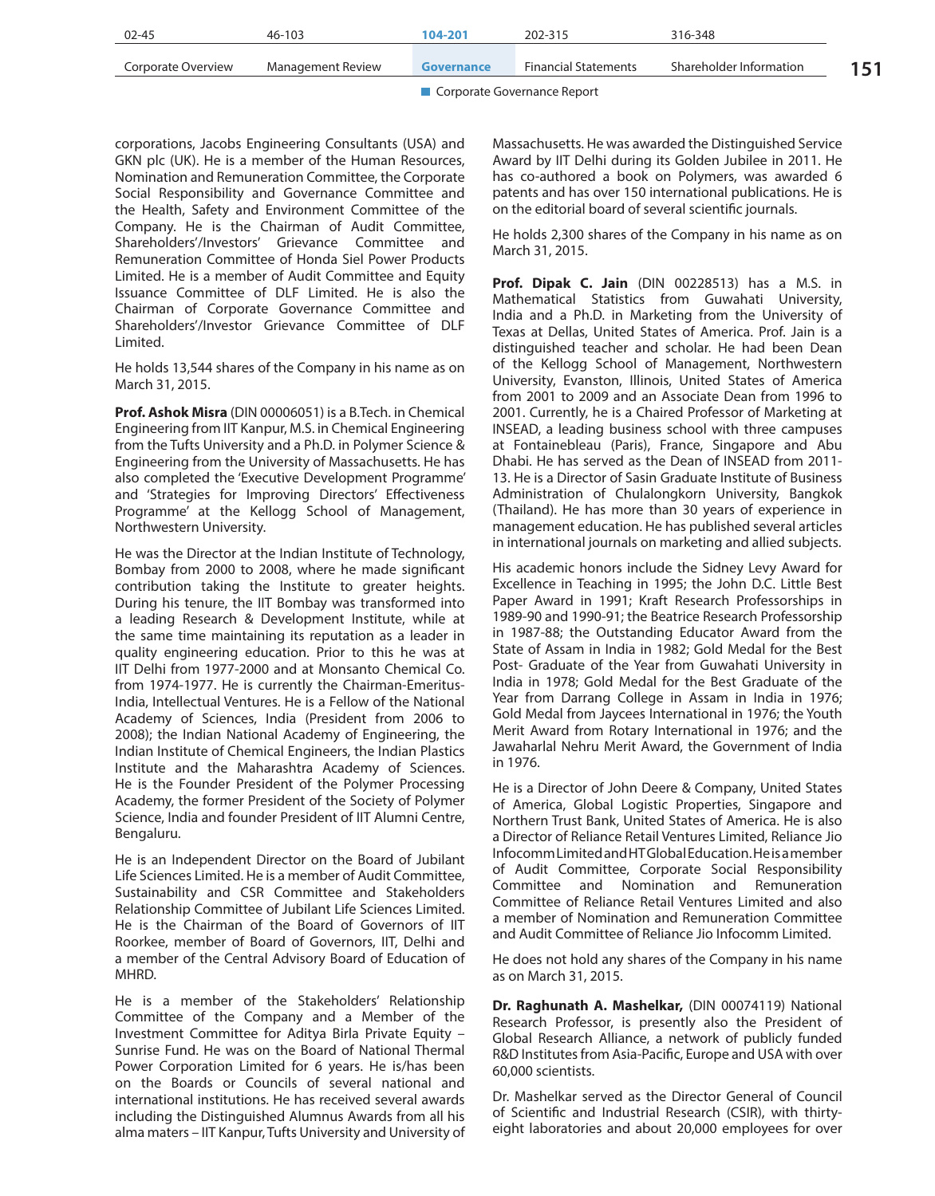| 02-45              | 46-103            | 104-201    | 202-315                     | 316-348                 |  |
|--------------------|-------------------|------------|-----------------------------|-------------------------|--|
| Corporate Overview | Management Review | Governance | <b>Financial Statements</b> | Shareholder Information |  |
|                    |                   |            |                             |                         |  |

corporations, Jacobs Engineering Consultants (USA) and GKN plc (UK). He is a member of the Human Resources, Nomination and Remuneration Committee, the Corporate Social Responsibility and Governance Committee and the Health, Safety and Environment Committee of the Company. He is the Chairman of Audit Committee, Shareholders'/Investors' Grievance Committee and Remuneration Committee of Honda Siel Power Products Limited. He is a member of Audit Committee and Equity Issuance Committee of DLF Limited. He is also the Chairman of Corporate Governance Committee and Shareholders'/Investor Grievance Committee of DLF Limited.

He holds 13,544 shares of the Company in his name as on March 31, 2015.

**Prof. Ashok Misra** (DIN 00006051) is a B.Tech. in Chemical Engineering from IIT Kanpur, M.S. in Chemical Engineering from the Tufts University and a Ph.D. in Polymer Science & Engineering from the University of Massachusetts. He has also completed the 'Executive Development Programme' and 'Strategies for Improving Directors' Effectiveness Programme' at the Kellogg School of Management, Northwestern University.

He was the Director at the Indian Institute of Technology, Bombay from 2000 to 2008, where he made significant contribution taking the Institute to greater heights. During his tenure, the IIT Bombay was transformed into a leading Research & Development Institute, while at the same time maintaining its reputation as a leader in quality engineering education. Prior to this he was at IIT Delhi from 1977-2000 and at Monsanto Chemical Co. from 1974-1977. He is currently the Chairman-Emeritus-India, Intellectual Ventures. He is a Fellow of the National Academy of Sciences, India (President from 2006 to 2008); the Indian National Academy of Engineering, the Indian Institute of Chemical Engineers, the Indian Plastics Institute and the Maharashtra Academy of Sciences. He is the Founder President of the Polymer Processing Academy, the former President of the Society of Polymer Science, India and founder President of IIT Alumni Centre, Bengaluru.

He is an Independent Director on the Board of Jubilant Life Sciences Limited. He is a member of Audit Committee, Sustainability and CSR Committee and Stakeholders Relationship Committee of Jubilant Life Sciences Limited. He is the Chairman of the Board of Governors of IIT Roorkee, member of Board of Governors, IIT, Delhi and a member of the Central Advisory Board of Education of MHRD.

He is a member of the Stakeholders' Relationship Committee of the Company and a Member of the Investment Committee for Aditya Birla Private Equity – Sunrise Fund. He was on the Board of National Thermal Power Corporation Limited for 6 years. He is/has been on the Boards or Councils of several national and international institutions. He has received several awards including the Distinguished Alumnus Awards from all his alma maters – IIT Kanpur, Tufts University and University of Massachusetts. He was awarded the Distinguished Service Award by IIT Delhi during its Golden Jubilee in 2011. He has co-authored a book on Polymers, was awarded 6 patents and has over 150 international publications. He is on the editorial board of several scientific journals.

He holds 2,300 shares of the Company in his name as on March 31, 2015.

**Prof. Dipak C. Jain** (DIN 00228513) has a M.S. in Mathematical Statistics from Guwahati University, India and a Ph.D. in Marketing from the University of Texas at Dellas, United States of America. Prof. Jain is a distinguished teacher and scholar. He had been Dean of the Kellogg School of Management, Northwestern University, Evanston, Illinois, United States of America from 2001 to 2009 and an Associate Dean from 1996 to 2001. Currently, he is a Chaired Professor of Marketing at INSEAD, a leading business school with three campuses at Fontainebleau (Paris), France, Singapore and Abu Dhabi. He has served as the Dean of INSEAD from 2011- 13. He is a Director of Sasin Graduate Institute of Business Administration of Chulalongkorn University, Bangkok (Thailand). He has more than 30 years of experience in management education. He has published several articles in international journals on marketing and allied subjects.

His academic honors include the Sidney Levy Award for Excellence in Teaching in 1995; the John D.C. Little Best Paper Award in 1991; Kraft Research Professorships in 1989-90 and 1990-91; the Beatrice Research Professorship in 1987-88; the Outstanding Educator Award from the State of Assam in India in 1982; Gold Medal for the Best Post- Graduate of the Year from Guwahati University in India in 1978; Gold Medal for the Best Graduate of the Year from Darrang College in Assam in India in 1976; Gold Medal from Jaycees International in 1976; the Youth Merit Award from Rotary International in 1976; and the Jawaharlal Nehru Merit Award, the Government of India in 1976.

He is a Director of John Deere & Company, United States of America, Global Logistic Properties, Singapore and Northern Trust Bank, United States of America. He is also a Director of Reliance Retail Ventures Limited, Reliance Jio Infocomm Limited and HT Global Education. He is a member of Audit Committee, Corporate Social Responsibility Committee and Nomination and Remuneration Committee of Reliance Retail Ventures Limited and also a member of Nomination and Remuneration Committee and Audit Committee of Reliance Jio Infocomm Limited.

He does not hold any shares of the Company in his name as on March 31, 2015.

**Dr. Raghunath A. Mashelkar,** (DIN 00074119) National Research Professor, is presently also the President of Global Research Alliance, a network of publicly funded R&D Institutes from Asia-Pacific, Europe and USA with over 60,000 scientists.

Dr. Mashelkar served as the Director General of Council of Scientific and Industrial Research (CSIR), with thirtyeight laboratories and about 20,000 employees for over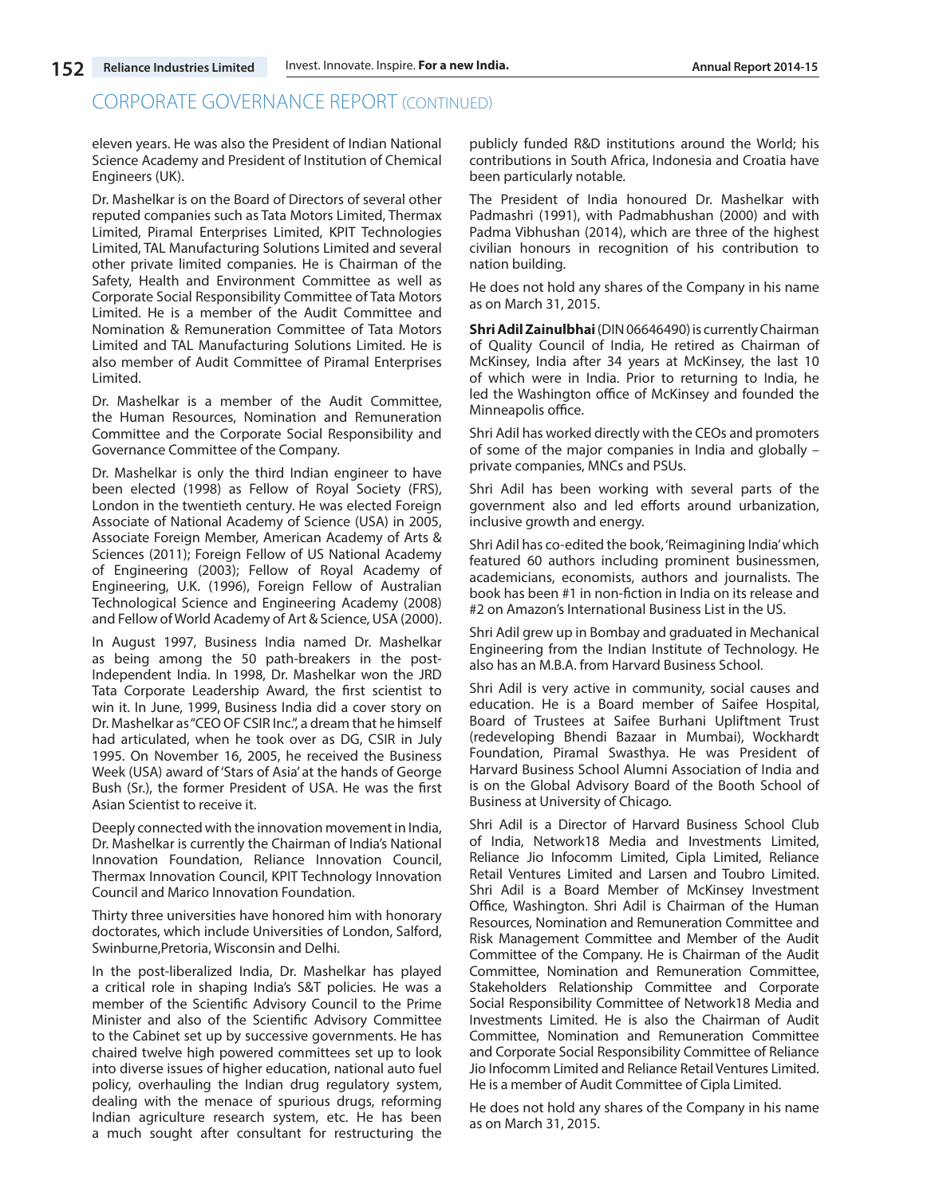eleven years. He was also the President of Indian National Science Academy and President of Institution of Chemical Engineers (UK).

Dr. Mashelkar is on the Board of Directors of several other reputed companies such as Tata Motors Limited, Thermax Limited, Piramal Enterprises Limited, KPIT Technologies Limited, TAL Manufacturing Solutions Limited and several other private limited companies. He is Chairman of the Safety, Health and Environment Committee as well as Corporate Social Responsibility Committee of Tata Motors Limited. He is a member of the Audit Committee and Nomination & Remuneration Committee of Tata Motors Limited and TAL Manufacturing Solutions Limited. He is also member of Audit Committee of Piramal Enterprises Limited.

Dr. Mashelkar is a member of the Audit Committee, the Human Resources, Nomination and Remuneration Committee and the Corporate Social Responsibility and Governance Committee of the Company.

Dr. Mashelkar is only the third Indian engineer to have been elected (1998) as Fellow of Royal Society (FRS), London in the twentieth century. He was elected Foreign Associate of National Academy of Science (USA) in 2005, Associate Foreign Member, American Academy of Arts & Sciences (2011); Foreign Fellow of US National Academy of Engineering (2003); Fellow of Royal Academy of Engineering, U.K. (1996), Foreign Fellow of Australian Technological Science and Engineering Academy (2008) and Fellow of World Academy of Art & Science, USA (2000).

In August 1997, Business India named Dr. Mashelkar as being among the 50 path-breakers in the post-Independent India. In 1998, Dr. Mashelkar won the JRD Tata Corporate Leadership Award, the first scientist to win it. In June, 1999, Business India did a cover story on Dr. Mashelkar as "CEO OF CSIR Inc.", a dream that he himself had articulated, when he took over as DG, CSIR in July 1995. On November 16, 2005, he received the Business Week (USA) award of 'Stars of Asia' at the hands of George Bush (Sr.), the former President of USA. He was the first Asian Scientist to receive it.

Deeply connected with the innovation movement in India, Dr. Mashelkar is currently the Chairman of India's National Innovation Foundation, Reliance Innovation Council, Thermax Innovation Council, KPIT Technology Innovation Council and Marico Innovation Foundation.

Thirty three universities have honored him with honorary doctorates, which include Universities of London, Salford, Swinburne,Pretoria, Wisconsin and Delhi.

In the post-liberalized India, Dr. Mashelkar has played a critical role in shaping India's S&T policies. He was a member of the Scientific Advisory Council to the Prime Minister and also of the Scientific Advisory Committee to the Cabinet set up by successive governments. He has chaired twelve high powered committees set up to look into diverse issues of higher education, national auto fuel policy, overhauling the Indian drug regulatory system, dealing with the menace of spurious drugs, reforming Indian agriculture research system, etc. He has been a much sought after consultant for restructuring the

publicly funded R&D institutions around the World; his contributions in South Africa, Indonesia and Croatia have been particularly notable.

The President of India honoured Dr. Mashelkar with Padmashri (1991), with Padmabhushan (2000) and with Padma Vibhushan (2014), which are three of the highest civilian honours in recognition of his contribution to nation building.

He does not hold any shares of the Company in his name as on March 31, 2015.

**Shri Adil Zainulbhai** (DIN 06646490) is currently Chairman of Quality Council of India, He retired as Chairman of McKinsey, India after 34 years at McKinsey, the last 10 of which were in India. Prior to returning to India, he led the Washington office of McKinsey and founded the Minneapolis office.

Shri Adil has worked directly with the CEOs and promoters of some of the major companies in India and globally – private companies, MNCs and PSUs.

Shri Adil has been working with several parts of the government also and led efforts around urbanization, inclusive growth and energy.

Shri Adil has co-edited the book, 'Reimagining India' which featured 60 authors including prominent businessmen, academicians, economists, authors and journalists. The book has been #1 in non-fiction in India on its release and #2 on Amazon's International Business List in the US.

Shri Adil grew up in Bombay and graduated in Mechanical Engineering from the Indian Institute of Technology. He also has an M.B.A. from Harvard Business School.

Shri Adil is very active in community, social causes and education. He is a Board member of Saifee Hospital, Board of Trustees at Saifee Burhani Upliftment Trust (redeveloping Bhendi Bazaar in Mumbai), Wockhardt Foundation, Piramal Swasthya. He was President of Harvard Business School Alumni Association of India and is on the Global Advisory Board of the Booth School of Business at University of Chicago.

Shri Adil is a Director of Harvard Business School Club of India, Network18 Media and Investments Limited, Reliance Jio Infocomm Limited, Cipla Limited, Reliance Retail Ventures Limited and Larsen and Toubro Limited. Shri Adil is a Board Member of McKinsey Investment Office, Washington. Shri Adil is Chairman of the Human Resources, Nomination and Remuneration Committee and Risk Management Committee and Member of the Audit Committee of the Company. He is Chairman of the Audit Committee, Nomination and Remuneration Committee, Stakeholders Relationship Committee and Corporate Social Responsibility Committee of Network18 Media and Investments Limited. He is also the Chairman of Audit Committee, Nomination and Remuneration Committee and Corporate Social Responsibility Committee of Reliance Jio Infocomm Limited and Reliance Retail Ventures Limited. He is a member of Audit Committee of Cipla Limited.

He does not hold any shares of the Company in his name as on March 31, 2015.